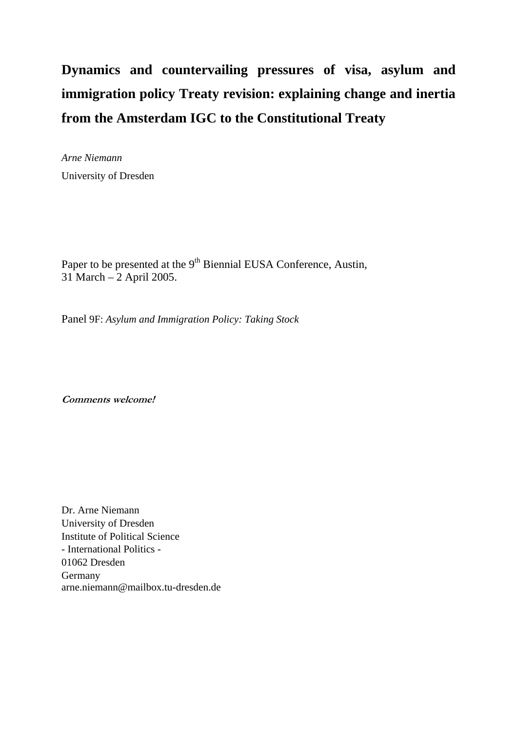# **Dynamics and countervailing pressures of visa, asylum and immigration policy Treaty revision: explaining change and inertia from the Amsterdam IGC to the Constitutional Treaty**

*Arne Niemann*  University of Dresden

Paper to be presented at the 9<sup>th</sup> Biennial EUSA Conference, Austin, 31 March – 2 April 2005.

Panel 9F: *Asylum and Immigration Policy: Taking Stock*

**Comments welcome!** 

Dr. Arne Niemann University of Dresden Institute of Political Science - International Politics - 01062 Dresden Germany arne.niemann@mailbox.tu-dresden.de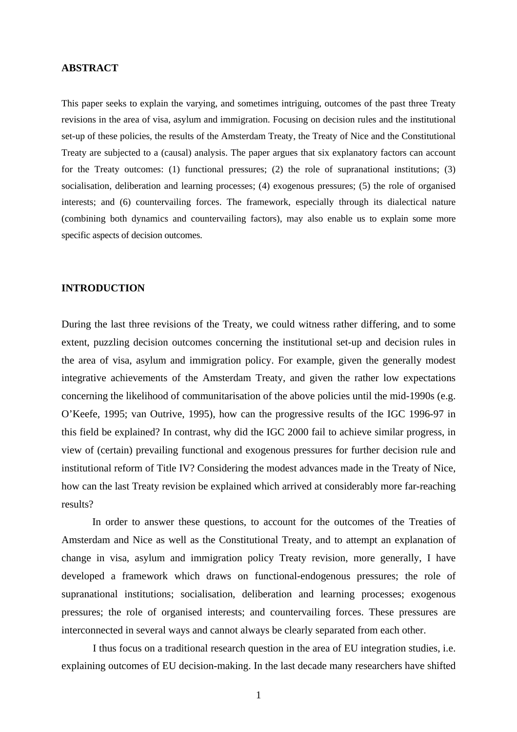# **ABSTRACT**

This paper seeks to explain the varying, and sometimes intriguing, outcomes of the past three Treaty revisions in the area of visa, asylum and immigration. Focusing on decision rules and the institutional set-up of these policies, the results of the Amsterdam Treaty, the Treaty of Nice and the Constitutional Treaty are subjected to a (causal) analysis. The paper argues that six explanatory factors can account for the Treaty outcomes: (1) functional pressures; (2) the role of supranational institutions; (3) socialisation, deliberation and learning processes; (4) exogenous pressures; (5) the role of organised interests; and (6) countervailing forces. The framework, especially through its dialectical nature (combining both dynamics and countervailing factors), may also enable us to explain some more specific aspects of decision outcomes.

#### **INTRODUCTION**

During the last three revisions of the Treaty, we could witness rather differing, and to some extent, puzzling decision outcomes concerning the institutional set-up and decision rules in the area of visa, asylum and immigration policy. For example, given the generally modest integrative achievements of the Amsterdam Treaty, and given the rather low expectations concerning the likelihood of communitarisation of the above policies until the mid-1990s (e.g. O'Keefe, 1995; van Outrive, 1995), how can the progressive results of the IGC 1996-97 in this field be explained? In contrast, why did the IGC 2000 fail to achieve similar progress, in view of (certain) prevailing functional and exogenous pressures for further decision rule and institutional reform of Title IV? Considering the modest advances made in the Treaty of Nice, how can the last Treaty revision be explained which arrived at considerably more far-reaching results?

 In order to answer these questions, to account for the outcomes of the Treaties of Amsterdam and Nice as well as the Constitutional Treaty, and to attempt an explanation of change in visa, asylum and immigration policy Treaty revision, more generally, I have developed a framework which draws on functional-endogenous pressures; the role of supranational institutions; socialisation, deliberation and learning processes; exogenous pressures; the role of organised interests; and countervailing forces. These pressures are interconnected in several ways and cannot always be clearly separated from each other.

I thus focus on a traditional research question in the area of EU integration studies, i.e. explaining outcomes of EU decision-making. In the last decade many researchers have shifted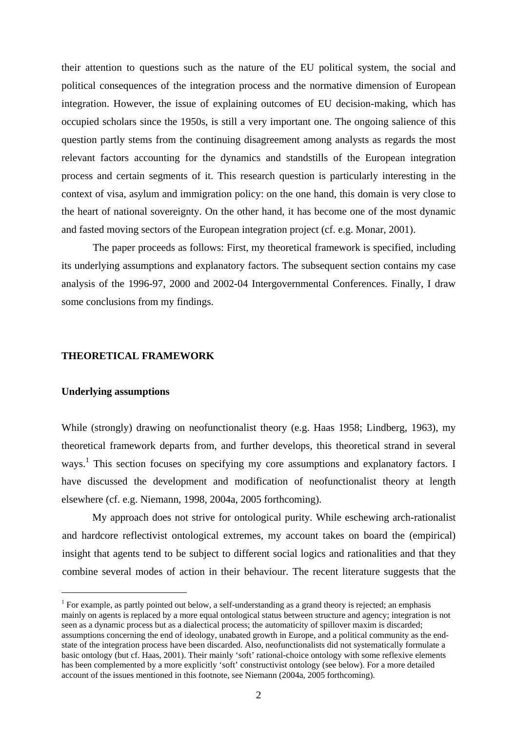their attention to questions such as the nature of the EU political system, the social and political consequences of the integration process and the normative dimension of European integration. However, the issue of explaining outcomes of EU decision-making, which has occupied scholars since the 1950s, is still a very important one. The ongoing salience of this question partly stems from the continuing disagreement among analysts as regards the most relevant factors accounting for the dynamics and standstills of the European integration process and certain segments of it. This research question is particularly interesting in the context of visa, asylum and immigration policy: on the one hand, this domain is very close to the heart of national sovereignty. On the other hand, it has become one of the most dynamic and fasted moving sectors of the European integration project (cf. e.g. Monar, 2001).

 The paper proceeds as follows: First, my theoretical framework is specified, including its underlying assumptions and explanatory factors. The subsequent section contains my case analysis of the 1996-97, 2000 and 2002-04 Intergovernmental Conferences. Finally, I draw some conclusions from my findings.

# **THEORETICAL FRAMEWORK**

#### **Underlying assumptions**

1

While (strongly) drawing on neofunctionalist theory (e.g. Haas 1958; Lindberg, 1963), my theoretical framework departs from, and further develops, this theoretical strand in several ways.<sup>1</sup> This section focuses on specifying my core assumptions and explanatory factors. I have discussed the development and modification of neofunctionalist theory at length elsewhere (cf. e.g. Niemann, 1998, 2004a, 2005 forthcoming).

My approach does not strive for ontological purity. While eschewing arch-rationalist and hardcore reflectivist ontological extremes, my account takes on board the (empirical) insight that agents tend to be subject to different social logics and rationalities and that they combine several modes of action in their behaviour. The recent literature suggests that the

<sup>&</sup>lt;sup>1</sup> For example, as partly pointed out below, a self-understanding as a grand theory is rejected; an emphasis mainly on agents is replaced by a more equal ontological status between structure and agency; integration is not seen as a dynamic process but as a dialectical process; the automaticity of spillover maxim is discarded; assumptions concerning the end of ideology, unabated growth in Europe, and a political community as the endstate of the integration process have been discarded. Also, neofunctionalists did not systematically formulate a basic ontology (but cf. Haas, 2001). Their mainly 'soft' rational-choice ontology with some reflexive elements has been complemented by a more explicitly 'soft' constructivist ontology (see below). For a more detailed account of the issues mentioned in this footnote, see Niemann (2004a, 2005 forthcoming).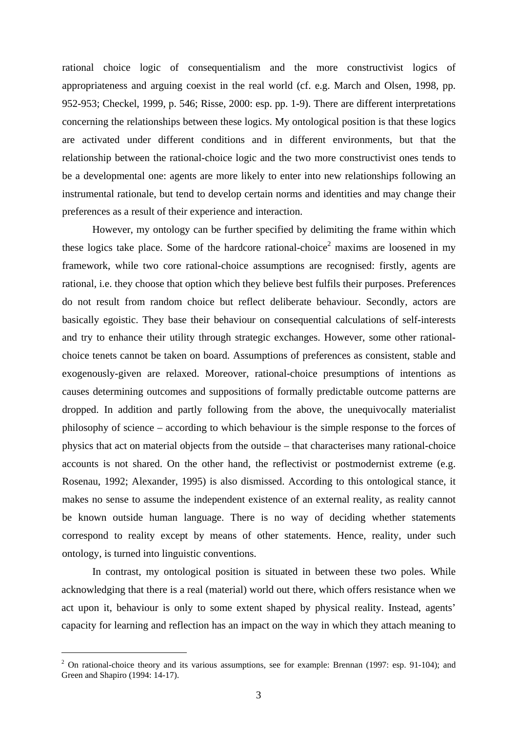rational choice logic of consequentialism and the more constructivist logics of appropriateness and arguing coexist in the real world (cf. e.g. March and Olsen, 1998, pp. 952-953; Checkel, 1999, p. 546; Risse, 2000: esp. pp. 1-9). There are different interpretations concerning the relationships between these logics. My ontological position is that these logics are activated under different conditions and in different environments, but that the relationship between the rational-choice logic and the two more constructivist ones tends to be a developmental one: agents are more likely to enter into new relationships following an instrumental rationale, but tend to develop certain norms and identities and may change their preferences as a result of their experience and interaction.

However, my ontology can be further specified by delimiting the frame within which these logics take place. Some of the hardcore rational-choice<sup>2</sup> maxims are loosened in my framework, while two core rational-choice assumptions are recognised: firstly, agents are rational, i.e. they choose that option which they believe best fulfils their purposes. Preferences do not result from random choice but reflect deliberate behaviour. Secondly, actors are basically egoistic. They base their behaviour on consequential calculations of self-interests and try to enhance their utility through strategic exchanges. However, some other rationalchoice tenets cannot be taken on board. Assumptions of preferences as consistent, stable and exogenously-given are relaxed. Moreover, rational-choice presumptions of intentions as causes determining outcomes and suppositions of formally predictable outcome patterns are dropped. In addition and partly following from the above, the unequivocally materialist philosophy of science – according to which behaviour is the simple response to the forces of physics that act on material objects from the outside – that characterises many rational-choice accounts is not shared. On the other hand, the reflectivist or postmodernist extreme (e.g. Rosenau, 1992; Alexander, 1995) is also dismissed. According to this ontological stance, it makes no sense to assume the independent existence of an external reality, as reality cannot be known outside human language. There is no way of deciding whether statements correspond to reality except by means of other statements. Hence, reality, under such ontology, is turned into linguistic conventions.

In contrast, my ontological position is situated in between these two poles. While acknowledging that there is a real (material) world out there, which offers resistance when we act upon it, behaviour is only to some extent shaped by physical reality. Instead, agents' capacity for learning and reflection has an impact on the way in which they attach meaning to

<sup>&</sup>lt;sup>2</sup> On rational-choice theory and its various assumptions, see for example: Brennan (1997: esp. 91-104); and Green and Shapiro (1994: 14-17).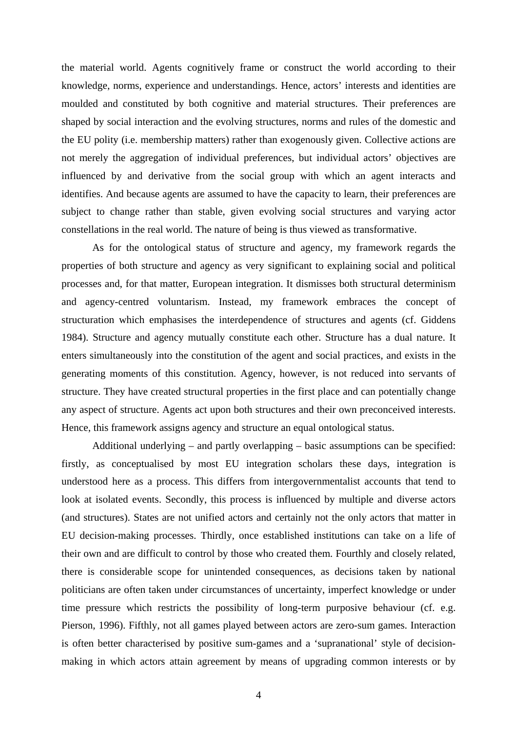the material world. Agents cognitively frame or construct the world according to their knowledge, norms, experience and understandings. Hence, actors' interests and identities are moulded and constituted by both cognitive and material structures. Their preferences are shaped by social interaction and the evolving structures, norms and rules of the domestic and the EU polity (i.e. membership matters) rather than exogenously given. Collective actions are not merely the aggregation of individual preferences, but individual actors' objectives are influenced by and derivative from the social group with which an agent interacts and identifies. And because agents are assumed to have the capacity to learn, their preferences are subject to change rather than stable, given evolving social structures and varying actor constellations in the real world. The nature of being is thus viewed as transformative.

As for the ontological status of structure and agency, my framework regards the properties of both structure and agency as very significant to explaining social and political processes and, for that matter, European integration. It dismisses both structural determinism and agency-centred voluntarism. Instead, my framework embraces the concept of structuration which emphasises the interdependence of structures and agents (cf. Giddens 1984). Structure and agency mutually constitute each other. Structure has a dual nature. It enters simultaneously into the constitution of the agent and social practices, and exists in the generating moments of this constitution. Agency, however, is not reduced into servants of structure. They have created structural properties in the first place and can potentially change any aspect of structure. Agents act upon both structures and their own preconceived interests. Hence, this framework assigns agency and structure an equal ontological status.

Additional underlying – and partly overlapping – basic assumptions can be specified: firstly, as conceptualised by most EU integration scholars these days, integration is understood here as a process. This differs from intergovernmentalist accounts that tend to look at isolated events. Secondly, this process is influenced by multiple and diverse actors (and structures). States are not unified actors and certainly not the only actors that matter in EU decision-making processes. Thirdly, once established institutions can take on a life of their own and are difficult to control by those who created them. Fourthly and closely related, there is considerable scope for unintended consequences, as decisions taken by national politicians are often taken under circumstances of uncertainty, imperfect knowledge or under time pressure which restricts the possibility of long-term purposive behaviour (cf. e.g. Pierson, 1996). Fifthly, not all games played between actors are zero-sum games. Interaction is often better characterised by positive sum-games and a 'supranational' style of decisionmaking in which actors attain agreement by means of upgrading common interests or by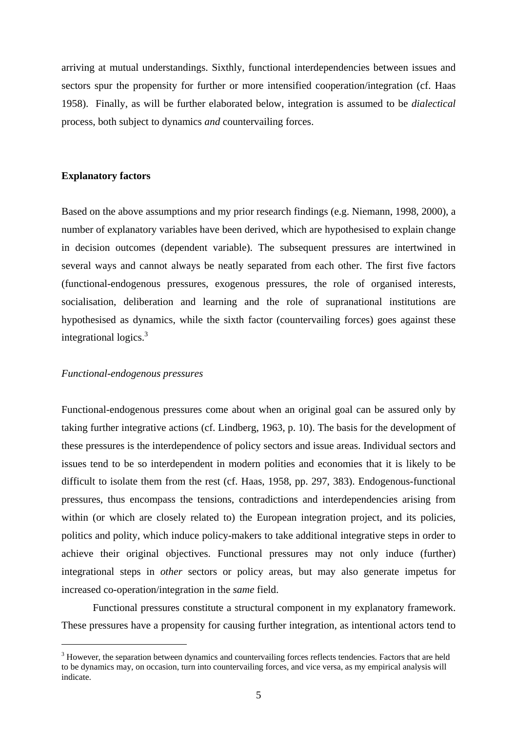arriving at mutual understandings. Sixthly, functional interdependencies between issues and sectors spur the propensity for further or more intensified cooperation/integration (cf. Haas 1958). Finally, as will be further elaborated below, integration is assumed to be *dialectical*  process, both subject to dynamics *and* countervailing forces.

#### **Explanatory factors**

Based on the above assumptions and my prior research findings (e.g. Niemann, 1998, 2000), a number of explanatory variables have been derived, which are hypothesised to explain change in decision outcomes (dependent variable). The subsequent pressures are intertwined in several ways and cannot always be neatly separated from each other. The first five factors (functional-endogenous pressures, exogenous pressures, the role of organised interests, socialisation, deliberation and learning and the role of supranational institutions are hypothesised as dynamics, while the sixth factor (countervailing forces) goes against these integrational logics.<sup>3</sup>

#### *Functional-endogenous pressures*

1

Functional-endogenous pressures come about when an original goal can be assured only by taking further integrative actions (cf. Lindberg, 1963, p. 10). The basis for the development of these pressures is the interdependence of policy sectors and issue areas. Individual sectors and issues tend to be so interdependent in modern polities and economies that it is likely to be difficult to isolate them from the rest (cf. Haas, 1958, pp. 297, 383). Endogenous-functional pressures, thus encompass the tensions, contradictions and interdependencies arising from within (or which are closely related to) the European integration project, and its policies, politics and polity, which induce policy-makers to take additional integrative steps in order to achieve their original objectives. Functional pressures may not only induce (further) integrational steps in *other* sectors or policy areas, but may also generate impetus for increased co-operation/integration in the *same* field.

 Functional pressures constitute a structural component in my explanatory framework. These pressures have a propensity for causing further integration, as intentional actors tend to

 $3$  However, the separation between dynamics and countervailing forces reflects tendencies. Factors that are held to be dynamics may, on occasion, turn into countervailing forces, and vice versa, as my empirical analysis will indicate.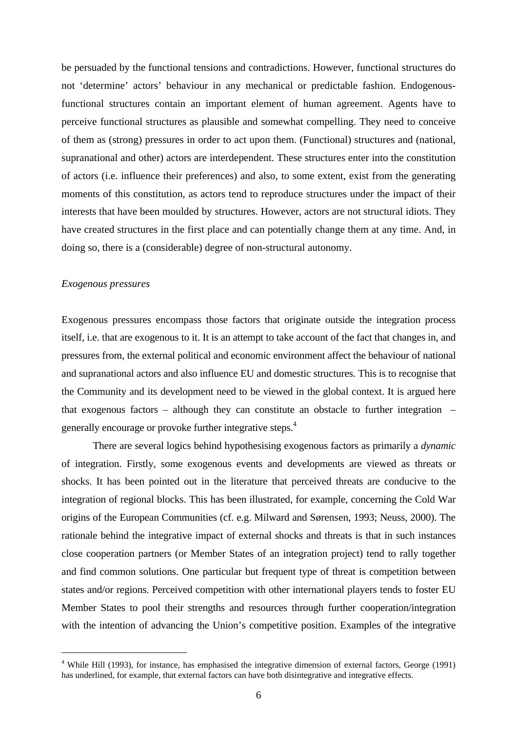be persuaded by the functional tensions and contradictions. However, functional structures do not 'determine' actors' behaviour in any mechanical or predictable fashion. Endogenousfunctional structures contain an important element of human agreement. Agents have to perceive functional structures as plausible and somewhat compelling. They need to conceive of them as (strong) pressures in order to act upon them. (Functional) structures and (national, supranational and other) actors are interdependent. These structures enter into the constitution of actors (i.e. influence their preferences) and also, to some extent, exist from the generating moments of this constitution, as actors tend to reproduce structures under the impact of their interests that have been moulded by structures. However, actors are not structural idiots. They have created structures in the first place and can potentially change them at any time. And, in doing so, there is a (considerable) degree of non-structural autonomy.

#### *Exogenous pressures*

1

Exogenous pressures encompass those factors that originate outside the integration process itself, i.e. that are exogenous to it. It is an attempt to take account of the fact that changes in, and pressures from, the external political and economic environment affect the behaviour of national and supranational actors and also influence EU and domestic structures. This is to recognise that the Community and its development need to be viewed in the global context. It is argued here that exogenous factors – although they can constitute an obstacle to further integration – generally encourage or provoke further integrative steps.4

There are several logics behind hypothesising exogenous factors as primarily a *dynamic* of integration. Firstly, some exogenous events and developments are viewed as threats or shocks. It has been pointed out in the literature that perceived threats are conducive to the integration of regional blocks. This has been illustrated, for example, concerning the Cold War origins of the European Communities (cf. e.g. Milward and Sørensen, 1993; Neuss, 2000). The rationale behind the integrative impact of external shocks and threats is that in such instances close cooperation partners (or Member States of an integration project) tend to rally together and find common solutions. One particular but frequent type of threat is competition between states and/or regions. Perceived competition with other international players tends to foster EU Member States to pool their strengths and resources through further cooperation/integration with the intention of advancing the Union's competitive position. Examples of the integrative

<sup>&</sup>lt;sup>4</sup> While Hill (1993), for instance, has emphasised the integrative dimension of external factors, George (1991) has underlined, for example, that external factors can have both disintegrative and integrative effects.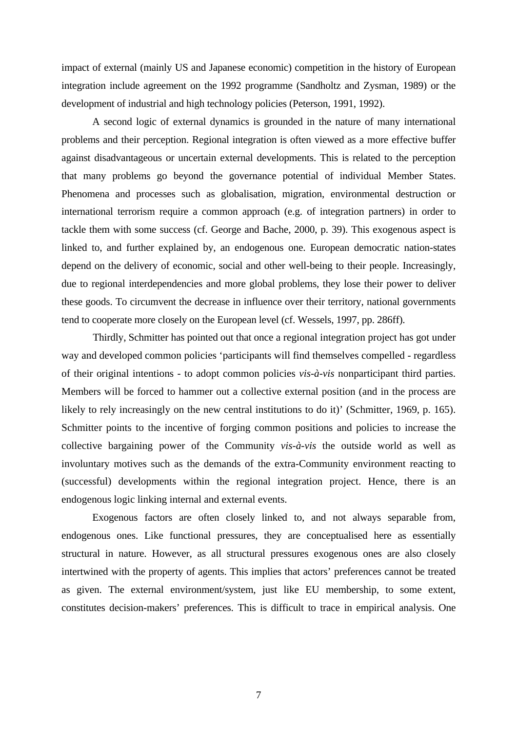impact of external (mainly US and Japanese economic) competition in the history of European integration include agreement on the 1992 programme (Sandholtz and Zysman, 1989) or the development of industrial and high technology policies (Peterson, 1991, 1992).

A second logic of external dynamics is grounded in the nature of many international problems and their perception. Regional integration is often viewed as a more effective buffer against disadvantageous or uncertain external developments. This is related to the perception that many problems go beyond the governance potential of individual Member States. Phenomena and processes such as globalisation, migration, environmental destruction or international terrorism require a common approach (e.g. of integration partners) in order to tackle them with some success (cf. George and Bache, 2000, p. 39). This exogenous aspect is linked to, and further explained by, an endogenous one. European democratic nation-states depend on the delivery of economic, social and other well-being to their people. Increasingly, due to regional interdependencies and more global problems, they lose their power to deliver these goods. To circumvent the decrease in influence over their territory, national governments tend to cooperate more closely on the European level (cf. Wessels, 1997, pp. 286ff).

 Thirdly, Schmitter has pointed out that once a regional integration project has got under way and developed common policies 'participants will find themselves compelled - regardless of their original intentions - to adopt common policies *vis-à-vis* nonparticipant third parties. Members will be forced to hammer out a collective external position (and in the process are likely to rely increasingly on the new central institutions to do it)' (Schmitter, 1969, p. 165). Schmitter points to the incentive of forging common positions and policies to increase the collective bargaining power of the Community *vis-à-vis* the outside world as well as involuntary motives such as the demands of the extra-Community environment reacting to (successful) developments within the regional integration project. Hence, there is an endogenous logic linking internal and external events.

Exogenous factors are often closely linked to, and not always separable from, endogenous ones. Like functional pressures, they are conceptualised here as essentially structural in nature. However, as all structural pressures exogenous ones are also closely intertwined with the property of agents. This implies that actors' preferences cannot be treated as given. The external environment/system, just like EU membership, to some extent, constitutes decision-makers' preferences. This is difficult to trace in empirical analysis. One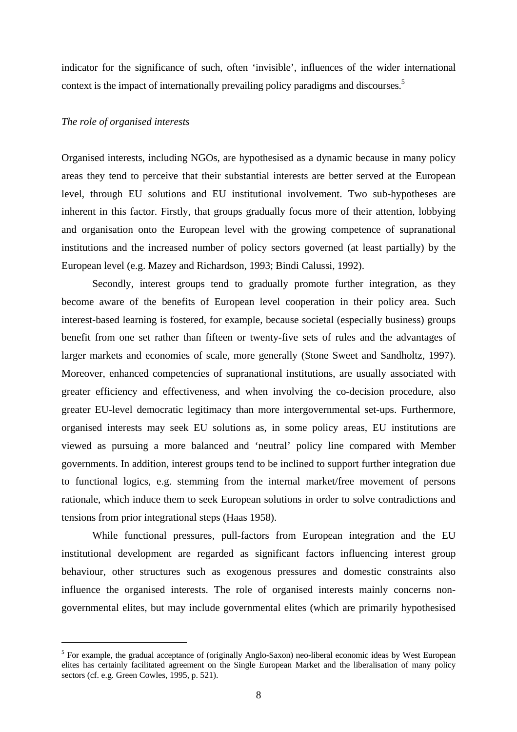indicator for the significance of such, often 'invisible', influences of the wider international context is the impact of internationally prevailing policy paradigms and discourses.<sup>5</sup>

#### *The role of organised interests*

1

Organised interests, including NGOs, are hypothesised as a dynamic because in many policy areas they tend to perceive that their substantial interests are better served at the European level, through EU solutions and EU institutional involvement. Two sub-hypotheses are inherent in this factor. Firstly, that groups gradually focus more of their attention, lobbying and organisation onto the European level with the growing competence of supranational institutions and the increased number of policy sectors governed (at least partially) by the European level (e.g. Mazey and Richardson, 1993; Bindi Calussi, 1992).

Secondly, interest groups tend to gradually promote further integration, as they become aware of the benefits of European level cooperation in their policy area. Such interest-based learning is fostered, for example, because societal (especially business) groups benefit from one set rather than fifteen or twenty-five sets of rules and the advantages of larger markets and economies of scale, more generally (Stone Sweet and Sandholtz, 1997). Moreover, enhanced competencies of supranational institutions, are usually associated with greater efficiency and effectiveness, and when involving the co-decision procedure, also greater EU-level democratic legitimacy than more intergovernmental set-ups. Furthermore, organised interests may seek EU solutions as, in some policy areas, EU institutions are viewed as pursuing a more balanced and 'neutral' policy line compared with Member governments. In addition, interest groups tend to be inclined to support further integration due to functional logics, e.g. stemming from the internal market/free movement of persons rationale, which induce them to seek European solutions in order to solve contradictions and tensions from prior integrational steps (Haas 1958).

While functional pressures, pull-factors from European integration and the EU institutional development are regarded as significant factors influencing interest group behaviour, other structures such as exogenous pressures and domestic constraints also influence the organised interests. The role of organised interests mainly concerns nongovernmental elites, but may include governmental elites (which are primarily hypothesised

<sup>&</sup>lt;sup>5</sup> For example, the gradual acceptance of (originally Anglo-Saxon) neo-liberal economic ideas by West European elites has certainly facilitated agreement on the Single European Market and the liberalisation of many policy sectors (cf. e.g. Green Cowles, 1995, p. 521).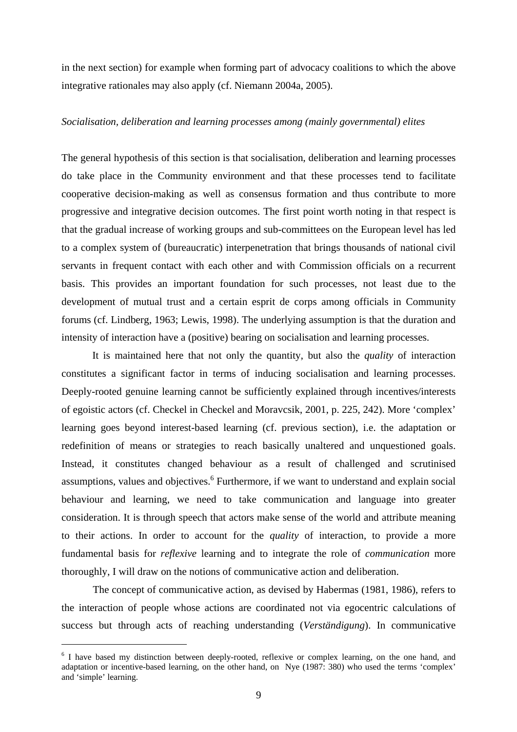in the next section) for example when forming part of advocacy coalitions to which the above integrative rationales may also apply (cf. Niemann 2004a, 2005).

# *Socialisation, deliberation and learning processes among (mainly governmental) elites*

The general hypothesis of this section is that socialisation, deliberation and learning processes do take place in the Community environment and that these processes tend to facilitate cooperative decision-making as well as consensus formation and thus contribute to more progressive and integrative decision outcomes. The first point worth noting in that respect is that the gradual increase of working groups and sub-committees on the European level has led to a complex system of (bureaucratic) interpenetration that brings thousands of national civil servants in frequent contact with each other and with Commission officials on a recurrent basis. This provides an important foundation for such processes, not least due to the development of mutual trust and a certain esprit de corps among officials in Community forums (cf. Lindberg, 1963; Lewis, 1998). The underlying assumption is that the duration and intensity of interaction have a (positive) bearing on socialisation and learning processes.

It is maintained here that not only the quantity, but also the *quality* of interaction constitutes a significant factor in terms of inducing socialisation and learning processes. Deeply-rooted genuine learning cannot be sufficiently explained through incentives/interests of egoistic actors (cf. Checkel in Checkel and Moravcsik, 2001, p. 225, 242). More 'complex' learning goes beyond interest-based learning (cf. previous section), i.e. the adaptation or redefinition of means or strategies to reach basically unaltered and unquestioned goals. Instead, it constitutes changed behaviour as a result of challenged and scrutinised assumptions, values and objectives.<sup>6</sup> Furthermore, if we want to understand and explain social behaviour and learning, we need to take communication and language into greater consideration. It is through speech that actors make sense of the world and attribute meaning to their actions. In order to account for the *quality* of interaction, to provide a more fundamental basis for *reflexive* learning and to integrate the role of *communication* more thoroughly, I will draw on the notions of communicative action and deliberation.

The concept of communicative action, as devised by Habermas (1981, 1986), refers to the interaction of people whose actions are coordinated not via egocentric calculations of success but through acts of reaching understanding (*Verständigung*). In communicative

<sup>&</sup>lt;sup>6</sup> I have based my distinction between deeply-rooted, reflexive or complex learning, on the one hand, and adaptation or incentive-based learning, on the other hand, on Nye (1987: 380) who used the terms 'complex' and 'simple' learning.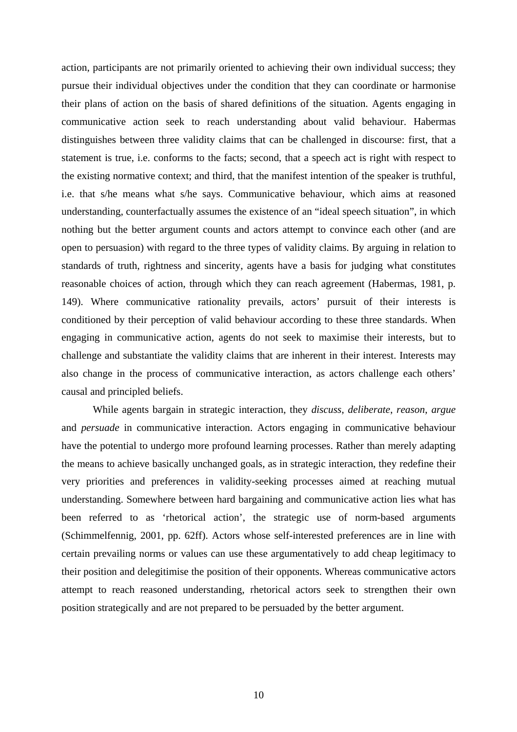action, participants are not primarily oriented to achieving their own individual success; they pursue their individual objectives under the condition that they can coordinate or harmonise their plans of action on the basis of shared definitions of the situation. Agents engaging in communicative action seek to reach understanding about valid behaviour. Habermas distinguishes between three validity claims that can be challenged in discourse: first, that a statement is true, i.e. conforms to the facts; second, that a speech act is right with respect to the existing normative context; and third, that the manifest intention of the speaker is truthful, i.e. that s/he means what s/he says. Communicative behaviour, which aims at reasoned understanding, counterfactually assumes the existence of an "ideal speech situation", in which nothing but the better argument counts and actors attempt to convince each other (and are open to persuasion) with regard to the three types of validity claims. By arguing in relation to standards of truth, rightness and sincerity, agents have a basis for judging what constitutes reasonable choices of action, through which they can reach agreement (Habermas, 1981, p. 149). Where communicative rationality prevails, actors' pursuit of their interests is conditioned by their perception of valid behaviour according to these three standards. When engaging in communicative action, agents do not seek to maximise their interests, but to challenge and substantiate the validity claims that are inherent in their interest. Interests may also change in the process of communicative interaction, as actors challenge each others' causal and principled beliefs.

While agents bargain in strategic interaction, they *discuss*, *deliberate*, *reason*, *argue* and *persuade* in communicative interaction. Actors engaging in communicative behaviour have the potential to undergo more profound learning processes. Rather than merely adapting the means to achieve basically unchanged goals, as in strategic interaction, they redefine their very priorities and preferences in validity-seeking processes aimed at reaching mutual understanding. Somewhere between hard bargaining and communicative action lies what has been referred to as 'rhetorical action', the strategic use of norm-based arguments (Schimmelfennig, 2001, pp. 62ff). Actors whose self-interested preferences are in line with certain prevailing norms or values can use these argumentatively to add cheap legitimacy to their position and delegitimise the position of their opponents. Whereas communicative actors attempt to reach reasoned understanding, rhetorical actors seek to strengthen their own position strategically and are not prepared to be persuaded by the better argument.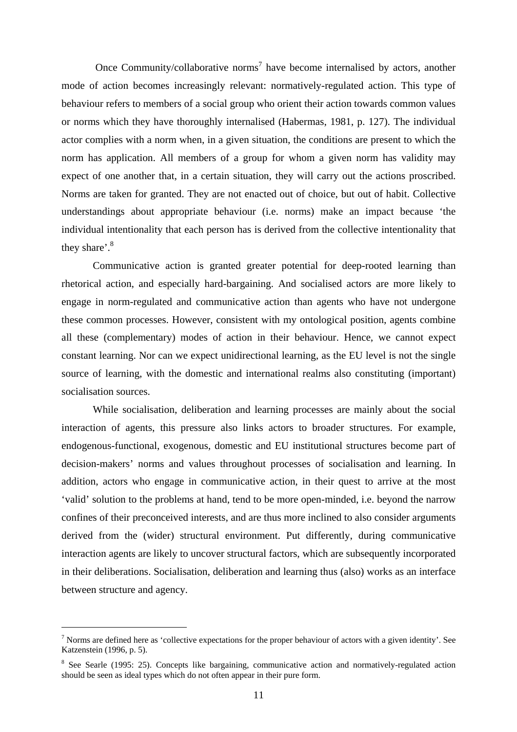Once Community/collaborative norms<sup>7</sup> have become internalised by actors, another mode of action becomes increasingly relevant: normatively-regulated action. This type of behaviour refers to members of a social group who orient their action towards common values or norms which they have thoroughly internalised (Habermas, 1981, p. 127). The individual actor complies with a norm when, in a given situation, the conditions are present to which the norm has application. All members of a group for whom a given norm has validity may expect of one another that, in a certain situation, they will carry out the actions proscribed. Norms are taken for granted. They are not enacted out of choice, but out of habit. Collective understandings about appropriate behaviour (i.e. norms) make an impact because 'the individual intentionality that each person has is derived from the collective intentionality that they share'. $8$ 

Communicative action is granted greater potential for deep-rooted learning than rhetorical action, and especially hard-bargaining. And socialised actors are more likely to engage in norm-regulated and communicative action than agents who have not undergone these common processes. However, consistent with my ontological position, agents combine all these (complementary) modes of action in their behaviour. Hence, we cannot expect constant learning. Nor can we expect unidirectional learning, as the EU level is not the single source of learning, with the domestic and international realms also constituting (important) socialisation sources.

While socialisation, deliberation and learning processes are mainly about the social interaction of agents, this pressure also links actors to broader structures. For example, endogenous-functional, exogenous, domestic and EU institutional structures become part of decision-makers' norms and values throughout processes of socialisation and learning. In addition, actors who engage in communicative action, in their quest to arrive at the most 'valid' solution to the problems at hand, tend to be more open-minded, i.e. beyond the narrow confines of their preconceived interests, and are thus more inclined to also consider arguments derived from the (wider) structural environment. Put differently, during communicative interaction agents are likely to uncover structural factors, which are subsequently incorporated in their deliberations. Socialisation, deliberation and learning thus (also) works as an interface between structure and agency.

 $<sup>7</sup>$  Norms are defined here as 'collective expectations for the proper behaviour of actors with a given identity'. See</sup> Katzenstein (1996, p. 5).

<sup>&</sup>lt;sup>8</sup> See Searle (1995: 25). Concepts like bargaining, communicative action and normatively-regulated action should be seen as ideal types which do not often appear in their pure form.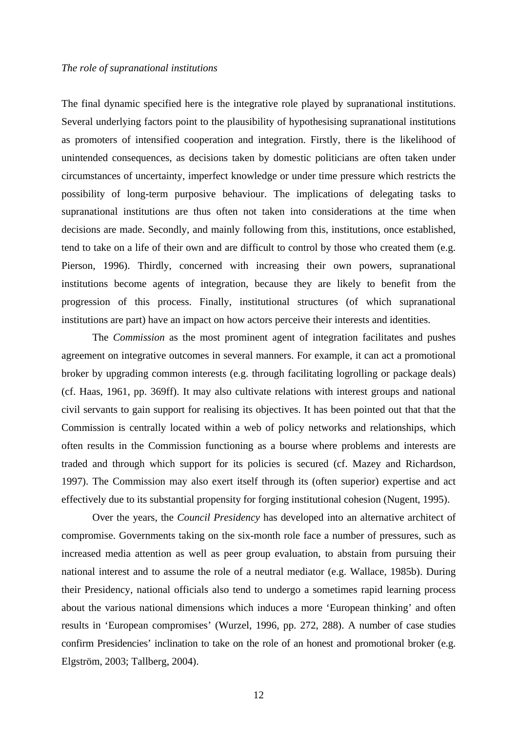#### *The role of supranational institutions*

The final dynamic specified here is the integrative role played by supranational institutions. Several underlying factors point to the plausibility of hypothesising supranational institutions as promoters of intensified cooperation and integration. Firstly, there is the likelihood of unintended consequences, as decisions taken by domestic politicians are often taken under circumstances of uncertainty, imperfect knowledge or under time pressure which restricts the possibility of long-term purposive behaviour. The implications of delegating tasks to supranational institutions are thus often not taken into considerations at the time when decisions are made. Secondly, and mainly following from this, institutions, once established, tend to take on a life of their own and are difficult to control by those who created them (e.g. Pierson, 1996). Thirdly, concerned with increasing their own powers, supranational institutions become agents of integration, because they are likely to benefit from the progression of this process. Finally, institutional structures (of which supranational institutions are part) have an impact on how actors perceive their interests and identities.

 The *Commission* as the most prominent agent of integration facilitates and pushes agreement on integrative outcomes in several manners. For example, it can act a promotional broker by upgrading common interests (e.g. through facilitating logrolling or package deals) (cf. Haas, 1961, pp. 369ff). It may also cultivate relations with interest groups and national civil servants to gain support for realising its objectives. It has been pointed out that that the Commission is centrally located within a web of policy networks and relationships, which often results in the Commission functioning as a bourse where problems and interests are traded and through which support for its policies is secured (cf. Mazey and Richardson, 1997). The Commission may also exert itself through its (often superior) expertise and act effectively due to its substantial propensity for forging institutional cohesion (Nugent, 1995).

 Over the years, the *Council Presidency* has developed into an alternative architect of compromise. Governments taking on the six-month role face a number of pressures, such as increased media attention as well as peer group evaluation, to abstain from pursuing their national interest and to assume the role of a neutral mediator (e.g. Wallace, 1985b). During their Presidency, national officials also tend to undergo a sometimes rapid learning process about the various national dimensions which induces a more 'European thinking' and often results in 'European compromises' (Wurzel, 1996, pp. 272, 288). A number of case studies confirm Presidencies' inclination to take on the role of an honest and promotional broker (e.g. Elgström, 2003; Tallberg, 2004).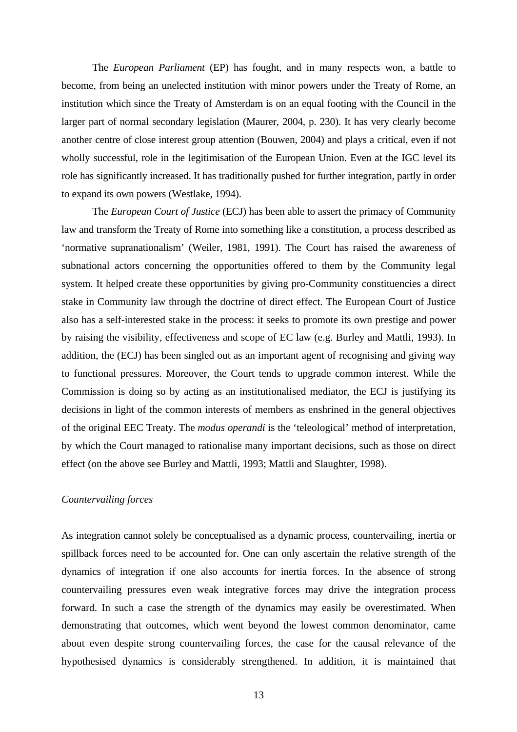The *European Parliament* (EP) has fought, and in many respects won, a battle to become, from being an unelected institution with minor powers under the Treaty of Rome, an institution which since the Treaty of Amsterdam is on an equal footing with the Council in the larger part of normal secondary legislation (Maurer, 2004, p. 230). It has very clearly become another centre of close interest group attention (Bouwen, 2004) and plays a critical, even if not wholly successful, role in the legitimisation of the European Union. Even at the IGC level its role has significantly increased. It has traditionally pushed for further integration, partly in order to expand its own powers (Westlake, 1994).

The *European Court of Justice* (ECJ) has been able to assert the primacy of Community law and transform the Treaty of Rome into something like a constitution, a process described as 'normative supranationalism' (Weiler, 1981, 1991). The Court has raised the awareness of subnational actors concerning the opportunities offered to them by the Community legal system. It helped create these opportunities by giving pro-Community constituencies a direct stake in Community law through the doctrine of direct effect. The European Court of Justice also has a self-interested stake in the process: it seeks to promote its own prestige and power by raising the visibility, effectiveness and scope of EC law (e.g. Burley and Mattli, 1993). In addition, the (ECJ) has been singled out as an important agent of recognising and giving way to functional pressures. Moreover, the Court tends to upgrade common interest. While the Commission is doing so by acting as an institutionalised mediator, the ECJ is justifying its decisions in light of the common interests of members as enshrined in the general objectives of the original EEC Treaty. The *modus operandi* is the 'teleological' method of interpretation, by which the Court managed to rationalise many important decisions, such as those on direct effect (on the above see Burley and Mattli, 1993; Mattli and Slaughter, 1998).

# *Countervailing forces*

As integration cannot solely be conceptualised as a dynamic process, countervailing, inertia or spillback forces need to be accounted for. One can only ascertain the relative strength of the dynamics of integration if one also accounts for inertia forces. In the absence of strong countervailing pressures even weak integrative forces may drive the integration process forward. In such a case the strength of the dynamics may easily be overestimated. When demonstrating that outcomes, which went beyond the lowest common denominator, came about even despite strong countervailing forces, the case for the causal relevance of the hypothesised dynamics is considerably strengthened. In addition, it is maintained that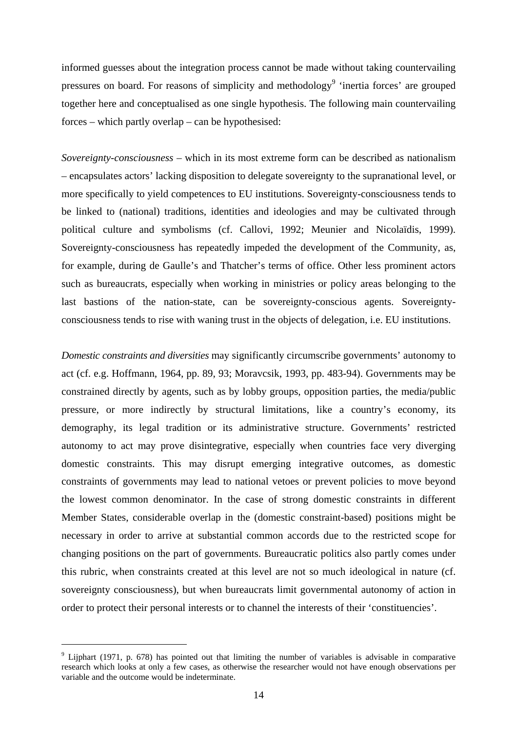informed guesses about the integration process cannot be made without taking countervailing pressures on board. For reasons of simplicity and methodology<sup>9</sup> 'inertia forces' are grouped together here and conceptualised as one single hypothesis. The following main countervailing forces – which partly overlap – can be hypothesised:

*Sovereignty-consciousness* – which in its most extreme form can be described as nationalism – encapsulates actors' lacking disposition to delegate sovereignty to the supranational level, or more specifically to yield competences to EU institutions. Sovereignty-consciousness tends to be linked to (national) traditions, identities and ideologies and may be cultivated through political culture and symbolisms (cf. Callovi, 1992; Meunier and Nicolaïdis, 1999). Sovereignty-consciousness has repeatedly impeded the development of the Community, as, for example, during de Gaulle's and Thatcher's terms of office. Other less prominent actors such as bureaucrats, especially when working in ministries or policy areas belonging to the last bastions of the nation-state, can be sovereignty-conscious agents. Sovereigntyconsciousness tends to rise with waning trust in the objects of delegation, i.e. EU institutions.

*Domestic constraints and diversities* may significantly circumscribe governments' autonomy to act (cf. e.g. Hoffmann, 1964, pp. 89, 93; Moravcsik, 1993, pp. 483-94). Governments may be constrained directly by agents, such as by lobby groups, opposition parties, the media/public pressure, or more indirectly by structural limitations, like a country's economy, its demography, its legal tradition or its administrative structure. Governments' restricted autonomy to act may prove disintegrative, especially when countries face very diverging domestic constraints. This may disrupt emerging integrative outcomes, as domestic constraints of governments may lead to national vetoes or prevent policies to move beyond the lowest common denominator. In the case of strong domestic constraints in different Member States, considerable overlap in the (domestic constraint-based) positions might be necessary in order to arrive at substantial common accords due to the restricted scope for changing positions on the part of governments. Bureaucratic politics also partly comes under this rubric, when constraints created at this level are not so much ideological in nature (cf. sovereignty consciousness), but when bureaucrats limit governmental autonomy of action in order to protect their personal interests or to channel the interests of their 'constituencies'.

<sup>&</sup>lt;sup>9</sup> Lijphart (1971, p. 678) has pointed out that limiting the number of variables is advisable in comparative research which looks at only a few cases, as otherwise the researcher would not have enough observations per variable and the outcome would be indeterminate.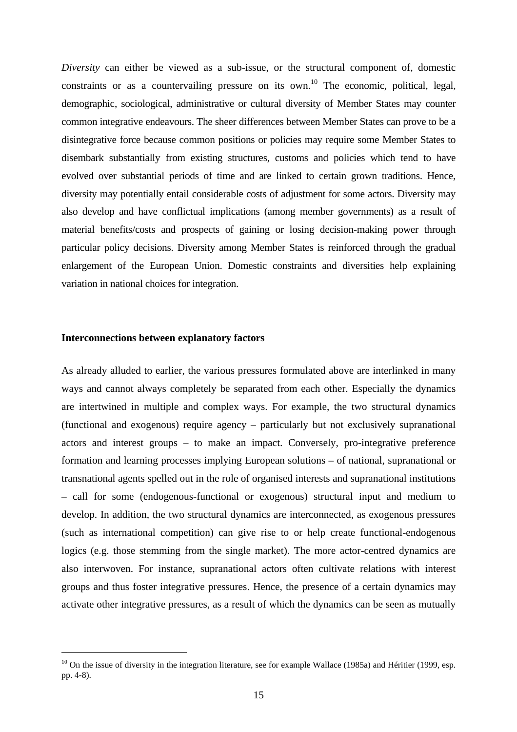*Diversity* can either be viewed as a sub-issue, or the structural component of, domestic constraints or as a countervailing pressure on its own.<sup>10</sup> The economic, political, legal, demographic, sociological, administrative or cultural diversity of Member States may counter common integrative endeavours. The sheer differences between Member States can prove to be a disintegrative force because common positions or policies may require some Member States to disembark substantially from existing structures, customs and policies which tend to have evolved over substantial periods of time and are linked to certain grown traditions. Hence, diversity may potentially entail considerable costs of adjustment for some actors. Diversity may also develop and have conflictual implications (among member governments) as a result of material benefits/costs and prospects of gaining or losing decision-making power through particular policy decisions. Diversity among Member States is reinforced through the gradual enlargement of the European Union. Domestic constraints and diversities help explaining variation in national choices for integration.

# **Interconnections between explanatory factors**

1

As already alluded to earlier, the various pressures formulated above are interlinked in many ways and cannot always completely be separated from each other. Especially the dynamics are intertwined in multiple and complex ways. For example, the two structural dynamics (functional and exogenous) require agency – particularly but not exclusively supranational actors and interest groups – to make an impact. Conversely, pro-integrative preference formation and learning processes implying European solutions – of national, supranational or transnational agents spelled out in the role of organised interests and supranational institutions – call for some (endogenous-functional or exogenous) structural input and medium to develop. In addition, the two structural dynamics are interconnected, as exogenous pressures (such as international competition) can give rise to or help create functional-endogenous logics (e.g. those stemming from the single market). The more actor-centred dynamics are also interwoven. For instance, supranational actors often cultivate relations with interest groups and thus foster integrative pressures. Hence, the presence of a certain dynamics may activate other integrative pressures, as a result of which the dynamics can be seen as mutually

 $10$  On the issue of diversity in the integration literature, see for example Wallace (1985a) and Héritier (1999, esp. pp. 4-8).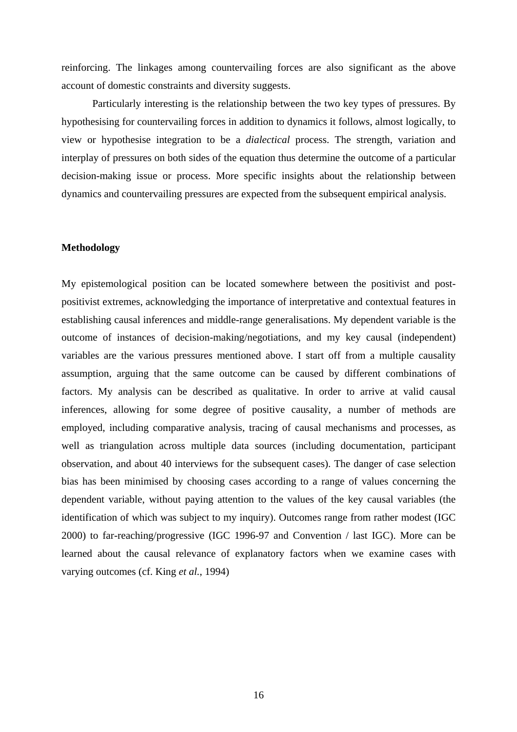reinforcing. The linkages among countervailing forces are also significant as the above account of domestic constraints and diversity suggests.

Particularly interesting is the relationship between the two key types of pressures. By hypothesising for countervailing forces in addition to dynamics it follows, almost logically, to view or hypothesise integration to be a *dialectical* process. The strength, variation and interplay of pressures on both sides of the equation thus determine the outcome of a particular decision-making issue or process. More specific insights about the relationship between dynamics and countervailing pressures are expected from the subsequent empirical analysis.

# **Methodology**

My epistemological position can be located somewhere between the positivist and postpositivist extremes, acknowledging the importance of interpretative and contextual features in establishing causal inferences and middle-range generalisations. My dependent variable is the outcome of instances of decision-making/negotiations, and my key causal (independent) variables are the various pressures mentioned above. I start off from a multiple causality assumption, arguing that the same outcome can be caused by different combinations of factors. My analysis can be described as qualitative. In order to arrive at valid causal inferences, allowing for some degree of positive causality, a number of methods are employed, including comparative analysis, tracing of causal mechanisms and processes, as well as triangulation across multiple data sources (including documentation, participant observation, and about 40 interviews for the subsequent cases). The danger of case selection bias has been minimised by choosing cases according to a range of values concerning the dependent variable, without paying attention to the values of the key causal variables (the identification of which was subject to my inquiry). Outcomes range from rather modest (IGC 2000) to far-reaching/progressive (IGC 1996-97 and Convention / last IGC). More can be learned about the causal relevance of explanatory factors when we examine cases with varying outcomes (cf. King *et al.*, 1994)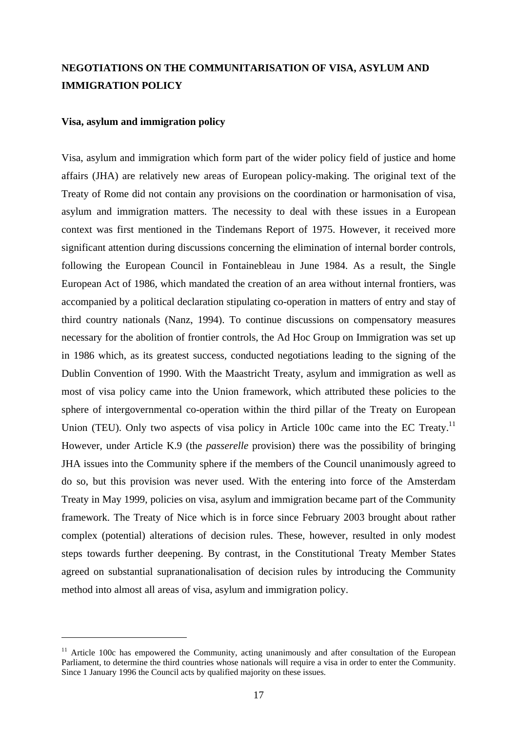# **NEGOTIATIONS ON THE COMMUNITARISATION OF VISA, ASYLUM AND IMMIGRATION POLICY**

#### **Visa, asylum and immigration policy**

1

Visa, asylum and immigration which form part of the wider policy field of justice and home affairs (JHA) are relatively new areas of European policy-making. The original text of the Treaty of Rome did not contain any provisions on the coordination or harmonisation of visa, asylum and immigration matters. The necessity to deal with these issues in a European context was first mentioned in the Tindemans Report of 1975. However, it received more significant attention during discussions concerning the elimination of internal border controls, following the European Council in Fontainebleau in June 1984. As a result, the Single European Act of 1986, which mandated the creation of an area without internal frontiers, was accompanied by a political declaration stipulating co-operation in matters of entry and stay of third country nationals (Nanz, 1994). To continue discussions on compensatory measures necessary for the abolition of frontier controls, the Ad Hoc Group on Immigration was set up in 1986 which, as its greatest success, conducted negotiations leading to the signing of the Dublin Convention of 1990. With the Maastricht Treaty, asylum and immigration as well as most of visa policy came into the Union framework, which attributed these policies to the sphere of intergovernmental co-operation within the third pillar of the Treaty on European Union (TEU). Only two aspects of visa policy in Article 100c came into the EC Treaty.<sup>11</sup> However, under Article K.9 (the *passerelle* provision) there was the possibility of bringing JHA issues into the Community sphere if the members of the Council unanimously agreed to do so, but this provision was never used. With the entering into force of the Amsterdam Treaty in May 1999, policies on visa, asylum and immigration became part of the Community framework. The Treaty of Nice which is in force since February 2003 brought about rather complex (potential) alterations of decision rules. These, however, resulted in only modest steps towards further deepening. By contrast, in the Constitutional Treaty Member States agreed on substantial supranationalisation of decision rules by introducing the Community method into almost all areas of visa, asylum and immigration policy.

 $11$  Article 100c has empowered the Community, acting unanimously and after consultation of the European Parliament, to determine the third countries whose nationals will require a visa in order to enter the Community. Since 1 January 1996 the Council acts by qualified majority on these issues.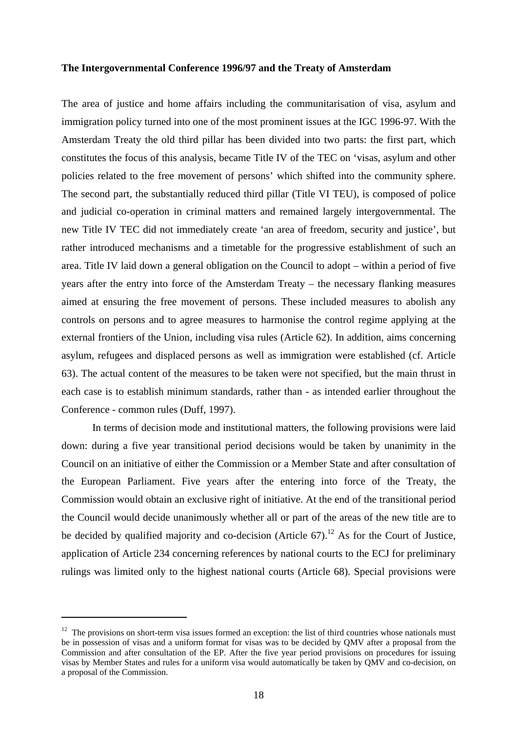#### **The Intergovernmental Conference 1996/97 and the Treaty of Amsterdam**

The area of justice and home affairs including the communitarisation of visa, asylum and immigration policy turned into one of the most prominent issues at the IGC 1996-97. With the Amsterdam Treaty the old third pillar has been divided into two parts: the first part, which constitutes the focus of this analysis, became Title IV of the TEC on 'visas, asylum and other policies related to the free movement of persons' which shifted into the community sphere. The second part, the substantially reduced third pillar (Title VI TEU), is composed of police and judicial co-operation in criminal matters and remained largely intergovernmental. The new Title IV TEC did not immediately create 'an area of freedom, security and justice', but rather introduced mechanisms and a timetable for the progressive establishment of such an area. Title IV laid down a general obligation on the Council to adopt – within a period of five years after the entry into force of the Amsterdam Treaty – the necessary flanking measures aimed at ensuring the free movement of persons. These included measures to abolish any controls on persons and to agree measures to harmonise the control regime applying at the external frontiers of the Union, including visa rules (Article 62). In addition, aims concerning asylum, refugees and displaced persons as well as immigration were established (cf. Article 63). The actual content of the measures to be taken were not specified, but the main thrust in each case is to establish minimum standards, rather than - as intended earlier throughout the Conference - common rules (Duff, 1997).

In terms of decision mode and institutional matters, the following provisions were laid down: during a five year transitional period decisions would be taken by unanimity in the Council on an initiative of either the Commission or a Member State and after consultation of the European Parliament. Five years after the entering into force of the Treaty, the Commission would obtain an exclusive right of initiative. At the end of the transitional period the Council would decide unanimously whether all or part of the areas of the new title are to be decided by qualified majority and co-decision (Article  $67$ ).<sup>12</sup> As for the Court of Justice, application of Article 234 concerning references by national courts to the ECJ for preliminary rulings was limited only to the highest national courts (Article 68). Special provisions were

 $12$  The provisions on short-term visa issues formed an exception: the list of third countries whose nationals must be in possession of visas and a uniform format for visas was to be decided by QMV after a proposal from the Commission and after consultation of the EP. After the five year period provisions on procedures for issuing visas by Member States and rules for a uniform visa would automatically be taken by QMV and co-decision, on a proposal of the Commission.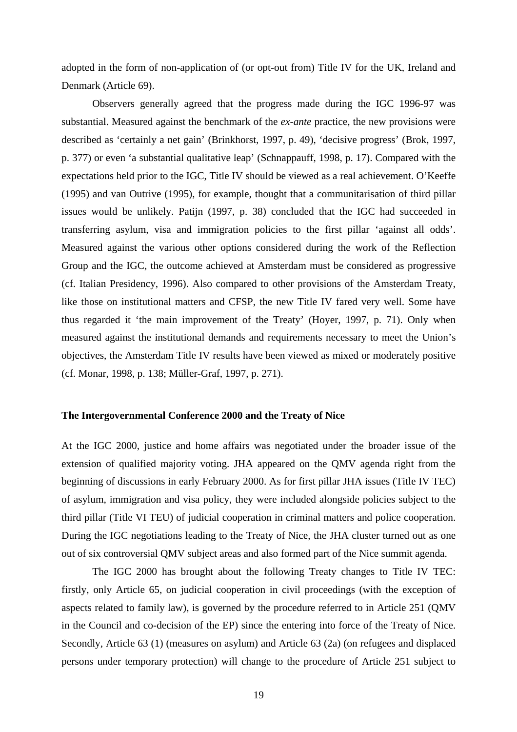adopted in the form of non-application of (or opt-out from) Title IV for the UK, Ireland and Denmark (Article 69).

Observers generally agreed that the progress made during the IGC 1996-97 was substantial. Measured against the benchmark of the *ex-ante* practice, the new provisions were described as 'certainly a net gain' (Brinkhorst, 1997, p. 49), 'decisive progress' (Brok, 1997, p. 377) or even 'a substantial qualitative leap' (Schnappauff, 1998, p. 17). Compared with the expectations held prior to the IGC, Title IV should be viewed as a real achievement. O'Keeffe (1995) and van Outrive (1995), for example, thought that a communitarisation of third pillar issues would be unlikely. Patijn (1997, p. 38) concluded that the IGC had succeeded in transferring asylum, visa and immigration policies to the first pillar 'against all odds'. Measured against the various other options considered during the work of the Reflection Group and the IGC, the outcome achieved at Amsterdam must be considered as progressive (cf. Italian Presidency, 1996). Also compared to other provisions of the Amsterdam Treaty, like those on institutional matters and CFSP, the new Title IV fared very well. Some have thus regarded it 'the main improvement of the Treaty' (Hoyer, 1997, p. 71). Only when measured against the institutional demands and requirements necessary to meet the Union's objectives, the Amsterdam Title IV results have been viewed as mixed or moderately positive (cf. Monar, 1998, p. 138; Müller-Graf, 1997, p. 271).

# **The Intergovernmental Conference 2000 and the Treaty of Nice**

At the IGC 2000, justice and home affairs was negotiated under the broader issue of the extension of qualified majority voting. JHA appeared on the QMV agenda right from the beginning of discussions in early February 2000. As for first pillar JHA issues (Title IV TEC) of asylum, immigration and visa policy, they were included alongside policies subject to the third pillar (Title VI TEU) of judicial cooperation in criminal matters and police cooperation. During the IGC negotiations leading to the Treaty of Nice, the JHA cluster turned out as one out of six controversial QMV subject areas and also formed part of the Nice summit agenda.

The IGC 2000 has brought about the following Treaty changes to Title IV TEC: firstly, only Article 65, on judicial cooperation in civil proceedings (with the exception of aspects related to family law), is governed by the procedure referred to in Article 251 (QMV in the Council and co-decision of the EP) since the entering into force of the Treaty of Nice. Secondly, Article 63 (1) (measures on asylum) and Article 63 (2a) (on refugees and displaced persons under temporary protection) will change to the procedure of Article 251 subject to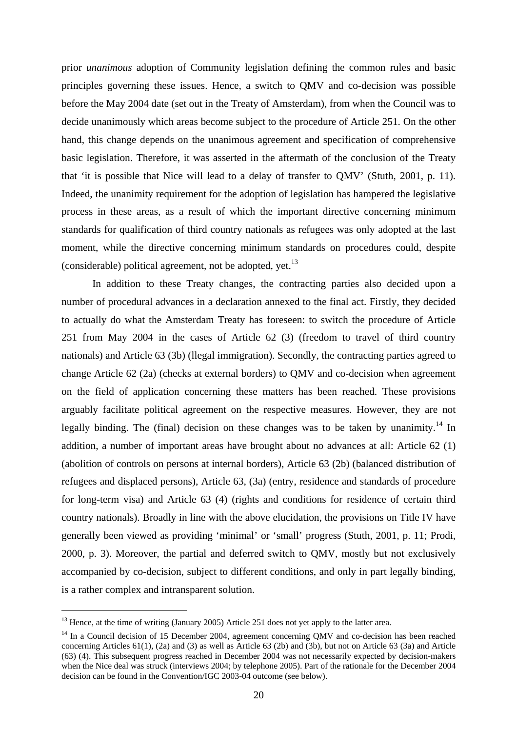prior *unanimous* adoption of Community legislation defining the common rules and basic principles governing these issues. Hence, a switch to QMV and co-decision was possible before the May 2004 date (set out in the Treaty of Amsterdam), from when the Council was to decide unanimously which areas become subject to the procedure of Article 251. On the other hand, this change depends on the unanimous agreement and specification of comprehensive basic legislation. Therefore, it was asserted in the aftermath of the conclusion of the Treaty that 'it is possible that Nice will lead to a delay of transfer to QMV' (Stuth, 2001, p. 11). Indeed, the unanimity requirement for the adoption of legislation has hampered the legislative process in these areas, as a result of which the important directive concerning minimum standards for qualification of third country nationals as refugees was only adopted at the last moment, while the directive concerning minimum standards on procedures could, despite (considerable) political agreement, not be adopted, yet. $^{13}$ 

 In addition to these Treaty changes, the contracting parties also decided upon a number of procedural advances in a declaration annexed to the final act. Firstly, they decided to actually do what the Amsterdam Treaty has foreseen: to switch the procedure of Article 251 from May 2004 in the cases of Article 62 (3) (freedom to travel of third country nationals) and Article 63 (3b) (llegal immigration). Secondly, the contracting parties agreed to change Article 62 (2a) (checks at external borders) to QMV and co-decision when agreement on the field of application concerning these matters has been reached. These provisions arguably facilitate political agreement on the respective measures. However, they are not legally binding. The (final) decision on these changes was to be taken by unanimity.<sup>14</sup> In addition, a number of important areas have brought about no advances at all: Article 62 (1) (abolition of controls on persons at internal borders), Article 63 (2b) (balanced distribution of refugees and displaced persons), Article 63, (3a) (entry, residence and standards of procedure for long-term visa) and Article 63 (4) (rights and conditions for residence of certain third country nationals). Broadly in line with the above elucidation, the provisions on Title IV have generally been viewed as providing 'minimal' or 'small' progress (Stuth, 2001, p. 11; Prodi, 2000, p. 3). Moreover, the partial and deferred switch to QMV, mostly but not exclusively accompanied by co-decision, subject to different conditions, and only in part legally binding, is a rather complex and intransparent solution.

<sup>&</sup>lt;sup>13</sup> Hence, at the time of writing (January 2005) Article 251 does not yet apply to the latter area.

<sup>&</sup>lt;sup>14</sup> In a Council decision of 15 December 2004, agreement concerning OMV and co-decision has been reached concerning Articles 61(1), (2a) and (3) as well as Article 63 (2b) and (3b), but not on Article 63 (3a) and Article (63) (4). This subsequent progress reached in December 2004 was not necessarily expected by decision-makers when the Nice deal was struck (interviews 2004; by telephone 2005). Part of the rationale for the December 2004 decision can be found in the Convention/IGC 2003-04 outcome (see below).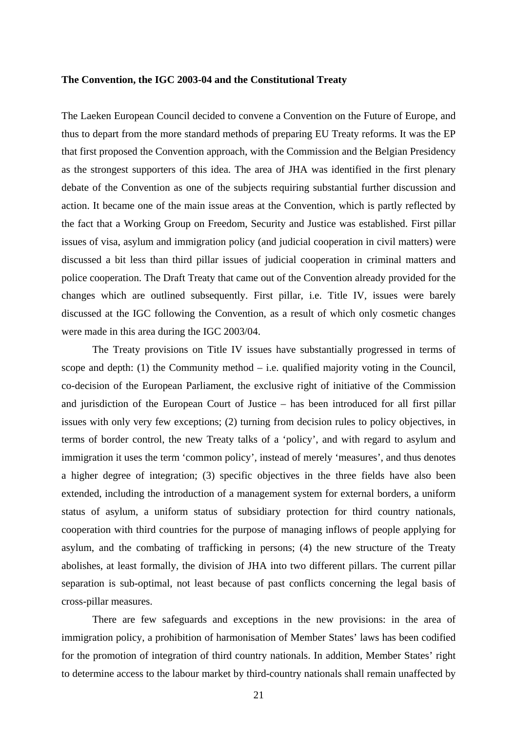#### **The Convention, the IGC 2003-04 and the Constitutional Treaty**

The Laeken European Council decided to convene a Convention on the Future of Europe, and thus to depart from the more standard methods of preparing EU Treaty reforms. It was the EP that first proposed the Convention approach, with the Commission and the Belgian Presidency as the strongest supporters of this idea. The area of JHA was identified in the first plenary debate of the Convention as one of the subjects requiring substantial further discussion and action. It became one of the main issue areas at the Convention, which is partly reflected by the fact that a Working Group on Freedom, Security and Justice was established. First pillar issues of visa, asylum and immigration policy (and judicial cooperation in civil matters) were discussed a bit less than third pillar issues of judicial cooperation in criminal matters and police cooperation. The Draft Treaty that came out of the Convention already provided for the changes which are outlined subsequently. First pillar, i.e. Title IV, issues were barely discussed at the IGC following the Convention, as a result of which only cosmetic changes were made in this area during the IGC 2003/04.

The Treaty provisions on Title IV issues have substantially progressed in terms of scope and depth: (1) the Community method  $-$  i.e. qualified majority voting in the Council, co-decision of the European Parliament, the exclusive right of initiative of the Commission and jurisdiction of the European Court of Justice – has been introduced for all first pillar issues with only very few exceptions; (2) turning from decision rules to policy objectives, in terms of border control, the new Treaty talks of a 'policy', and with regard to asylum and immigration it uses the term 'common policy', instead of merely 'measures', and thus denotes a higher degree of integration; (3) specific objectives in the three fields have also been extended, including the introduction of a management system for external borders, a uniform status of asylum, a uniform status of subsidiary protection for third country nationals, cooperation with third countries for the purpose of managing inflows of people applying for asylum, and the combating of trafficking in persons; (4) the new structure of the Treaty abolishes, at least formally, the division of JHA into two different pillars. The current pillar separation is sub-optimal, not least because of past conflicts concerning the legal basis of cross-pillar measures.

 There are few safeguards and exceptions in the new provisions: in the area of immigration policy, a prohibition of harmonisation of Member States' laws has been codified for the promotion of integration of third country nationals. In addition, Member States' right to determine access to the labour market by third-country nationals shall remain unaffected by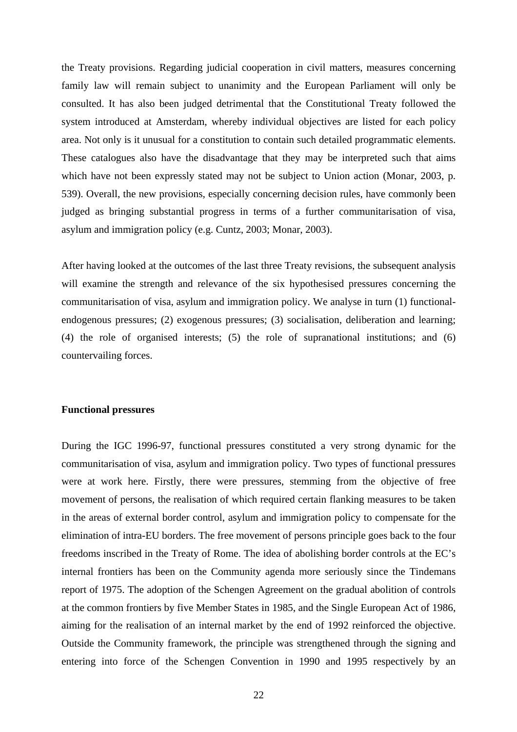the Treaty provisions. Regarding judicial cooperation in civil matters, measures concerning family law will remain subject to unanimity and the European Parliament will only be consulted. It has also been judged detrimental that the Constitutional Treaty followed the system introduced at Amsterdam, whereby individual objectives are listed for each policy area. Not only is it unusual for a constitution to contain such detailed programmatic elements. These catalogues also have the disadvantage that they may be interpreted such that aims which have not been expressly stated may not be subject to Union action (Monar, 2003, p. 539). Overall, the new provisions, especially concerning decision rules, have commonly been judged as bringing substantial progress in terms of a further communitarisation of visa, asylum and immigration policy (e.g. Cuntz, 2003; Monar, 2003).

After having looked at the outcomes of the last three Treaty revisions, the subsequent analysis will examine the strength and relevance of the six hypothesised pressures concerning the communitarisation of visa, asylum and immigration policy. We analyse in turn (1) functionalendogenous pressures; (2) exogenous pressures; (3) socialisation, deliberation and learning; (4) the role of organised interests; (5) the role of supranational institutions; and (6) countervailing forces.

#### **Functional pressures**

During the IGC 1996-97, functional pressures constituted a very strong dynamic for the communitarisation of visa, asylum and immigration policy. Two types of functional pressures were at work here. Firstly, there were pressures, stemming from the objective of free movement of persons, the realisation of which required certain flanking measures to be taken in the areas of external border control, asylum and immigration policy to compensate for the elimination of intra-EU borders. The free movement of persons principle goes back to the four freedoms inscribed in the Treaty of Rome. The idea of abolishing border controls at the EC's internal frontiers has been on the Community agenda more seriously since the Tindemans report of 1975. The adoption of the Schengen Agreement on the gradual abolition of controls at the common frontiers by five Member States in 1985, and the Single European Act of 1986, aiming for the realisation of an internal market by the end of 1992 reinforced the objective. Outside the Community framework, the principle was strengthened through the signing and entering into force of the Schengen Convention in 1990 and 1995 respectively by an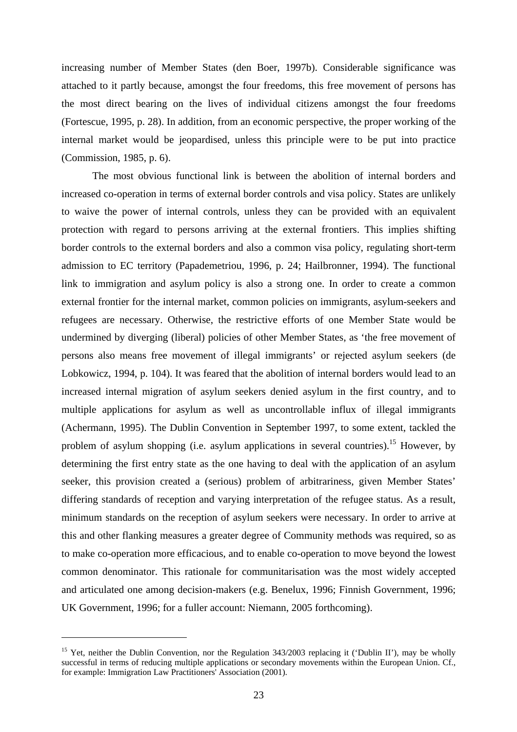increasing number of Member States (den Boer, 1997b). Considerable significance was attached to it partly because, amongst the four freedoms, this free movement of persons has the most direct bearing on the lives of individual citizens amongst the four freedoms (Fortescue, 1995, p. 28). In addition, from an economic perspective, the proper working of the internal market would be jeopardised, unless this principle were to be put into practice (Commission, 1985, p. 6).

The most obvious functional link is between the abolition of internal borders and increased co-operation in terms of external border controls and visa policy. States are unlikely to waive the power of internal controls, unless they can be provided with an equivalent protection with regard to persons arriving at the external frontiers. This implies shifting border controls to the external borders and also a common visa policy, regulating short-term admission to EC territory (Papademetriou, 1996, p. 24; Hailbronner, 1994). The functional link to immigration and asylum policy is also a strong one. In order to create a common external frontier for the internal market, common policies on immigrants, asylum-seekers and refugees are necessary. Otherwise, the restrictive efforts of one Member State would be undermined by diverging (liberal) policies of other Member States, as 'the free movement of persons also means free movement of illegal immigrants' or rejected asylum seekers (de Lobkowicz, 1994, p. 104). It was feared that the abolition of internal borders would lead to an increased internal migration of asylum seekers denied asylum in the first country, and to multiple applications for asylum as well as uncontrollable influx of illegal immigrants (Achermann, 1995). The Dublin Convention in September 1997, to some extent, tackled the problem of asylum shopping (i.e. asylum applications in several countries).<sup>15</sup> However, by determining the first entry state as the one having to deal with the application of an asylum seeker, this provision created a (serious) problem of arbitrariness, given Member States' differing standards of reception and varying interpretation of the refugee status. As a result, minimum standards on the reception of asylum seekers were necessary. In order to arrive at this and other flanking measures a greater degree of Community methods was required, so as to make co-operation more efficacious, and to enable co-operation to move beyond the lowest common denominator. This rationale for communitarisation was the most widely accepted and articulated one among decision-makers (e.g. Benelux, 1996; Finnish Government, 1996; UK Government, 1996; for a fuller account: Niemann, 2005 forthcoming).

<sup>&</sup>lt;sup>15</sup> Yet, neither the Dublin Convention, nor the Regulation  $343/2003$  replacing it ('Dublin II'), may be wholly successful in terms of reducing multiple applications or secondary movements within the European Union. Cf., for example: Immigration Law Practitioners' Association (2001).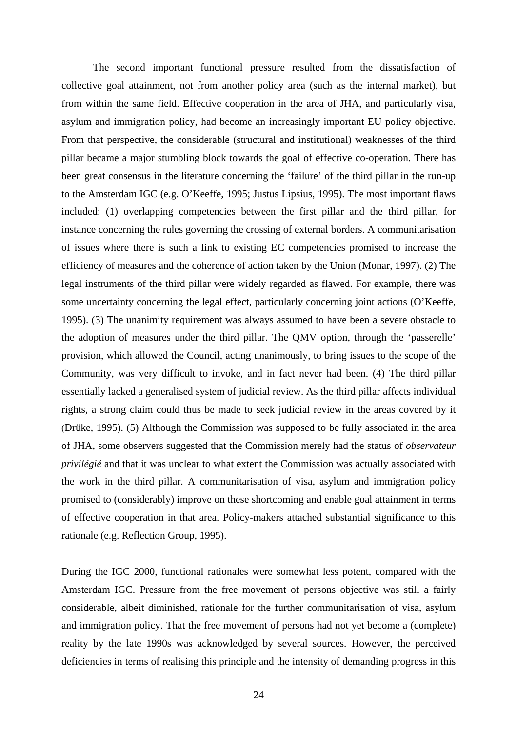The second important functional pressure resulted from the dissatisfaction of collective goal attainment, not from another policy area (such as the internal market), but from within the same field. Effective cooperation in the area of JHA, and particularly visa, asylum and immigration policy, had become an increasingly important EU policy objective. From that perspective, the considerable (structural and institutional) weaknesses of the third pillar became a major stumbling block towards the goal of effective co-operation. There has been great consensus in the literature concerning the 'failure' of the third pillar in the run-up to the Amsterdam IGC (e.g. O'Keeffe, 1995; Justus Lipsius, 1995). The most important flaws included: (1) overlapping competencies between the first pillar and the third pillar, for instance concerning the rules governing the crossing of external borders. A communitarisation of issues where there is such a link to existing EC competencies promised to increase the efficiency of measures and the coherence of action taken by the Union (Monar, 1997). (2) The legal instruments of the third pillar were widely regarded as flawed. For example, there was some uncertainty concerning the legal effect, particularly concerning joint actions (O'Keeffe, 1995). (3) The unanimity requirement was always assumed to have been a severe obstacle to the adoption of measures under the third pillar. The QMV option, through the 'passerelle' provision, which allowed the Council, acting unanimously, to bring issues to the scope of the Community, was very difficult to invoke, and in fact never had been. (4) The third pillar essentially lacked a generalised system of judicial review. As the third pillar affects individual rights, a strong claim could thus be made to seek judicial review in the areas covered by it (Drüke, 1995). (5) Although the Commission was supposed to be fully associated in the area of JHA, some observers suggested that the Commission merely had the status of *observateur privilégié* and that it was unclear to what extent the Commission was actually associated with the work in the third pillar. A communitarisation of visa, asylum and immigration policy promised to (considerably) improve on these shortcoming and enable goal attainment in terms of effective cooperation in that area. Policy-makers attached substantial significance to this rationale (e.g. Reflection Group, 1995).

During the IGC 2000, functional rationales were somewhat less potent, compared with the Amsterdam IGC. Pressure from the free movement of persons objective was still a fairly considerable, albeit diminished, rationale for the further communitarisation of visa, asylum and immigration policy. That the free movement of persons had not yet become a (complete) reality by the late 1990s was acknowledged by several sources. However, the perceived deficiencies in terms of realising this principle and the intensity of demanding progress in this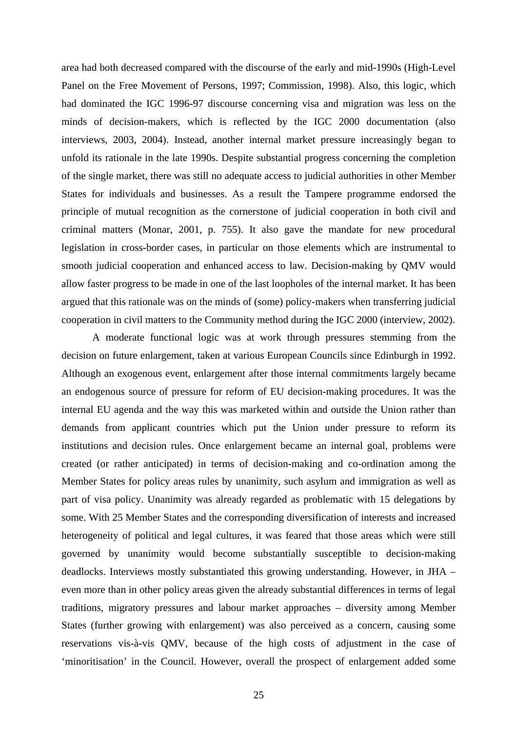area had both decreased compared with the discourse of the early and mid-1990s (High-Level Panel on the Free Movement of Persons, 1997; Commission, 1998). Also, this logic, which had dominated the IGC 1996-97 discourse concerning visa and migration was less on the minds of decision-makers, which is reflected by the IGC 2000 documentation (also interviews, 2003, 2004). Instead, another internal market pressure increasingly began to unfold its rationale in the late 1990s. Despite substantial progress concerning the completion of the single market, there was still no adequate access to judicial authorities in other Member States for individuals and businesses. As a result the Tampere programme endorsed the principle of mutual recognition as the cornerstone of judicial cooperation in both civil and criminal matters (Monar, 2001, p. 755). It also gave the mandate for new procedural legislation in cross-border cases, in particular on those elements which are instrumental to smooth judicial cooperation and enhanced access to law. Decision-making by QMV would allow faster progress to be made in one of the last loopholes of the internal market. It has been argued that this rationale was on the minds of (some) policy-makers when transferring judicial cooperation in civil matters to the Community method during the IGC 2000 (interview, 2002).

A moderate functional logic was at work through pressures stemming from the decision on future enlargement, taken at various European Councils since Edinburgh in 1992. Although an exogenous event, enlargement after those internal commitments largely became an endogenous source of pressure for reform of EU decision-making procedures. It was the internal EU agenda and the way this was marketed within and outside the Union rather than demands from applicant countries which put the Union under pressure to reform its institutions and decision rules. Once enlargement became an internal goal, problems were created (or rather anticipated) in terms of decision-making and co-ordination among the Member States for policy areas rules by unanimity, such asylum and immigration as well as part of visa policy. Unanimity was already regarded as problematic with 15 delegations by some. With 25 Member States and the corresponding diversification of interests and increased heterogeneity of political and legal cultures, it was feared that those areas which were still governed by unanimity would become substantially susceptible to decision-making deadlocks. Interviews mostly substantiated this growing understanding. However, in JHA – even more than in other policy areas given the already substantial differences in terms of legal traditions, migratory pressures and labour market approaches – diversity among Member States (further growing with enlargement) was also perceived as a concern, causing some reservations vis-à-vis QMV, because of the high costs of adjustment in the case of 'minoritisation' in the Council. However, overall the prospect of enlargement added some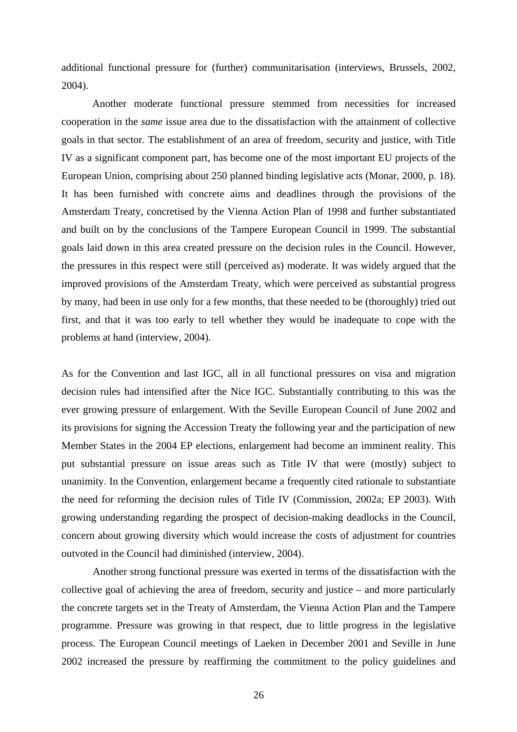additional functional pressure for (further) communitarisation (interviews, Brussels, 2002, 2004).

Another moderate functional pressure stemmed from necessities for increased cooperation in the *same* issue area due to the dissatisfaction with the attainment of collective goals in that sector. The establishment of an area of freedom, security and justice, with Title IV as a significant component part, has become one of the most important EU projects of the European Union, comprising about 250 planned binding legislative acts (Monar, 2000, p. 18). It has been furnished with concrete aims and deadlines through the provisions of the Amsterdam Treaty, concretised by the Vienna Action Plan of 1998 and further substantiated and built on by the conclusions of the Tampere European Council in 1999. The substantial goals laid down in this area created pressure on the decision rules in the Council. However, the pressures in this respect were still (perceived as) moderate. It was widely argued that the improved provisions of the Amsterdam Treaty, which were perceived as substantial progress by many, had been in use only for a few months, that these needed to be (thoroughly) tried out first, and that it was too early to tell whether they would be inadequate to cope with the problems at hand (interview, 2004).

As for the Convention and last IGC, all in all functional pressures on visa and migration decision rules had intensified after the Nice IGC. Substantially contributing to this was the ever growing pressure of enlargement. With the Seville European Council of June 2002 and its provisions for signing the Accession Treaty the following year and the participation of new Member States in the 2004 EP elections, enlargement had become an imminent reality. This put substantial pressure on issue areas such as Title IV that were (mostly) subject to unanimity. In the Convention, enlargement became a frequently cited rationale to substantiate the need for reforming the decision rules of Title IV (Commission, 2002a; EP 2003). With growing understanding regarding the prospect of decision-making deadlocks in the Council, concern about growing diversity which would increase the costs of adjustment for countries outvoted in the Council had diminished (interview, 2004).

Another strong functional pressure was exerted in terms of the dissatisfaction with the collective goal of achieving the area of freedom, security and justice – and more particularly the concrete targets set in the Treaty of Amsterdam, the Vienna Action Plan and the Tampere programme. Pressure was growing in that respect, due to little progress in the legislative process. The European Council meetings of Laeken in December 2001 and Seville in June 2002 increased the pressure by reaffirming the commitment to the policy guidelines and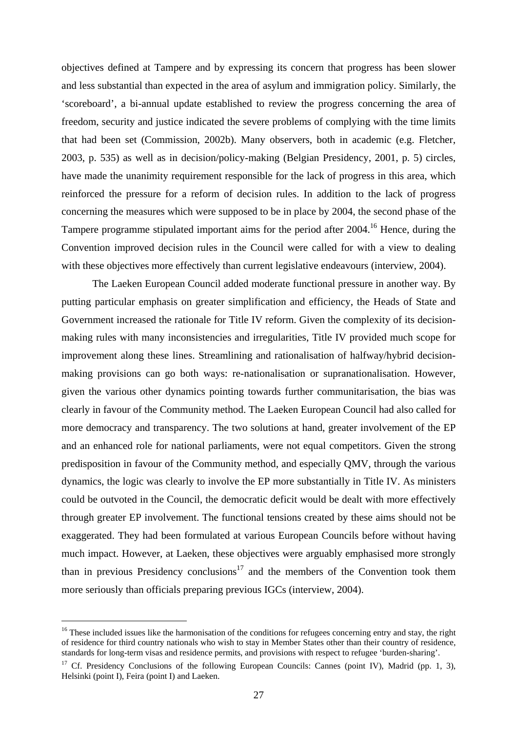objectives defined at Tampere and by expressing its concern that progress has been slower and less substantial than expected in the area of asylum and immigration policy. Similarly, the 'scoreboard', a bi-annual update established to review the progress concerning the area of freedom, security and justice indicated the severe problems of complying with the time limits that had been set (Commission, 2002b). Many observers, both in academic (e.g. Fletcher, 2003, p. 535) as well as in decision/policy-making (Belgian Presidency, 2001, p. 5) circles, have made the unanimity requirement responsible for the lack of progress in this area, which reinforced the pressure for a reform of decision rules. In addition to the lack of progress concerning the measures which were supposed to be in place by 2004, the second phase of the Tampere programme stipulated important aims for the period after 2004.<sup>16</sup> Hence, during the Convention improved decision rules in the Council were called for with a view to dealing with these objectives more effectively than current legislative endeavours (interview, 2004).

The Laeken European Council added moderate functional pressure in another way. By putting particular emphasis on greater simplification and efficiency, the Heads of State and Government increased the rationale for Title IV reform. Given the complexity of its decisionmaking rules with many inconsistencies and irregularities, Title IV provided much scope for improvement along these lines. Streamlining and rationalisation of halfway/hybrid decisionmaking provisions can go both ways: re-nationalisation or supranationalisation. However, given the various other dynamics pointing towards further communitarisation, the bias was clearly in favour of the Community method. The Laeken European Council had also called for more democracy and transparency. The two solutions at hand, greater involvement of the EP and an enhanced role for national parliaments, were not equal competitors. Given the strong predisposition in favour of the Community method, and especially QMV, through the various dynamics, the logic was clearly to involve the EP more substantially in Title IV. As ministers could be outvoted in the Council, the democratic deficit would be dealt with more effectively through greater EP involvement. The functional tensions created by these aims should not be exaggerated. They had been formulated at various European Councils before without having much impact. However, at Laeken, these objectives were arguably emphasised more strongly than in previous Presidency conclusions<sup>17</sup> and the members of the Convention took them more seriously than officials preparing previous IGCs (interview, 2004).

 $16$  These included issues like the harmonisation of the conditions for refugees concerning entry and stay, the right of residence for third country nationals who wish to stay in Member States other than their country of residence, standards for long-term visas and residence permits, and provisions with respect to refugee 'burden-sharing'.

<sup>&</sup>lt;sup>17</sup> Cf. Presidency Conclusions of the following European Councils: Cannes (point IV), Madrid (pp. 1, 3), Helsinki (point I), Feira (point I) and Laeken.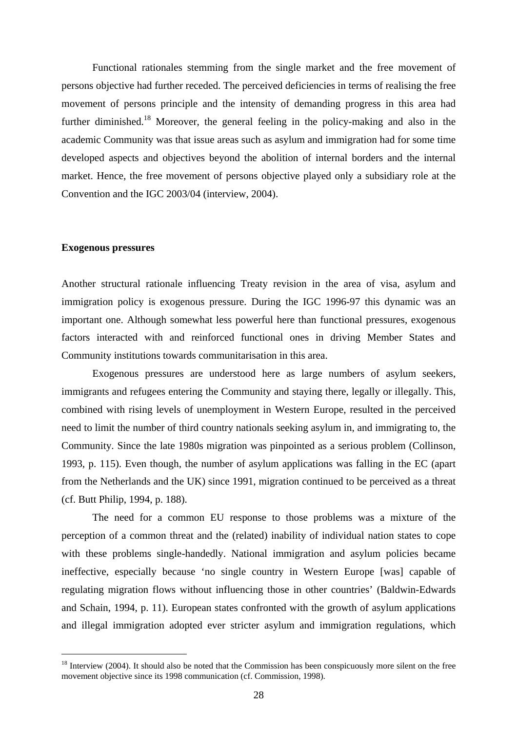Functional rationales stemming from the single market and the free movement of persons objective had further receded. The perceived deficiencies in terms of realising the free movement of persons principle and the intensity of demanding progress in this area had further diminished.<sup>18</sup> Moreover, the general feeling in the policy-making and also in the academic Community was that issue areas such as asylum and immigration had for some time developed aspects and objectives beyond the abolition of internal borders and the internal market. Hence, the free movement of persons objective played only a subsidiary role at the Convention and the IGC 2003/04 (interview, 2004).

#### **Exogenous pressures**

1

Another structural rationale influencing Treaty revision in the area of visa, asylum and immigration policy is exogenous pressure. During the IGC 1996-97 this dynamic was an important one. Although somewhat less powerful here than functional pressures, exogenous factors interacted with and reinforced functional ones in driving Member States and Community institutions towards communitarisation in this area.

Exogenous pressures are understood here as large numbers of asylum seekers, immigrants and refugees entering the Community and staying there, legally or illegally. This, combined with rising levels of unemployment in Western Europe, resulted in the perceived need to limit the number of third country nationals seeking asylum in, and immigrating to, the Community. Since the late 1980s migration was pinpointed as a serious problem (Collinson, 1993, p. 115). Even though, the number of asylum applications was falling in the EC (apart from the Netherlands and the UK) since 1991, migration continued to be perceived as a threat (cf. Butt Philip, 1994, p. 188).

The need for a common EU response to those problems was a mixture of the perception of a common threat and the (related) inability of individual nation states to cope with these problems single-handedly. National immigration and asylum policies became ineffective, especially because 'no single country in Western Europe [was] capable of regulating migration flows without influencing those in other countries' (Baldwin-Edwards and Schain, 1994, p. 11). European states confronted with the growth of asylum applications and illegal immigration adopted ever stricter asylum and immigration regulations, which

<sup>&</sup>lt;sup>18</sup> Interview (2004). It should also be noted that the Commission has been conspicuously more silent on the free movement objective since its 1998 communication (cf. Commission, 1998).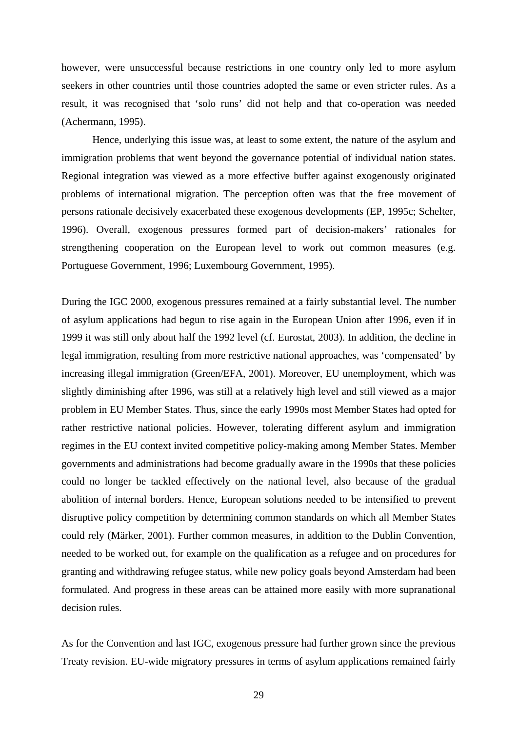however, were unsuccessful because restrictions in one country only led to more asylum seekers in other countries until those countries adopted the same or even stricter rules. As a result, it was recognised that 'solo runs' did not help and that co-operation was needed (Achermann, 1995).

Hence, underlying this issue was, at least to some extent, the nature of the asylum and immigration problems that went beyond the governance potential of individual nation states. Regional integration was viewed as a more effective buffer against exogenously originated problems of international migration. The perception often was that the free movement of persons rationale decisively exacerbated these exogenous developments (EP, 1995c; Schelter, 1996). Overall, exogenous pressures formed part of decision-makers' rationales for strengthening cooperation on the European level to work out common measures (e.g. Portuguese Government, 1996; Luxembourg Government, 1995).

During the IGC 2000, exogenous pressures remained at a fairly substantial level. The number of asylum applications had begun to rise again in the European Union after 1996, even if in 1999 it was still only about half the 1992 level (cf. Eurostat, 2003). In addition, the decline in legal immigration, resulting from more restrictive national approaches, was 'compensated' by increasing illegal immigration (Green/EFA, 2001). Moreover, EU unemployment, which was slightly diminishing after 1996, was still at a relatively high level and still viewed as a major problem in EU Member States. Thus, since the early 1990s most Member States had opted for rather restrictive national policies. However, tolerating different asylum and immigration regimes in the EU context invited competitive policy-making among Member States. Member governments and administrations had become gradually aware in the 1990s that these policies could no longer be tackled effectively on the national level, also because of the gradual abolition of internal borders. Hence, European solutions needed to be intensified to prevent disruptive policy competition by determining common standards on which all Member States could rely (Märker, 2001). Further common measures, in addition to the Dublin Convention, needed to be worked out, for example on the qualification as a refugee and on procedures for granting and withdrawing refugee status, while new policy goals beyond Amsterdam had been formulated. And progress in these areas can be attained more easily with more supranational decision rules.

As for the Convention and last IGC, exogenous pressure had further grown since the previous Treaty revision. EU-wide migratory pressures in terms of asylum applications remained fairly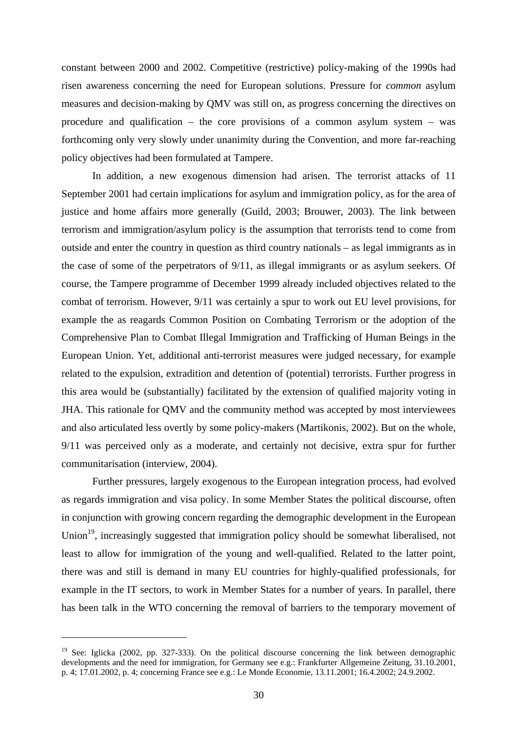constant between 2000 and 2002. Competitive (restrictive) policy-making of the 1990s had risen awareness concerning the need for European solutions. Pressure for *common* asylum measures and decision-making by QMV was still on, as progress concerning the directives on procedure and qualification – the core provisions of a common asylum system – was forthcoming only very slowly under unanimity during the Convention, and more far-reaching policy objectives had been formulated at Tampere.

In addition, a new exogenous dimension had arisen. The terrorist attacks of 11 September 2001 had certain implications for asylum and immigration policy, as for the area of justice and home affairs more generally (Guild, 2003; Brouwer, 2003). The link between terrorism and immigration/asylum policy is the assumption that terrorists tend to come from outside and enter the country in question as third country nationals – as legal immigrants as in the case of some of the perpetrators of 9/11, as illegal immigrants or as asylum seekers. Of course, the Tampere programme of December 1999 already included objectives related to the combat of terrorism. However, 9/11 was certainly a spur to work out EU level provisions, for example the as reagards Common Position on Combating Terrorism or the adoption of the Comprehensive Plan to Combat Illegal Immigration and Trafficking of Human Beings in the European Union. Yet, additional anti-terrorist measures were judged necessary, for example related to the expulsion, extradition and detention of (potential) terrorists. Further progress in this area would be (substantially) facilitated by the extension of qualified majority voting in JHA. This rationale for QMV and the community method was accepted by most interviewees and also articulated less overtly by some policy-makers (Martikonis, 2002). But on the whole, 9/11 was perceived only as a moderate, and certainly not decisive, extra spur for further communitarisation (interview, 2004).

Further pressures, largely exogenous to the European integration process, had evolved as regards immigration and visa policy. In some Member States the political discourse, often in conjunction with growing concern regarding the demographic development in the European Union<sup>19</sup>, increasingly suggested that immigration policy should be somewhat liberalised, not least to allow for immigration of the young and well-qualified. Related to the latter point, there was and still is demand in many EU countries for highly-qualified professionals, for example in the IT sectors, to work in Member States for a number of years. In parallel, there has been talk in the WTO concerning the removal of barriers to the temporary movement of

<sup>&</sup>lt;sup>19</sup> See: Iglicka (2002, pp. 327-333). On the political discourse concerning the link between demographic developments and the need for immigration, for Germany see e.g.: Frankfurter Allgemeine Zeitung, 31.10.2001, p. 4; 17.01.2002, p. 4; concerning France see e.g.: Le Monde Economie, 13.11.2001; 16.4.2002; 24.9.2002.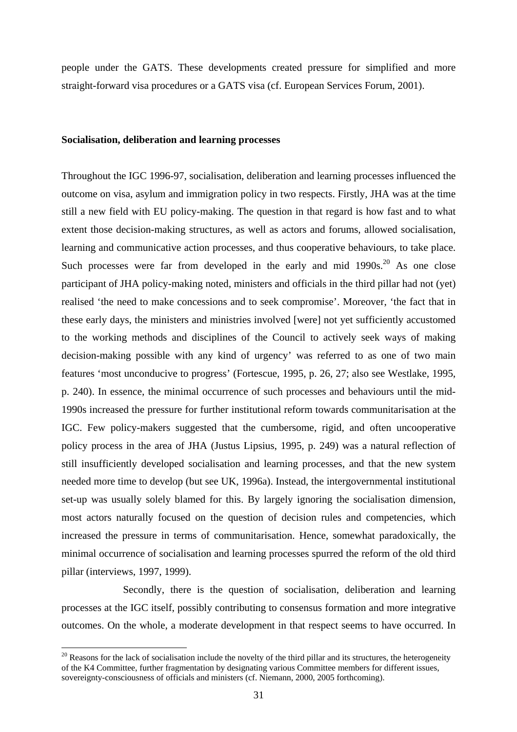people under the GATS. These developments created pressure for simplified and more straight-forward visa procedures or a GATS visa (cf. European Services Forum, 2001).

#### **Socialisation, deliberation and learning processes**

Throughout the IGC 1996-97, socialisation, deliberation and learning processes influenced the outcome on visa, asylum and immigration policy in two respects. Firstly, JHA was at the time still a new field with EU policy-making. The question in that regard is how fast and to what extent those decision-making structures, as well as actors and forums, allowed socialisation, learning and communicative action processes, and thus cooperative behaviours, to take place. Such processes were far from developed in the early and mid  $1990s$ <sup>20</sup> As one close participant of JHA policy-making noted, ministers and officials in the third pillar had not (yet) realised 'the need to make concessions and to seek compromise'. Moreover, 'the fact that in these early days, the ministers and ministries involved [were] not yet sufficiently accustomed to the working methods and disciplines of the Council to actively seek ways of making decision-making possible with any kind of urgency' was referred to as one of two main features 'most unconducive to progress' (Fortescue, 1995, p. 26, 27; also see Westlake, 1995, p. 240). In essence, the minimal occurrence of such processes and behaviours until the mid-1990s increased the pressure for further institutional reform towards communitarisation at the IGC. Few policy-makers suggested that the cumbersome, rigid, and often uncooperative policy process in the area of JHA (Justus Lipsius, 1995, p. 249) was a natural reflection of still insufficiently developed socialisation and learning processes, and that the new system needed more time to develop (but see UK, 1996a). Instead, the intergovernmental institutional set-up was usually solely blamed for this. By largely ignoring the socialisation dimension, most actors naturally focused on the question of decision rules and competencies, which increased the pressure in terms of communitarisation. Hence, somewhat paradoxically, the minimal occurrence of socialisation and learning processes spurred the reform of the old third pillar (interviews, 1997, 1999).

 Secondly, there is the question of socialisation, deliberation and learning processes at the IGC itself, possibly contributing to consensus formation and more integrative outcomes. On the whole, a moderate development in that respect seems to have occurred. In

 $20$  Reasons for the lack of socialisation include the novelty of the third pillar and its structures, the heterogeneity of the K4 Committee, further fragmentation by designating various Committee members for different issues, sovereignty-consciousness of officials and ministers (cf. Niemann, 2000, 2005 forthcoming).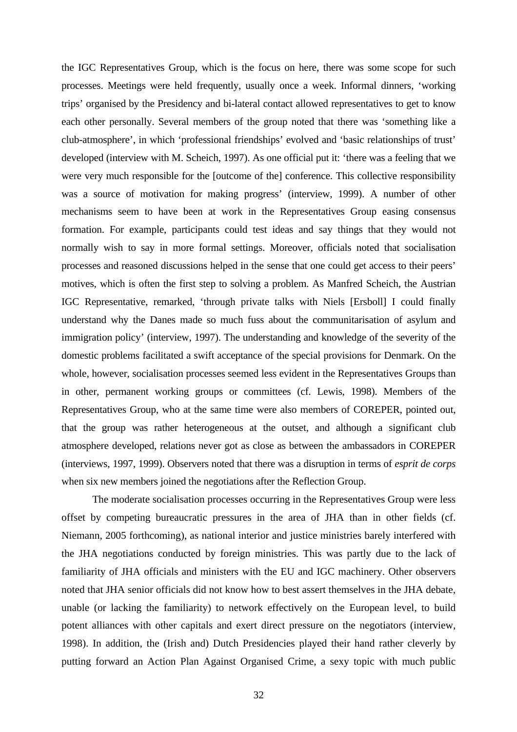the IGC Representatives Group, which is the focus on here, there was some scope for such processes. Meetings were held frequently, usually once a week. Informal dinners, 'working trips' organised by the Presidency and bi-lateral contact allowed representatives to get to know each other personally. Several members of the group noted that there was 'something like a club-atmosphere', in which 'professional friendships' evolved and 'basic relationships of trust' developed (interview with M. Scheich, 1997). As one official put it: 'there was a feeling that we were very much responsible for the [outcome of the] conference. This collective responsibility was a source of motivation for making progress' (interview, 1999). A number of other mechanisms seem to have been at work in the Representatives Group easing consensus formation. For example, participants could test ideas and say things that they would not normally wish to say in more formal settings. Moreover, officials noted that socialisation processes and reasoned discussions helped in the sense that one could get access to their peers' motives, which is often the first step to solving a problem. As Manfred Scheich, the Austrian IGC Representative, remarked, 'through private talks with Niels [Ersboll] I could finally understand why the Danes made so much fuss about the communitarisation of asylum and immigration policy' (interview, 1997). The understanding and knowledge of the severity of the domestic problems facilitated a swift acceptance of the special provisions for Denmark. On the whole, however, socialisation processes seemed less evident in the Representatives Groups than in other, permanent working groups or committees (cf. Lewis, 1998). Members of the Representatives Group, who at the same time were also members of COREPER, pointed out, that the group was rather heterogeneous at the outset, and although a significant club atmosphere developed, relations never got as close as between the ambassadors in COREPER (interviews, 1997, 1999). Observers noted that there was a disruption in terms of *esprit de corps* when six new members joined the negotiations after the Reflection Group.

 The moderate socialisation processes occurring in the Representatives Group were less offset by competing bureaucratic pressures in the area of JHA than in other fields (cf. Niemann, 2005 forthcoming), as national interior and justice ministries barely interfered with the JHA negotiations conducted by foreign ministries. This was partly due to the lack of familiarity of JHA officials and ministers with the EU and IGC machinery. Other observers noted that JHA senior officials did not know how to best assert themselves in the JHA debate, unable (or lacking the familiarity) to network effectively on the European level, to build potent alliances with other capitals and exert direct pressure on the negotiators (interview, 1998). In addition, the (Irish and) Dutch Presidencies played their hand rather cleverly by putting forward an Action Plan Against Organised Crime, a sexy topic with much public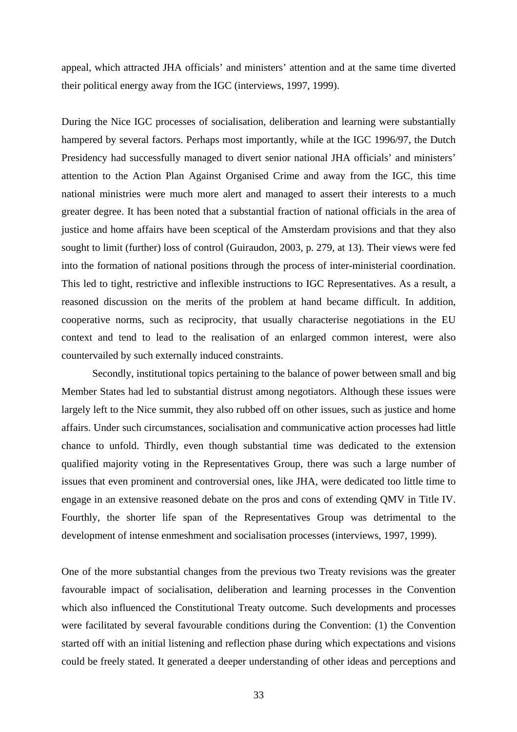appeal, which attracted JHA officials' and ministers' attention and at the same time diverted their political energy away from the IGC (interviews, 1997, 1999).

During the Nice IGC processes of socialisation, deliberation and learning were substantially hampered by several factors. Perhaps most importantly, while at the IGC 1996/97, the Dutch Presidency had successfully managed to divert senior national JHA officials' and ministers' attention to the Action Plan Against Organised Crime and away from the IGC, this time national ministries were much more alert and managed to assert their interests to a much greater degree. It has been noted that a substantial fraction of national officials in the area of justice and home affairs have been sceptical of the Amsterdam provisions and that they also sought to limit (further) loss of control (Guiraudon, 2003, p. 279, at 13). Their views were fed into the formation of national positions through the process of inter-ministerial coordination. This led to tight, restrictive and inflexible instructions to IGC Representatives. As a result, a reasoned discussion on the merits of the problem at hand became difficult. In addition, cooperative norms, such as reciprocity, that usually characterise negotiations in the EU context and tend to lead to the realisation of an enlarged common interest, were also countervailed by such externally induced constraints.

Secondly, institutional topics pertaining to the balance of power between small and big Member States had led to substantial distrust among negotiators. Although these issues were largely left to the Nice summit, they also rubbed off on other issues, such as justice and home affairs. Under such circumstances, socialisation and communicative action processes had little chance to unfold. Thirdly, even though substantial time was dedicated to the extension qualified majority voting in the Representatives Group, there was such a large number of issues that even prominent and controversial ones, like JHA, were dedicated too little time to engage in an extensive reasoned debate on the pros and cons of extending QMV in Title IV. Fourthly, the shorter life span of the Representatives Group was detrimental to the development of intense enmeshment and socialisation processes (interviews, 1997, 1999).

One of the more substantial changes from the previous two Treaty revisions was the greater favourable impact of socialisation, deliberation and learning processes in the Convention which also influenced the Constitutional Treaty outcome. Such developments and processes were facilitated by several favourable conditions during the Convention: (1) the Convention started off with an initial listening and reflection phase during which expectations and visions could be freely stated. It generated a deeper understanding of other ideas and perceptions and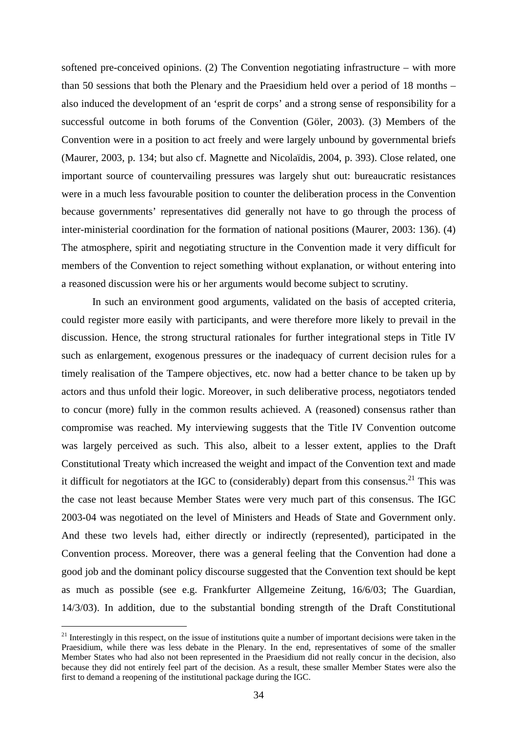softened pre-conceived opinions. (2) The Convention negotiating infrastructure – with more than 50 sessions that both the Plenary and the Praesidium held over a period of 18 months – also induced the development of an 'esprit de corps' and a strong sense of responsibility for a successful outcome in both forums of the Convention (Göler, 2003). (3) Members of the Convention were in a position to act freely and were largely unbound by governmental briefs (Maurer, 2003, p. 134; but also cf. Magnette and Nicolaïdis, 2004, p. 393). Close related, one important source of countervailing pressures was largely shut out: bureaucratic resistances were in a much less favourable position to counter the deliberation process in the Convention because governments' representatives did generally not have to go through the process of inter-ministerial coordination for the formation of national positions (Maurer, 2003: 136). (4) The atmosphere, spirit and negotiating structure in the Convention made it very difficult for members of the Convention to reject something without explanation, or without entering into a reasoned discussion were his or her arguments would become subject to scrutiny.

In such an environment good arguments, validated on the basis of accepted criteria, could register more easily with participants, and were therefore more likely to prevail in the discussion. Hence, the strong structural rationales for further integrational steps in Title IV such as enlargement, exogenous pressures or the inadequacy of current decision rules for a timely realisation of the Tampere objectives, etc. now had a better chance to be taken up by actors and thus unfold their logic. Moreover, in such deliberative process, negotiators tended to concur (more) fully in the common results achieved. A (reasoned) consensus rather than compromise was reached. My interviewing suggests that the Title IV Convention outcome was largely perceived as such. This also, albeit to a lesser extent, applies to the Draft Constitutional Treaty which increased the weight and impact of the Convention text and made it difficult for negotiators at the IGC to (considerably) depart from this consensus.<sup>21</sup> This was the case not least because Member States were very much part of this consensus. The IGC 2003-04 was negotiated on the level of Ministers and Heads of State and Government only. And these two levels had, either directly or indirectly (represented), participated in the Convention process. Moreover, there was a general feeling that the Convention had done a good job and the dominant policy discourse suggested that the Convention text should be kept as much as possible (see e.g. Frankfurter Allgemeine Zeitung, 16/6/03; The Guardian, 14/3/03). In addition, due to the substantial bonding strength of the Draft Constitutional

<u>.</u>

 $21$  Interestingly in this respect, on the issue of institutions quite a number of important decisions were taken in the Praesidium, while there was less debate in the Plenary. In the end, representatives of some of the smaller Member States who had also not been represented in the Praesidium did not really concur in the decision, also because they did not entirely feel part of the decision. As a result, these smaller Member States were also the first to demand a reopening of the institutional package during the IGC.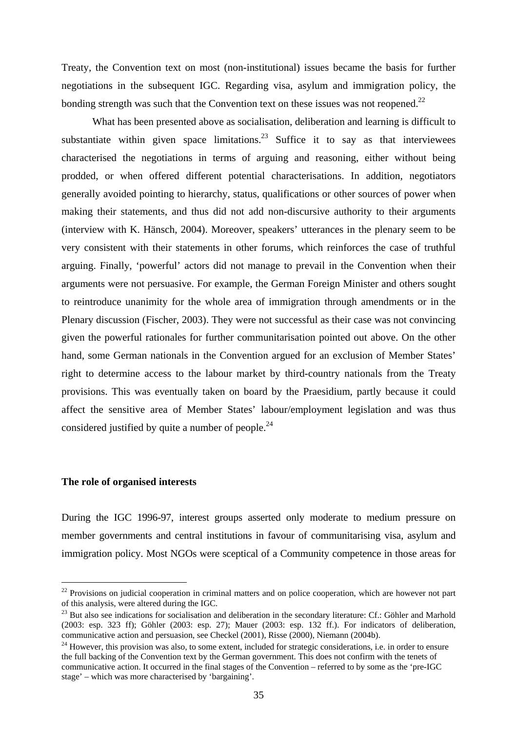Treaty, the Convention text on most (non-institutional) issues became the basis for further negotiations in the subsequent IGC. Regarding visa, asylum and immigration policy, the bonding strength was such that the Convention text on these issues was not reopened.<sup>22</sup>

What has been presented above as socialisation, deliberation and learning is difficult to substantiate within given space limitations.<sup>23</sup> Suffice it to say as that interviewees characterised the negotiations in terms of arguing and reasoning, either without being prodded, or when offered different potential characterisations. In addition, negotiators generally avoided pointing to hierarchy, status, qualifications or other sources of power when making their statements, and thus did not add non-discursive authority to their arguments (interview with K. Hänsch, 2004). Moreover, speakers' utterances in the plenary seem to be very consistent with their statements in other forums, which reinforces the case of truthful arguing. Finally, 'powerful' actors did not manage to prevail in the Convention when their arguments were not persuasive. For example, the German Foreign Minister and others sought to reintroduce unanimity for the whole area of immigration through amendments or in the Plenary discussion (Fischer, 2003). They were not successful as their case was not convincing given the powerful rationales for further communitarisation pointed out above. On the other hand, some German nationals in the Convention argued for an exclusion of Member States' right to determine access to the labour market by third-country nationals from the Treaty provisions. This was eventually taken on board by the Praesidium, partly because it could affect the sensitive area of Member States' labour/employment legislation and was thus considered justified by quite a number of people.<sup>24</sup>

# **The role of organised interests**

1

During the IGC 1996-97, interest groups asserted only moderate to medium pressure on member governments and central institutions in favour of communitarising visa, asylum and immigration policy. Most NGOs were sceptical of a Community competence in those areas for

<sup>&</sup>lt;sup>22</sup> Provisions on judicial cooperation in criminal matters and on police cooperation, which are however not part of this analysis, were altered during the IGC.

 $^{23}$  But also see indications for socialisation and deliberation in the secondary literature: Cf.: Göhler and Marhold (2003: esp. 323 ff); Göhler (2003: esp. 27); Mauer (2003: esp. 132 ff.). For indicators of deliberation,

<sup>&</sup>lt;sup>24</sup> However, this provision was also, to some extent, included for strategic considerations, i.e. in order to ensure the full backing of the Convention text by the German government. This does not confirm with the tenets of communicative action. It occurred in the final stages of the Convention – referred to by some as the 'pre-IGC stage' – which was more characterised by 'bargaining'.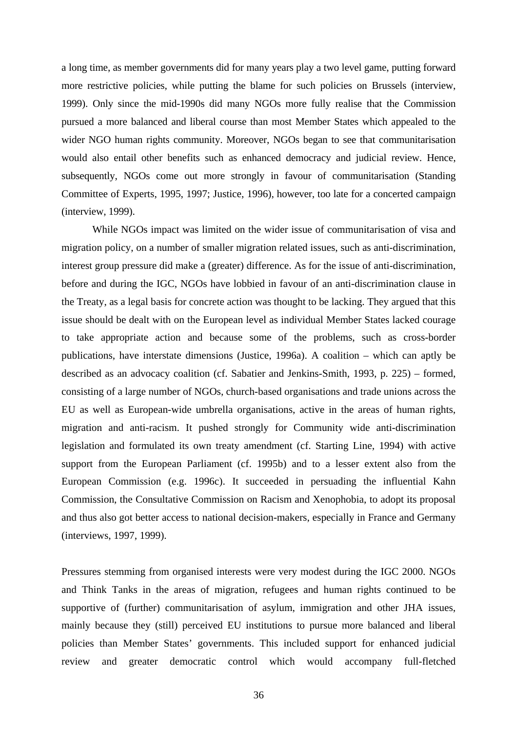a long time, as member governments did for many years play a two level game, putting forward more restrictive policies, while putting the blame for such policies on Brussels (interview, 1999). Only since the mid-1990s did many NGOs more fully realise that the Commission pursued a more balanced and liberal course than most Member States which appealed to the wider NGO human rights community. Moreover, NGOs began to see that communitarisation would also entail other benefits such as enhanced democracy and judicial review. Hence, subsequently, NGOs come out more strongly in favour of communitarisation (Standing Committee of Experts, 1995, 1997; Justice, 1996), however, too late for a concerted campaign (interview, 1999).

While NGOs impact was limited on the wider issue of communitarisation of visa and migration policy, on a number of smaller migration related issues, such as anti-discrimination, interest group pressure did make a (greater) difference. As for the issue of anti-discrimination, before and during the IGC, NGOs have lobbied in favour of an anti-discrimination clause in the Treaty, as a legal basis for concrete action was thought to be lacking. They argued that this issue should be dealt with on the European level as individual Member States lacked courage to take appropriate action and because some of the problems, such as cross-border publications, have interstate dimensions (Justice, 1996a). A coalition – which can aptly be described as an advocacy coalition (cf. Sabatier and Jenkins-Smith, 1993, p. 225) – formed, consisting of a large number of NGOs, church-based organisations and trade unions across the EU as well as European-wide umbrella organisations, active in the areas of human rights, migration and anti-racism. It pushed strongly for Community wide anti-discrimination legislation and formulated its own treaty amendment (cf. Starting Line, 1994) with active support from the European Parliament (cf. 1995b) and to a lesser extent also from the European Commission (e.g. 1996c). It succeeded in persuading the influential Kahn Commission, the Consultative Commission on Racism and Xenophobia, to adopt its proposal and thus also got better access to national decision-makers, especially in France and Germany (interviews, 1997, 1999).

Pressures stemming from organised interests were very modest during the IGC 2000. NGOs and Think Tanks in the areas of migration, refugees and human rights continued to be supportive of (further) communitarisation of asylum, immigration and other JHA issues, mainly because they (still) perceived EU institutions to pursue more balanced and liberal policies than Member States' governments. This included support for enhanced judicial review and greater democratic control which would accompany full-fletched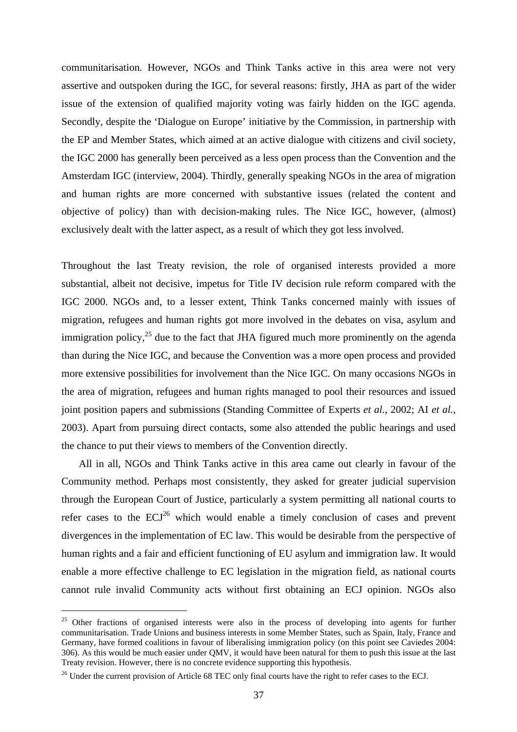communitarisation. However, NGOs and Think Tanks active in this area were not very assertive and outspoken during the IGC, for several reasons: firstly, JHA as part of the wider issue of the extension of qualified majority voting was fairly hidden on the IGC agenda. Secondly, despite the 'Dialogue on Europe' initiative by the Commission, in partnership with the EP and Member States, which aimed at an active dialogue with citizens and civil society, the IGC 2000 has generally been perceived as a less open process than the Convention and the Amsterdam IGC (interview, 2004). Thirdly, generally speaking NGOs in the area of migration and human rights are more concerned with substantive issues (related the content and objective of policy) than with decision-making rules. The Nice IGC, however, (almost) exclusively dealt with the latter aspect, as a result of which they got less involved.

Throughout the last Treaty revision, the role of organised interests provided a more substantial, albeit not decisive, impetus for Title IV decision rule reform compared with the IGC 2000. NGOs and, to a lesser extent, Think Tanks concerned mainly with issues of migration, refugees and human rights got more involved in the debates on visa, asylum and immigration policy, $^{25}$  due to the fact that JHA figured much more prominently on the agenda than during the Nice IGC, and because the Convention was a more open process and provided more extensive possibilities for involvement than the Nice IGC. On many occasions NGOs in the area of migration, refugees and human rights managed to pool their resources and issued joint position papers and submissions (Standing Committee of Experts *et al.*, 2002; AI *et al.*, 2003). Apart from pursuing direct contacts, some also attended the public hearings and used the chance to put their views to members of the Convention directly.

All in all, NGOs and Think Tanks active in this area came out clearly in favour of the Community method. Perhaps most consistently, they asked for greater judicial supervision through the European Court of Justice, particularly a system permitting all national courts to refer cases to the  $ECJ<sup>26</sup>$  which would enable a timely conclusion of cases and prevent divergences in the implementation of EC law. This would be desirable from the perspective of human rights and a fair and efficient functioning of EU asylum and immigration law. It would enable a more effective challenge to EC legislation in the migration field, as national courts cannot rule invalid Community acts without first obtaining an ECJ opinion. NGOs also

<sup>&</sup>lt;sup>25</sup> Other fractions of organised interests were also in the process of developing into agents for further communitarisation. Trade Unions and business interests in some Member States, such as Spain, Italy, France and Germany, have formed coalitions in favour of liberalising immigration policy (on this point see Caviedes 2004: 306). As this would be much easier under QMV, it would have been natural for them to push this issue at the last Treaty revision. However, there is no concrete evidence supporting this hypothesis.

<sup>&</sup>lt;sup>26</sup> Under the current provision of Article 68 TEC only final courts have the right to refer cases to the ECJ.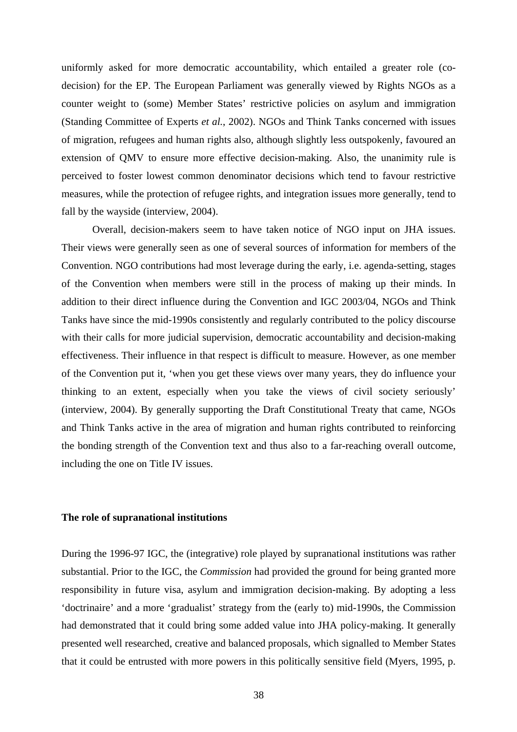uniformly asked for more democratic accountability, which entailed a greater role (codecision) for the EP. The European Parliament was generally viewed by Rights NGOs as a counter weight to (some) Member States' restrictive policies on asylum and immigration (Standing Committee of Experts *et al.*, 2002). NGOs and Think Tanks concerned with issues of migration, refugees and human rights also, although slightly less outspokenly, favoured an extension of QMV to ensure more effective decision-making. Also, the unanimity rule is perceived to foster lowest common denominator decisions which tend to favour restrictive measures, while the protection of refugee rights, and integration issues more generally, tend to fall by the wayside (interview, 2004).

Overall, decision-makers seem to have taken notice of NGO input on JHA issues. Their views were generally seen as one of several sources of information for members of the Convention. NGO contributions had most leverage during the early, i.e. agenda-setting, stages of the Convention when members were still in the process of making up their minds. In addition to their direct influence during the Convention and IGC 2003/04, NGOs and Think Tanks have since the mid-1990s consistently and regularly contributed to the policy discourse with their calls for more judicial supervision, democratic accountability and decision-making effectiveness. Their influence in that respect is difficult to measure. However, as one member of the Convention put it, 'when you get these views over many years, they do influence your thinking to an extent, especially when you take the views of civil society seriously' (interview, 2004). By generally supporting the Draft Constitutional Treaty that came, NGOs and Think Tanks active in the area of migration and human rights contributed to reinforcing the bonding strength of the Convention text and thus also to a far-reaching overall outcome, including the one on Title IV issues.

# **The role of supranational institutions**

During the 1996-97 IGC, the (integrative) role played by supranational institutions was rather substantial. Prior to the IGC, the *Commission* had provided the ground for being granted more responsibility in future visa, asylum and immigration decision-making. By adopting a less 'doctrinaire' and a more 'gradualist' strategy from the (early to) mid-1990s, the Commission had demonstrated that it could bring some added value into JHA policy-making. It generally presented well researched, creative and balanced proposals, which signalled to Member States that it could be entrusted with more powers in this politically sensitive field (Myers, 1995, p.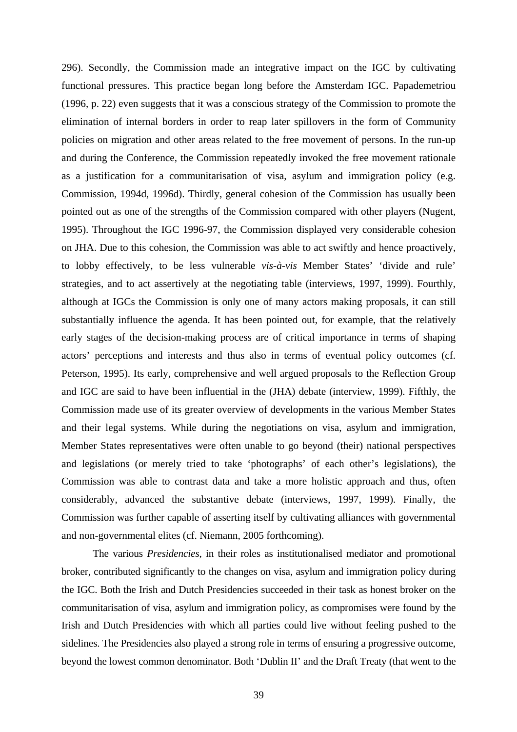296). Secondly, the Commission made an integrative impact on the IGC by cultivating functional pressures. This practice began long before the Amsterdam IGC. Papademetriou (1996, p. 22) even suggests that it was a conscious strategy of the Commission to promote the elimination of internal borders in order to reap later spillovers in the form of Community policies on migration and other areas related to the free movement of persons. In the run-up and during the Conference, the Commission repeatedly invoked the free movement rationale as a justification for a communitarisation of visa, asylum and immigration policy (e.g. Commission, 1994d, 1996d). Thirdly, general cohesion of the Commission has usually been pointed out as one of the strengths of the Commission compared with other players (Nugent, 1995). Throughout the IGC 1996-97, the Commission displayed very considerable cohesion on JHA. Due to this cohesion, the Commission was able to act swiftly and hence proactively, to lobby effectively, to be less vulnerable *vis-à-vis* Member States' 'divide and rule' strategies, and to act assertively at the negotiating table (interviews, 1997, 1999). Fourthly, although at IGCs the Commission is only one of many actors making proposals, it can still substantially influence the agenda. It has been pointed out, for example, that the relatively early stages of the decision-making process are of critical importance in terms of shaping actors' perceptions and interests and thus also in terms of eventual policy outcomes (cf. Peterson, 1995). Its early, comprehensive and well argued proposals to the Reflection Group and IGC are said to have been influential in the (JHA) debate (interview, 1999). Fifthly, the Commission made use of its greater overview of developments in the various Member States and their legal systems. While during the negotiations on visa, asylum and immigration, Member States representatives were often unable to go beyond (their) national perspectives and legislations (or merely tried to take 'photographs' of each other's legislations), the Commission was able to contrast data and take a more holistic approach and thus, often considerably, advanced the substantive debate (interviews, 1997, 1999). Finally, the Commission was further capable of asserting itself by cultivating alliances with governmental and non-governmental elites (cf. Niemann, 2005 forthcoming).

The various *Presidencies*, in their roles as institutionalised mediator and promotional broker, contributed significantly to the changes on visa, asylum and immigration policy during the IGC. Both the Irish and Dutch Presidencies succeeded in their task as honest broker on the communitarisation of visa, asylum and immigration policy, as compromises were found by the Irish and Dutch Presidencies with which all parties could live without feeling pushed to the sidelines. The Presidencies also played a strong role in terms of ensuring a progressive outcome, beyond the lowest common denominator. Both 'Dublin II' and the Draft Treaty (that went to the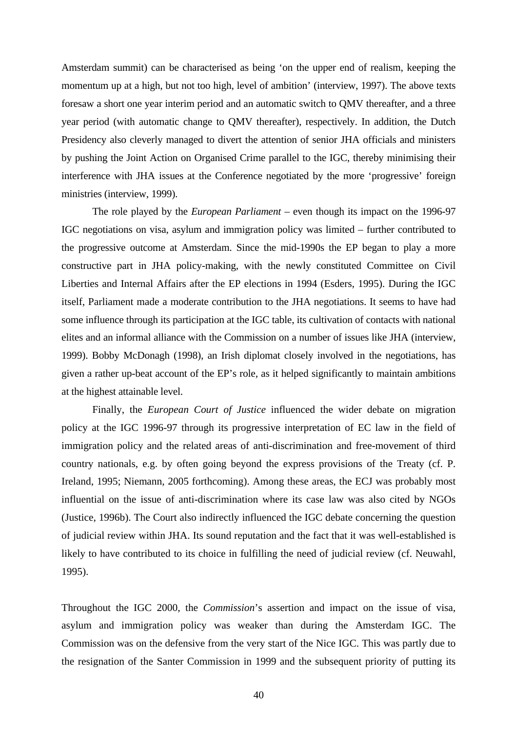Amsterdam summit) can be characterised as being 'on the upper end of realism, keeping the momentum up at a high, but not too high, level of ambition' (interview, 1997). The above texts foresaw a short one year interim period and an automatic switch to QMV thereafter, and a three year period (with automatic change to QMV thereafter), respectively. In addition, the Dutch Presidency also cleverly managed to divert the attention of senior JHA officials and ministers by pushing the Joint Action on Organised Crime parallel to the IGC, thereby minimising their interference with JHA issues at the Conference negotiated by the more 'progressive' foreign ministries (interview, 1999).

The role played by the *European Parliament* – even though its impact on the 1996-97 IGC negotiations on visa, asylum and immigration policy was limited – further contributed to the progressive outcome at Amsterdam. Since the mid-1990s the EP began to play a more constructive part in JHA policy-making, with the newly constituted Committee on Civil Liberties and Internal Affairs after the EP elections in 1994 (Esders, 1995). During the IGC itself, Parliament made a moderate contribution to the JHA negotiations. It seems to have had some influence through its participation at the IGC table, its cultivation of contacts with national elites and an informal alliance with the Commission on a number of issues like JHA (interview, 1999). Bobby McDonagh (1998), an Irish diplomat closely involved in the negotiations, has given a rather up-beat account of the EP's role, as it helped significantly to maintain ambitions at the highest attainable level.

 Finally, the *European Court of Justice* influenced the wider debate on migration policy at the IGC 1996-97 through its progressive interpretation of EC law in the field of immigration policy and the related areas of anti-discrimination and free-movement of third country nationals, e.g. by often going beyond the express provisions of the Treaty (cf. P. Ireland, 1995; Niemann, 2005 forthcoming). Among these areas, the ECJ was probably most influential on the issue of anti-discrimination where its case law was also cited by NGOs (Justice, 1996b). The Court also indirectly influenced the IGC debate concerning the question of judicial review within JHA. Its sound reputation and the fact that it was well-established is likely to have contributed to its choice in fulfilling the need of judicial review (cf. Neuwahl, 1995).

Throughout the IGC 2000, the *Commission*'s assertion and impact on the issue of visa, asylum and immigration policy was weaker than during the Amsterdam IGC. The Commission was on the defensive from the very start of the Nice IGC. This was partly due to the resignation of the Santer Commission in 1999 and the subsequent priority of putting its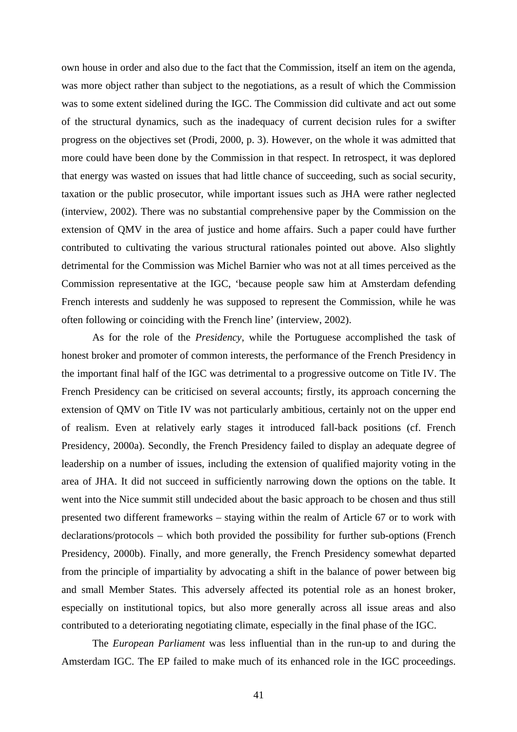own house in order and also due to the fact that the Commission, itself an item on the agenda, was more object rather than subject to the negotiations, as a result of which the Commission was to some extent sidelined during the IGC. The Commission did cultivate and act out some of the structural dynamics, such as the inadequacy of current decision rules for a swifter progress on the objectives set (Prodi, 2000, p. 3). However, on the whole it was admitted that more could have been done by the Commission in that respect. In retrospect, it was deplored that energy was wasted on issues that had little chance of succeeding, such as social security, taxation or the public prosecutor, while important issues such as JHA were rather neglected (interview, 2002). There was no substantial comprehensive paper by the Commission on the extension of QMV in the area of justice and home affairs. Such a paper could have further contributed to cultivating the various structural rationales pointed out above. Also slightly detrimental for the Commission was Michel Barnier who was not at all times perceived as the Commission representative at the IGC, 'because people saw him at Amsterdam defending French interests and suddenly he was supposed to represent the Commission, while he was often following or coinciding with the French line' (interview, 2002).

As for the role of the *Presidency*, while the Portuguese accomplished the task of honest broker and promoter of common interests, the performance of the French Presidency in the important final half of the IGC was detrimental to a progressive outcome on Title IV. The French Presidency can be criticised on several accounts; firstly, its approach concerning the extension of QMV on Title IV was not particularly ambitious, certainly not on the upper end of realism. Even at relatively early stages it introduced fall-back positions (cf. French Presidency, 2000a). Secondly, the French Presidency failed to display an adequate degree of leadership on a number of issues, including the extension of qualified majority voting in the area of JHA. It did not succeed in sufficiently narrowing down the options on the table. It went into the Nice summit still undecided about the basic approach to be chosen and thus still presented two different frameworks – staying within the realm of Article 67 or to work with declarations/protocols – which both provided the possibility for further sub-options (French Presidency, 2000b). Finally, and more generally, the French Presidency somewhat departed from the principle of impartiality by advocating a shift in the balance of power between big and small Member States. This adversely affected its potential role as an honest broker, especially on institutional topics, but also more generally across all issue areas and also contributed to a deteriorating negotiating climate, especially in the final phase of the IGC.

The *European Parliament* was less influential than in the run-up to and during the Amsterdam IGC. The EP failed to make much of its enhanced role in the IGC proceedings.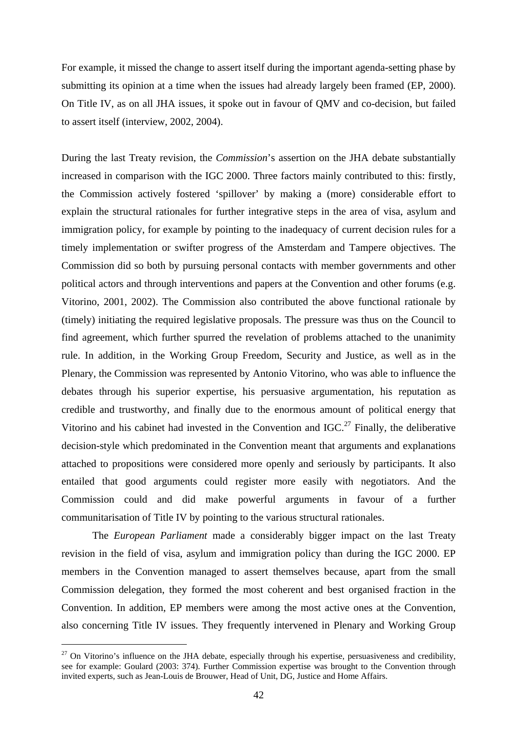For example, it missed the change to assert itself during the important agenda-setting phase by submitting its opinion at a time when the issues had already largely been framed (EP, 2000). On Title IV, as on all JHA issues, it spoke out in favour of QMV and co-decision, but failed to assert itself (interview, 2002, 2004).

During the last Treaty revision, the *Commission*'s assertion on the JHA debate substantially increased in comparison with the IGC 2000. Three factors mainly contributed to this: firstly, the Commission actively fostered 'spillover' by making a (more) considerable effort to explain the structural rationales for further integrative steps in the area of visa, asylum and immigration policy, for example by pointing to the inadequacy of current decision rules for a timely implementation or swifter progress of the Amsterdam and Tampere objectives. The Commission did so both by pursuing personal contacts with member governments and other political actors and through interventions and papers at the Convention and other forums (e.g. Vitorino, 2001, 2002). The Commission also contributed the above functional rationale by (timely) initiating the required legislative proposals. The pressure was thus on the Council to find agreement, which further spurred the revelation of problems attached to the unanimity rule. In addition, in the Working Group Freedom, Security and Justice, as well as in the Plenary, the Commission was represented by Antonio Vitorino, who was able to influence the debates through his superior expertise, his persuasive argumentation, his reputation as credible and trustworthy, and finally due to the enormous amount of political energy that Vitorino and his cabinet had invested in the Convention and  $IGC<sup>27</sup>$  Finally, the deliberative decision-style which predominated in the Convention meant that arguments and explanations attached to propositions were considered more openly and seriously by participants. It also entailed that good arguments could register more easily with negotiators. And the Commission could and did make powerful arguments in favour of a further communitarisation of Title IV by pointing to the various structural rationales.

The *European Parliament* made a considerably bigger impact on the last Treaty revision in the field of visa, asylum and immigration policy than during the IGC 2000. EP members in the Convention managed to assert themselves because, apart from the small Commission delegation, they formed the most coherent and best organised fraction in the Convention. In addition, EP members were among the most active ones at the Convention, also concerning Title IV issues. They frequently intervened in Plenary and Working Group

 $27$  On Vitorino's influence on the JHA debate, especially through his expertise, persuasiveness and credibility, see for example: Goulard (2003: 374). Further Commission expertise was brought to the Convention through invited experts, such as Jean-Louis de Brouwer, Head of Unit, DG, Justice and Home Affairs.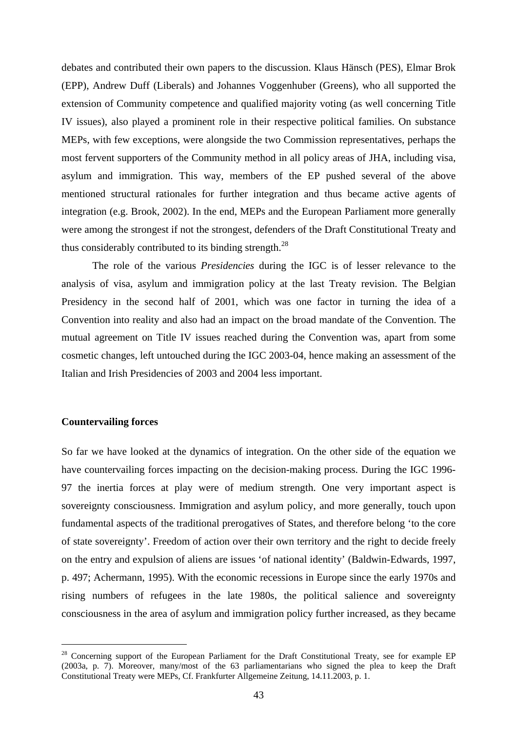debates and contributed their own papers to the discussion. Klaus Hänsch (PES), Elmar Brok (EPP), Andrew Duff (Liberals) and Johannes Voggenhuber (Greens), who all supported the extension of Community competence and qualified majority voting (as well concerning Title IV issues), also played a prominent role in their respective political families. On substance MEPs, with few exceptions, were alongside the two Commission representatives, perhaps the most fervent supporters of the Community method in all policy areas of JHA, including visa, asylum and immigration. This way, members of the EP pushed several of the above mentioned structural rationales for further integration and thus became active agents of integration (e.g. Brook, 2002). In the end, MEPs and the European Parliament more generally were among the strongest if not the strongest, defenders of the Draft Constitutional Treaty and thus considerably contributed to its binding strength.<sup>28</sup>

The role of the various *Presidencies* during the IGC is of lesser relevance to the analysis of visa, asylum and immigration policy at the last Treaty revision. The Belgian Presidency in the second half of 2001, which was one factor in turning the idea of a Convention into reality and also had an impact on the broad mandate of the Convention. The mutual agreement on Title IV issues reached during the Convention was, apart from some cosmetic changes, left untouched during the IGC 2003-04, hence making an assessment of the Italian and Irish Presidencies of 2003 and 2004 less important.

#### **Countervailing forces**

1

So far we have looked at the dynamics of integration. On the other side of the equation we have countervailing forces impacting on the decision-making process. During the IGC 1996- 97 the inertia forces at play were of medium strength. One very important aspect is sovereignty consciousness. Immigration and asylum policy, and more generally, touch upon fundamental aspects of the traditional prerogatives of States, and therefore belong 'to the core of state sovereignty'. Freedom of action over their own territory and the right to decide freely on the entry and expulsion of aliens are issues 'of national identity' (Baldwin-Edwards, 1997, p. 497; Achermann, 1995). With the economic recessions in Europe since the early 1970s and rising numbers of refugees in the late 1980s, the political salience and sovereignty consciousness in the area of asylum and immigration policy further increased, as they became

 $28$  Concerning support of the European Parliament for the Draft Constitutional Treaty, see for example EP (2003a, p. 7). Moreover, many/most of the 63 parliamentarians who signed the plea to keep the Draft Constitutional Treaty were MEPs, Cf. Frankfurter Allgemeine Zeitung, 14.11.2003, p. 1.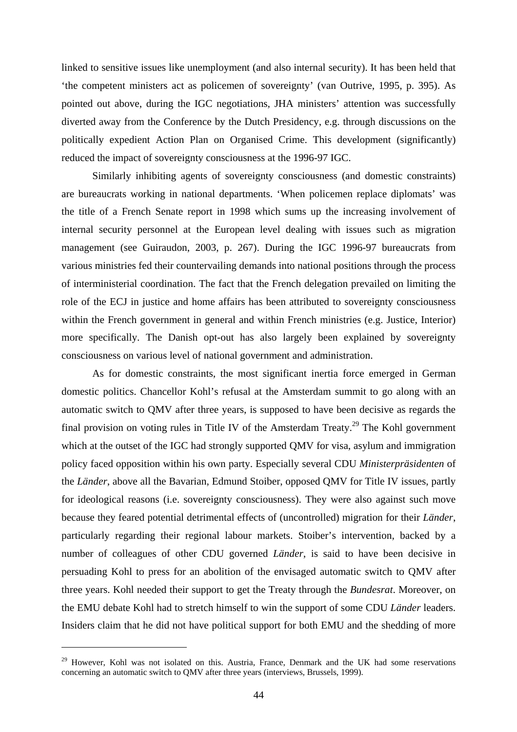linked to sensitive issues like unemployment (and also internal security). It has been held that 'the competent ministers act as policemen of sovereignty' (van Outrive, 1995, p. 395). As pointed out above, during the IGC negotiations, JHA ministers' attention was successfully diverted away from the Conference by the Dutch Presidency, e.g. through discussions on the politically expedient Action Plan on Organised Crime. This development (significantly) reduced the impact of sovereignty consciousness at the 1996-97 IGC.

Similarly inhibiting agents of sovereignty consciousness (and domestic constraints) are bureaucrats working in national departments. 'When policemen replace diplomats' was the title of a French Senate report in 1998 which sums up the increasing involvement of internal security personnel at the European level dealing with issues such as migration management (see Guiraudon, 2003, p. 267). During the IGC 1996-97 bureaucrats from various ministries fed their countervailing demands into national positions through the process of interministerial coordination. The fact that the French delegation prevailed on limiting the role of the ECJ in justice and home affairs has been attributed to sovereignty consciousness within the French government in general and within French ministries (e.g. Justice, Interior) more specifically. The Danish opt-out has also largely been explained by sovereignty consciousness on various level of national government and administration.

As for domestic constraints, the most significant inertia force emerged in German domestic politics. Chancellor Kohl's refusal at the Amsterdam summit to go along with an automatic switch to QMV after three years, is supposed to have been decisive as regards the final provision on voting rules in Title IV of the Amsterdam Treaty.<sup>29</sup> The Kohl government which at the outset of the IGC had strongly supported OMV for visa, asylum and immigration policy faced opposition within his own party. Especially several CDU *Ministerpräsidenten* of the *Länder*, above all the Bavarian, Edmund Stoiber, opposed QMV for Title IV issues, partly for ideological reasons (i.e. sovereignty consciousness). They were also against such move because they feared potential detrimental effects of (uncontrolled) migration for their *Länder*, particularly regarding their regional labour markets. Stoiber's intervention, backed by a number of colleagues of other CDU governed *Länder*, is said to have been decisive in persuading Kohl to press for an abolition of the envisaged automatic switch to QMV after three years. Kohl needed their support to get the Treaty through the *Bundesrat*. Moreover, on the EMU debate Kohl had to stretch himself to win the support of some CDU *Länder* leaders. Insiders claim that he did not have political support for both EMU and the shedding of more

<sup>&</sup>lt;sup>29</sup> However, Kohl was not isolated on this. Austria, France, Denmark and the UK had some reservations concerning an automatic switch to QMV after three years (interviews, Brussels, 1999).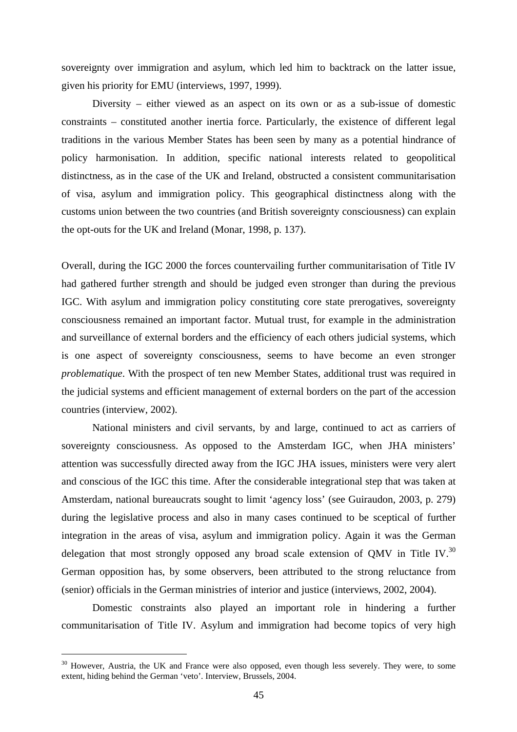sovereignty over immigration and asylum, which led him to backtrack on the latter issue, given his priority for EMU (interviews, 1997, 1999).

Diversity – either viewed as an aspect on its own or as a sub-issue of domestic constraints – constituted another inertia force. Particularly, the existence of different legal traditions in the various Member States has been seen by many as a potential hindrance of policy harmonisation. In addition, specific national interests related to geopolitical distinctness, as in the case of the UK and Ireland, obstructed a consistent communitarisation of visa, asylum and immigration policy. This geographical distinctness along with the customs union between the two countries (and British sovereignty consciousness) can explain the opt-outs for the UK and Ireland (Monar, 1998, p. 137).

Overall, during the IGC 2000 the forces countervailing further communitarisation of Title IV had gathered further strength and should be judged even stronger than during the previous IGC. With asylum and immigration policy constituting core state prerogatives, sovereignty consciousness remained an important factor. Mutual trust, for example in the administration and surveillance of external borders and the efficiency of each others judicial systems, which is one aspect of sovereignty consciousness, seems to have become an even stronger *problematique*. With the prospect of ten new Member States, additional trust was required in the judicial systems and efficient management of external borders on the part of the accession countries (interview, 2002).

 National ministers and civil servants, by and large, continued to act as carriers of sovereignty consciousness. As opposed to the Amsterdam IGC, when JHA ministers' attention was successfully directed away from the IGC JHA issues, ministers were very alert and conscious of the IGC this time. After the considerable integrational step that was taken at Amsterdam, national bureaucrats sought to limit 'agency loss' (see Guiraudon, 2003, p. 279) during the legislative process and also in many cases continued to be sceptical of further integration in the areas of visa, asylum and immigration policy. Again it was the German delegation that most strongly opposed any broad scale extension of QMV in Title IV. $^{30}$ German opposition has, by some observers, been attributed to the strong reluctance from (senior) officials in the German ministries of interior and justice (interviews, 2002, 2004).

 Domestic constraints also played an important role in hindering a further communitarisation of Title IV. Asylum and immigration had become topics of very high

<sup>&</sup>lt;sup>30</sup> However, Austria, the UK and France were also opposed, even though less severely. They were, to some extent, hiding behind the German 'veto'. Interview, Brussels, 2004.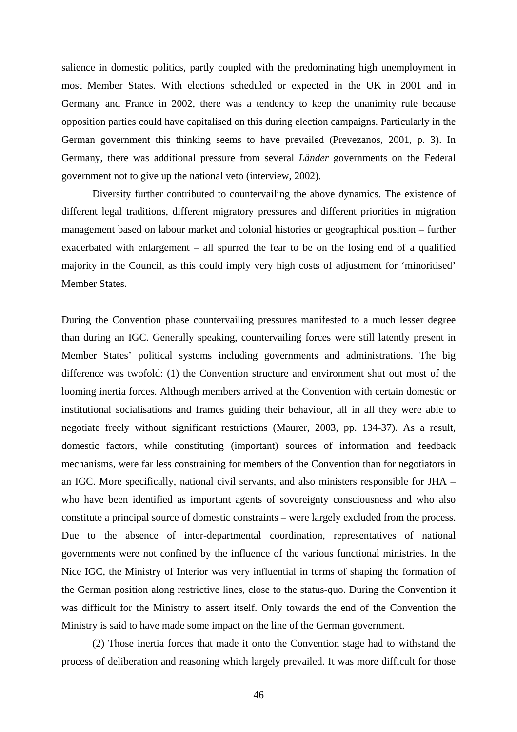salience in domestic politics, partly coupled with the predominating high unemployment in most Member States. With elections scheduled or expected in the UK in 2001 and in Germany and France in 2002, there was a tendency to keep the unanimity rule because opposition parties could have capitalised on this during election campaigns. Particularly in the German government this thinking seems to have prevailed (Prevezanos, 2001, p. 3). In Germany, there was additional pressure from several *Länder* governments on the Federal government not to give up the national veto (interview, 2002).

Diversity further contributed to countervailing the above dynamics. The existence of different legal traditions, different migratory pressures and different priorities in migration management based on labour market and colonial histories or geographical position – further exacerbated with enlargement – all spurred the fear to be on the losing end of a qualified majority in the Council, as this could imply very high costs of adjustment for 'minoritised' Member States.

During the Convention phase countervailing pressures manifested to a much lesser degree than during an IGC. Generally speaking, countervailing forces were still latently present in Member States' political systems including governments and administrations. The big difference was twofold: (1) the Convention structure and environment shut out most of the looming inertia forces. Although members arrived at the Convention with certain domestic or institutional socialisations and frames guiding their behaviour, all in all they were able to negotiate freely without significant restrictions (Maurer, 2003, pp. 134-37). As a result, domestic factors, while constituting (important) sources of information and feedback mechanisms, were far less constraining for members of the Convention than for negotiators in an IGC. More specifically, national civil servants, and also ministers responsible for JHA – who have been identified as important agents of sovereignty consciousness and who also constitute a principal source of domestic constraints – were largely excluded from the process. Due to the absence of inter-departmental coordination, representatives of national governments were not confined by the influence of the various functional ministries. In the Nice IGC, the Ministry of Interior was very influential in terms of shaping the formation of the German position along restrictive lines, close to the status-quo. During the Convention it was difficult for the Ministry to assert itself. Only towards the end of the Convention the Ministry is said to have made some impact on the line of the German government.

(2) Those inertia forces that made it onto the Convention stage had to withstand the process of deliberation and reasoning which largely prevailed. It was more difficult for those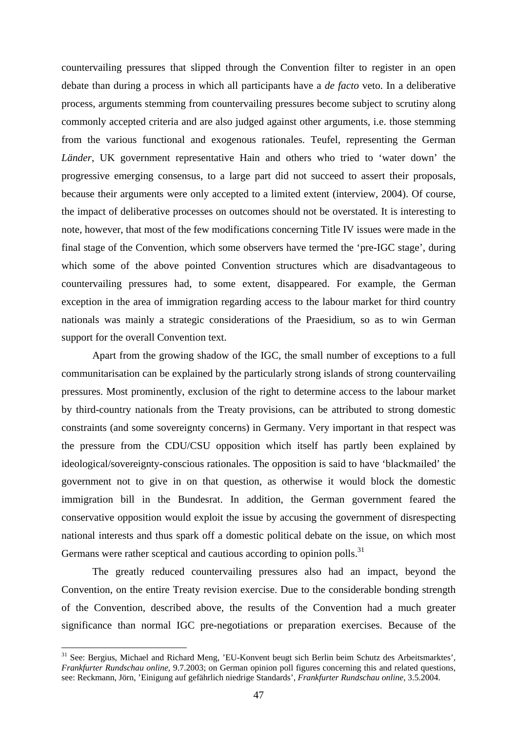countervailing pressures that slipped through the Convention filter to register in an open debate than during a process in which all participants have a *de facto* veto. In a deliberative process, arguments stemming from countervailing pressures become subject to scrutiny along commonly accepted criteria and are also judged against other arguments, i.e. those stemming from the various functional and exogenous rationales. Teufel, representing the German *Länder*, UK government representative Hain and others who tried to 'water down' the progressive emerging consensus, to a large part did not succeed to assert their proposals, because their arguments were only accepted to a limited extent (interview, 2004). Of course, the impact of deliberative processes on outcomes should not be overstated. It is interesting to note, however, that most of the few modifications concerning Title IV issues were made in the final stage of the Convention, which some observers have termed the 'pre-IGC stage', during which some of the above pointed Convention structures which are disadvantageous to countervailing pressures had, to some extent, disappeared. For example, the German exception in the area of immigration regarding access to the labour market for third country nationals was mainly a strategic considerations of the Praesidium, so as to win German support for the overall Convention text.

Apart from the growing shadow of the IGC, the small number of exceptions to a full communitarisation can be explained by the particularly strong islands of strong countervailing pressures. Most prominently, exclusion of the right to determine access to the labour market by third-country nationals from the Treaty provisions, can be attributed to strong domestic constraints (and some sovereignty concerns) in Germany. Very important in that respect was the pressure from the CDU/CSU opposition which itself has partly been explained by ideological/sovereignty-conscious rationales. The opposition is said to have 'blackmailed' the government not to give in on that question, as otherwise it would block the domestic immigration bill in the Bundesrat. In addition, the German government feared the conservative opposition would exploit the issue by accusing the government of disrespecting national interests and thus spark off a domestic political debate on the issue, on which most Germans were rather sceptical and cautious according to opinion polls.<sup>31</sup>

The greatly reduced countervailing pressures also had an impact, beyond the Convention, on the entire Treaty revision exercise. Due to the considerable bonding strength of the Convention, described above, the results of the Convention had a much greater significance than normal IGC pre-negotiations or preparation exercises. Because of the

<sup>&</sup>lt;sup>31</sup> See: Bergius, Michael and Richard Meng, 'EU-Konvent beugt sich Berlin beim Schutz des Arbeitsmarktes', *Frankfurter Rundschau online*, 9.7.2003; on German opinion poll figures concerning this and related questions, see: Reckmann, Jörn, 'Einigung auf gefährlich niedrige Standards', *Frankfurter Rundschau online*, 3.5.2004.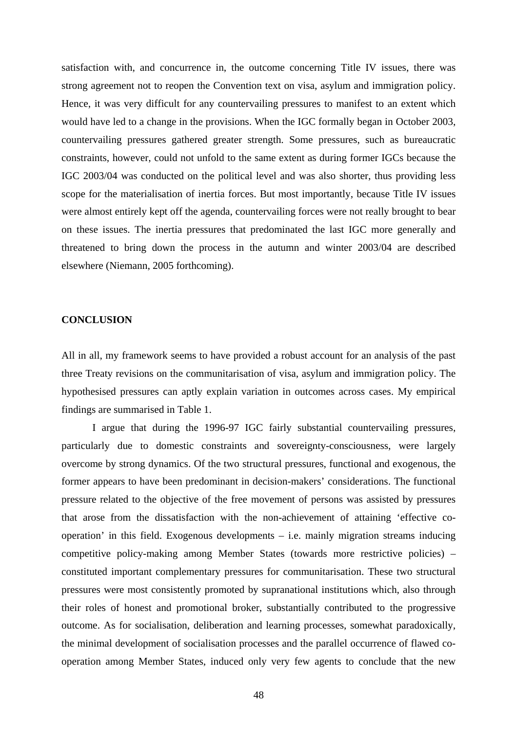satisfaction with, and concurrence in, the outcome concerning Title IV issues, there was strong agreement not to reopen the Convention text on visa, asylum and immigration policy. Hence, it was very difficult for any countervailing pressures to manifest to an extent which would have led to a change in the provisions. When the IGC formally began in October 2003, countervailing pressures gathered greater strength. Some pressures, such as bureaucratic constraints, however, could not unfold to the same extent as during former IGCs because the IGC 2003/04 was conducted on the political level and was also shorter, thus providing less scope for the materialisation of inertia forces. But most importantly, because Title IV issues were almost entirely kept off the agenda, countervailing forces were not really brought to bear on these issues. The inertia pressures that predominated the last IGC more generally and threatened to bring down the process in the autumn and winter 2003/04 are described elsewhere (Niemann, 2005 forthcoming).

#### **CONCLUSION**

All in all, my framework seems to have provided a robust account for an analysis of the past three Treaty revisions on the communitarisation of visa, asylum and immigration policy. The hypothesised pressures can aptly explain variation in outcomes across cases. My empirical findings are summarised in Table 1.

I argue that during the 1996-97 IGC fairly substantial countervailing pressures, particularly due to domestic constraints and sovereignty-consciousness, were largely overcome by strong dynamics. Of the two structural pressures, functional and exogenous, the former appears to have been predominant in decision-makers' considerations. The functional pressure related to the objective of the free movement of persons was assisted by pressures that arose from the dissatisfaction with the non-achievement of attaining 'effective cooperation' in this field. Exogenous developments – i.e. mainly migration streams inducing competitive policy-making among Member States (towards more restrictive policies) – constituted important complementary pressures for communitarisation. These two structural pressures were most consistently promoted by supranational institutions which, also through their roles of honest and promotional broker, substantially contributed to the progressive outcome. As for socialisation, deliberation and learning processes, somewhat paradoxically, the minimal development of socialisation processes and the parallel occurrence of flawed cooperation among Member States, induced only very few agents to conclude that the new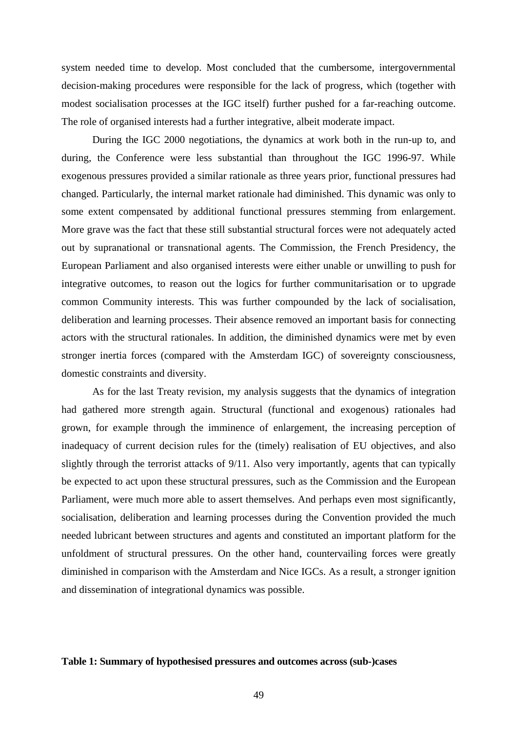system needed time to develop. Most concluded that the cumbersome, intergovernmental decision-making procedures were responsible for the lack of progress, which (together with modest socialisation processes at the IGC itself) further pushed for a far-reaching outcome. The role of organised interests had a further integrative, albeit moderate impact.

During the IGC 2000 negotiations, the dynamics at work both in the run-up to, and during, the Conference were less substantial than throughout the IGC 1996-97. While exogenous pressures provided a similar rationale as three years prior, functional pressures had changed. Particularly, the internal market rationale had diminished. This dynamic was only to some extent compensated by additional functional pressures stemming from enlargement. More grave was the fact that these still substantial structural forces were not adequately acted out by supranational or transnational agents. The Commission, the French Presidency, the European Parliament and also organised interests were either unable or unwilling to push for integrative outcomes, to reason out the logics for further communitarisation or to upgrade common Community interests. This was further compounded by the lack of socialisation, deliberation and learning processes. Their absence removed an important basis for connecting actors with the structural rationales. In addition, the diminished dynamics were met by even stronger inertia forces (compared with the Amsterdam IGC) of sovereignty consciousness, domestic constraints and diversity.

As for the last Treaty revision, my analysis suggests that the dynamics of integration had gathered more strength again. Structural (functional and exogenous) rationales had grown, for example through the imminence of enlargement, the increasing perception of inadequacy of current decision rules for the (timely) realisation of EU objectives, and also slightly through the terrorist attacks of 9/11. Also very importantly, agents that can typically be expected to act upon these structural pressures, such as the Commission and the European Parliament, were much more able to assert themselves. And perhaps even most significantly, socialisation, deliberation and learning processes during the Convention provided the much needed lubricant between structures and agents and constituted an important platform for the unfoldment of structural pressures. On the other hand, countervailing forces were greatly diminished in comparison with the Amsterdam and Nice IGCs. As a result, a stronger ignition and dissemination of integrational dynamics was possible.

# **Table 1: Summary of hypothesised pressures and outcomes across (sub-)cases**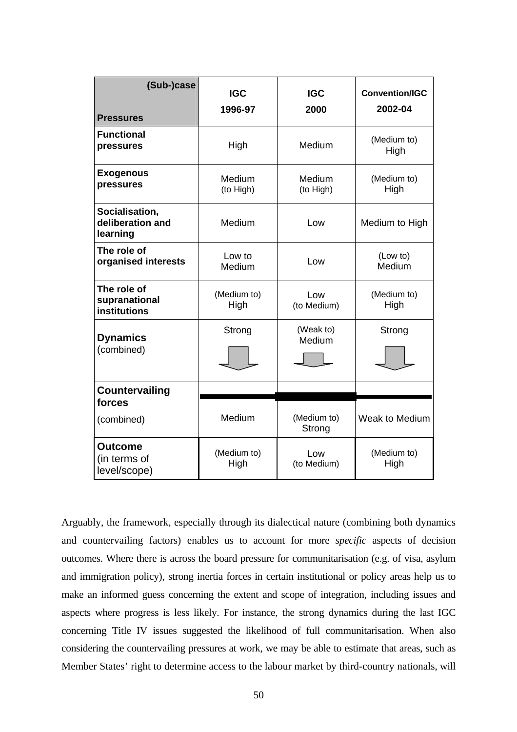| (Sub-)case<br><b>Pressures</b>                      | <b>IGC</b><br>1996-97 | <b>IGC</b><br>2000    | <b>Convention/IGC</b><br>2002-04 |
|-----------------------------------------------------|-----------------------|-----------------------|----------------------------------|
| <b>Functional</b><br>pressures                      | High                  | Medium                | (Medium to)<br>High              |
| <b>Exogenous</b><br>pressures                       | Medium<br>(to High)   | Medium<br>(to High)   | (Medium to)<br>High              |
| Socialisation,<br>deliberation and<br>learning      | Medium                | Low                   | Medium to High                   |
| The role of<br>organised interests                  | Low to<br>Medium      | Low                   | (Low to)<br>Medium               |
| The role of<br>supranational<br><b>institutions</b> | (Medium to)<br>High   | Low<br>(to Medium)    | (Medium to)<br>High              |
| <b>Dynamics</b><br>(combined)                       | Strong                | (Weak to)<br>Medium   | Strong                           |
| Countervailing<br>forces                            |                       |                       |                                  |
| (combined)                                          | Medium                | (Medium to)<br>Strong | Weak to Medium                   |
| <b>Outcome</b><br>(in terms of<br>level/scope)      | (Medium to)<br>High   | Low<br>(to Medium)    | (Medium to)<br>High              |

Arguably, the framework, especially through its dialectical nature (combining both dynamics and countervailing factors) enables us to account for more *specific* aspects of decision outcomes. Where there is across the board pressure for communitarisation (e.g. of visa, asylum and immigration policy), strong inertia forces in certain institutional or policy areas help us to make an informed guess concerning the extent and scope of integration, including issues and aspects where progress is less likely. For instance, the strong dynamics during the last IGC concerning Title IV issues suggested the likelihood of full communitarisation. When also considering the countervailing pressures at work, we may be able to estimate that areas, such as Member States' right to determine access to the labour market by third-country nationals, will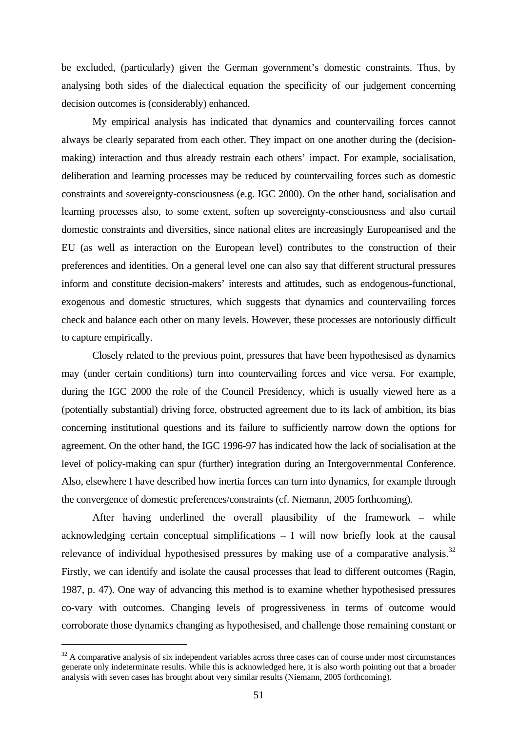be excluded, (particularly) given the German government's domestic constraints. Thus, by analysing both sides of the dialectical equation the specificity of our judgement concerning decision outcomes is (considerably) enhanced.

My empirical analysis has indicated that dynamics and countervailing forces cannot always be clearly separated from each other. They impact on one another during the (decisionmaking) interaction and thus already restrain each others' impact. For example, socialisation, deliberation and learning processes may be reduced by countervailing forces such as domestic constraints and sovereignty-consciousness (e.g. IGC 2000). On the other hand, socialisation and learning processes also, to some extent, soften up sovereignty-consciousness and also curtail domestic constraints and diversities, since national elites are increasingly Europeanised and the EU (as well as interaction on the European level) contributes to the construction of their preferences and identities. On a general level one can also say that different structural pressures inform and constitute decision-makers' interests and attitudes, such as endogenous-functional, exogenous and domestic structures, which suggests that dynamics and countervailing forces check and balance each other on many levels. However, these processes are notoriously difficult to capture empirically.

Closely related to the previous point, pressures that have been hypothesised as dynamics may (under certain conditions) turn into countervailing forces and vice versa. For example, during the IGC 2000 the role of the Council Presidency, which is usually viewed here as a (potentially substantial) driving force, obstructed agreement due to its lack of ambition, its bias concerning institutional questions and its failure to sufficiently narrow down the options for agreement. On the other hand, the IGC 1996-97 has indicated how the lack of socialisation at the level of policy-making can spur (further) integration during an Intergovernmental Conference. Also, elsewhere I have described how inertia forces can turn into dynamics, for example through the convergence of domestic preferences/constraints (cf. Niemann, 2005 forthcoming).

 After having underlined the overall plausibility of the framework – while acknowledging certain conceptual simplifications – I will now briefly look at the causal relevance of individual hypothesised pressures by making use of a comparative analysis. $32$ Firstly, we can identify and isolate the causal processes that lead to different outcomes (Ragin, 1987, p. 47). One way of advancing this method is to examine whether hypothesised pressures co-vary with outcomes. Changing levels of progressiveness in terms of outcome would corroborate those dynamics changing as hypothesised, and challenge those remaining constant or

 $32$  A comparative analysis of six independent variables across three cases can of course under most circumstances generate only indeterminate results. While this is acknowledged here, it is also worth pointing out that a broader analysis with seven cases has brought about very similar results (Niemann, 2005 forthcoming).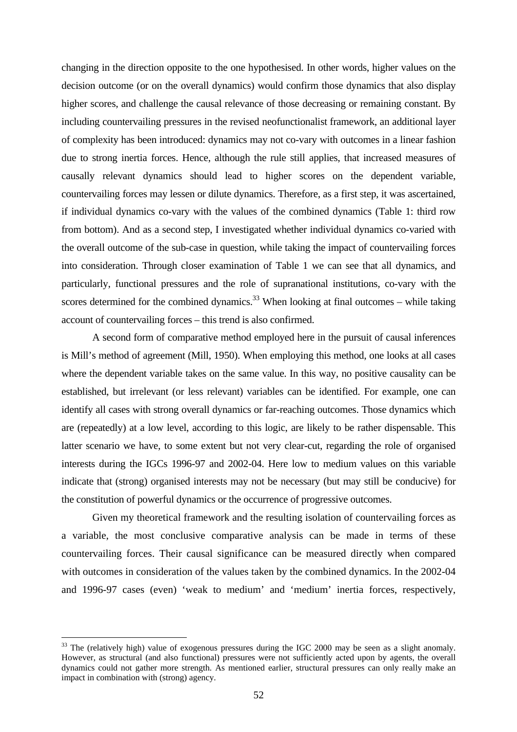changing in the direction opposite to the one hypothesised. In other words, higher values on the decision outcome (or on the overall dynamics) would confirm those dynamics that also display higher scores, and challenge the causal relevance of those decreasing or remaining constant. By including countervailing pressures in the revised neofunctionalist framework, an additional layer of complexity has been introduced: dynamics may not co-vary with outcomes in a linear fashion due to strong inertia forces. Hence, although the rule still applies, that increased measures of causally relevant dynamics should lead to higher scores on the dependent variable, countervailing forces may lessen or dilute dynamics. Therefore, as a first step, it was ascertained, if individual dynamics co-vary with the values of the combined dynamics (Table 1: third row from bottom). And as a second step, I investigated whether individual dynamics co-varied with the overall outcome of the sub-case in question, while taking the impact of countervailing forces into consideration. Through closer examination of Table 1 we can see that all dynamics, and particularly, functional pressures and the role of supranational institutions, co-vary with the scores determined for the combined dynamics.<sup>33</sup> When looking at final outcomes – while taking account of countervailing forces – this trend is also confirmed.

A second form of comparative method employed here in the pursuit of causal inferences is Mill's method of agreement (Mill, 1950). When employing this method, one looks at all cases where the dependent variable takes on the same value. In this way, no positive causality can be established, but irrelevant (or less relevant) variables can be identified. For example, one can identify all cases with strong overall dynamics or far-reaching outcomes. Those dynamics which are (repeatedly) at a low level, according to this logic, are likely to be rather dispensable. This latter scenario we have, to some extent but not very clear-cut, regarding the role of organised interests during the IGCs 1996-97 and 2002-04. Here low to medium values on this variable indicate that (strong) organised interests may not be necessary (but may still be conducive) for the constitution of powerful dynamics or the occurrence of progressive outcomes.

 Given my theoretical framework and the resulting isolation of countervailing forces as a variable, the most conclusive comparative analysis can be made in terms of these countervailing forces. Their causal significance can be measured directly when compared with outcomes in consideration of the values taken by the combined dynamics. In the 2002-04 and 1996-97 cases (even) 'weak to medium' and 'medium' inertia forces, respectively,

 $\overline{a}$ 

 $33$  The (relatively high) value of exogenous pressures during the IGC 2000 may be seen as a slight anomaly. However, as structural (and also functional) pressures were not sufficiently acted upon by agents, the overall dynamics could not gather more strength. As mentioned earlier, structural pressures can only really make an impact in combination with (strong) agency.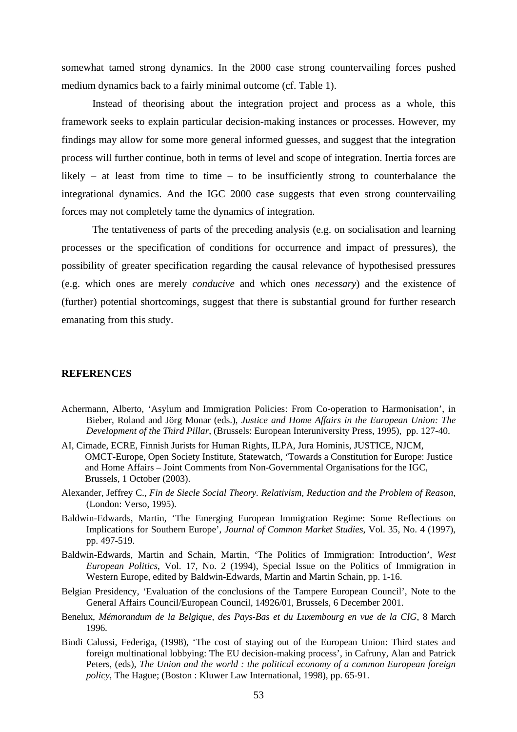somewhat tamed strong dynamics. In the 2000 case strong countervailing forces pushed medium dynamics back to a fairly minimal outcome (cf. Table 1).

Instead of theorising about the integration project and process as a whole, this framework seeks to explain particular decision-making instances or processes. However, my findings may allow for some more general informed guesses, and suggest that the integration process will further continue, both in terms of level and scope of integration. Inertia forces are likely – at least from time to time – to be insufficiently strong to counterbalance the integrational dynamics. And the IGC 2000 case suggests that even strong countervailing forces may not completely tame the dynamics of integration.

The tentativeness of parts of the preceding analysis (e.g. on socialisation and learning processes or the specification of conditions for occurrence and impact of pressures), the possibility of greater specification regarding the causal relevance of hypothesised pressures (e.g. which ones are merely *conducive* and which ones *necessary*) and the existence of (further) potential shortcomings, suggest that there is substantial ground for further research emanating from this study.

#### **REFERENCES**

- Achermann, Alberto, 'Asylum and Immigration Policies: From Co-operation to Harmonisation', in Bieber, Roland and Jörg Monar (eds.), *Justice and Home Affairs in the European Union: The Development of the Third Pillar*, (Brussels: European Interuniversity Press, 1995), pp. 127-40.
- AI, Cimade, ECRE, Finnish Jurists for Human Rights, ILPA, Jura Hominis, JUSTICE, NJCM, OMCT-Europe, Open Society Institute, Statewatch, 'Towards a Constitution for Europe: Justice and Home Affairs – Joint Comments from Non-Governmental Organisations for the IGC, Brussels, 1 October (2003).
- Alexander, Jeffrey C., *Fin de Siecle Social Theory. Relativism, Reduction and the Problem of Reason*, (London: Verso, 1995).
- Baldwin-Edwards, Martin, 'The Emerging European Immigration Regime: Some Reflections on Implications for Southern Europe', *Journal of Common Market Studies*, Vol. 35, No. 4 (1997), pp. 497-519.
- Baldwin-Edwards, Martin and Schain, Martin, 'The Politics of Immigration: Introduction', *West European Politics*, Vol. 17, No. 2 (1994), Special Issue on the Politics of Immigration in Western Europe, edited by Baldwin-Edwards, Martin and Martin Schain, pp. 1-16.
- Belgian Presidency, 'Evaluation of the conclusions of the Tampere European Council', Note to the General Affairs Council/European Council, 14926/01, Brussels, 6 December 2001.
- Benelux, *Mémorandum de la Belgique, des Pays-Bas et du Luxembourg en vue de la CIG*, 8 March 1996.
- Bindi Calussi, Federiga, (1998), 'The cost of staying out of the European Union: Third states and foreign multinational lobbying: The EU decision-making process', in Cafruny, Alan and Patrick Peters, (eds), *The Union and the world : the political economy of a common European foreign policy*, The Hague; (Boston : Kluwer Law International, 1998), pp. 65-91.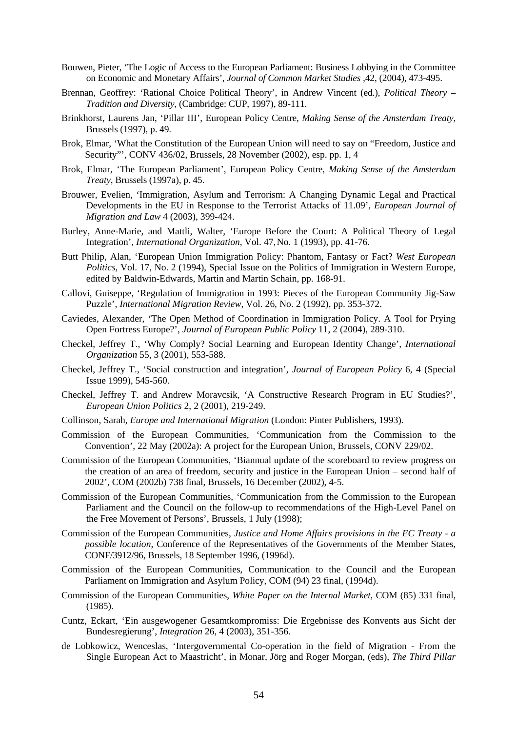- Bouwen, Pieter, 'The Logic of Access to the European Parliament: Business Lobbying in the Committee on Economic and Monetary Affairs', *Journal of Common Market Studies ,*42, (2004), 473-495.
- Brennan, Geoffrey: 'Rational Choice Political Theory', in Andrew Vincent (ed.), *Political Theory Tradition and Diversity*, (Cambridge: CUP, 1997), 89-111.
- Brinkhorst, Laurens Jan, 'Pillar III', European Policy Centre, *Making Sense of the Amsterdam Treaty*, Brussels (1997), p. 49.
- Brok, Elmar, 'What the Constitution of the European Union will need to say on "Freedom, Justice and Security"', CONV 436/02, Brussels, 28 November (2002), esp. pp. 1, 4
- Brok, Elmar, 'The European Parliament', European Policy Centre, *Making Sense of the Amsterdam Treaty*, Brussels (1997a), p. 45.
- Brouwer, Evelien, 'Immigration, Asylum and Terrorism: A Changing Dynamic Legal and Practical Developments in the EU in Response to the Terrorist Attacks of 11.09'*, European Journal of Migration and Law* 4 (2003), 399-424.
- Burley, Anne-Marie, and Mattli, Walter, 'Europe Before the Court: A Political Theory of Legal Integration', *International Organization*, Vol. 47, No. 1 (1993), pp. 41-76.
- Butt Philip, Alan, 'European Union Immigration Policy: Phantom, Fantasy or Fact? *West European Politics*, Vol. 17, No. 2 (1994), Special Issue on the Politics of Immigration in Western Europe, edited by Baldwin-Edwards, Martin and Martin Schain, pp. 168-91.
- Callovi, Guiseppe, 'Regulation of Immigration in 1993: Pieces of the European Community Jig-Saw Puzzle', *International Migration Review*, Vol. 26, No. 2 (1992), pp. 353-372.
- Caviedes, Alexander, 'The Open Method of Coordination in Immigration Policy. A Tool for Prying Open Fortress Europe?', *Journal of European Public Policy* 11, 2 (2004), 289-310.
- Checkel, Jeffrey T., 'Why Comply? Social Learning and European Identity Change', *International Organization* 55, 3 (2001), 553-588.
- Checkel, Jeffrey T., 'Social construction and integration', *Journal of European Policy* 6, 4 (Special Issue 1999), 545-560.
- Checkel, Jeffrey T. and Andrew Moravcsik, 'A Constructive Research Program in EU Studies?', *European Union Politics* 2, 2 (2001), 219-249.
- Collinson, Sarah, *Europe and International Migration* (London: Pinter Publishers, 1993).
- Commission of the European Communities, 'Communication from the Commission to the Convention', 22 May (2002a): A project for the European Union, Brussels, CONV 229/02.
- Commission of the European Communities, 'Biannual update of the scoreboard to review progress on the creation of an area of freedom, security and justice in the European Union – second half of 2002', COM (2002b) 738 final, Brussels, 16 December (2002), 4-5.
- Commission of the European Communities, 'Communication from the Commission to the European Parliament and the Council on the follow-up to recommendations of the High-Level Panel on the Free Movement of Persons', Brussels, 1 July (1998);
- Commission of the European Communities, *Justice and Home Affairs provisions in the EC Treaty a possible location*, Conference of the Representatives of the Governments of the Member States, CONF/3912/96, Brussels, 18 September 1996, (1996d).
- Commission of the European Communities, Communication to the Council and the European Parliament on Immigration and Asylum Policy, COM (94) 23 final, (1994d).
- Commission of the European Communities, *White Paper on the Internal Market*, COM (85) 331 final, (1985).
- Cuntz, Eckart, 'Ein ausgewogener Gesamtkompromiss: Die Ergebnisse des Konvents aus Sicht der Bundesregierung', *Integration* 26, 4 (2003), 351-356.
- de Lobkowicz, Wenceslas, 'Intergovernmental Co-operation in the field of Migration From the Single European Act to Maastricht', in Monar, Jörg and Roger Morgan, (eds), *The Third Pillar*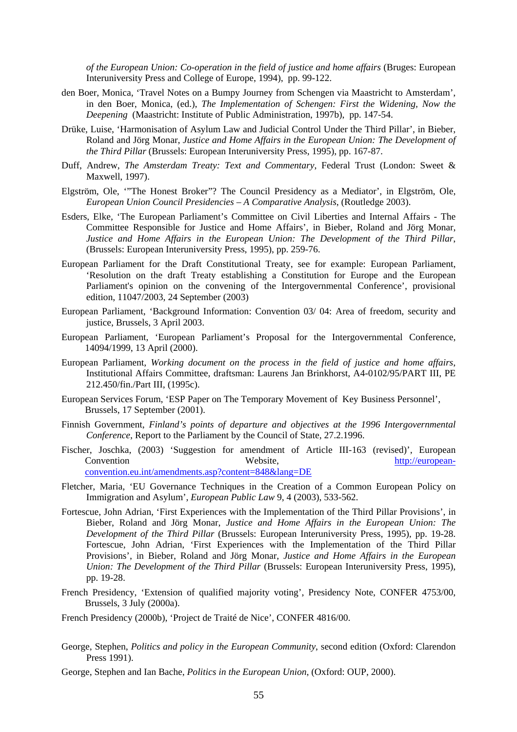*of the European Union: Co-operation in the field of justice and home affairs* (Bruges: European Interuniversity Press and College of Europe, 1994), pp. 99-122.

- den Boer, Monica, 'Travel Notes on a Bumpy Journey from Schengen via Maastricht to Amsterdam', in den Boer, Monica, (ed.), *The Implementation of Schengen: First the Widening, Now the Deepening* (Maastricht: Institute of Public Administration, 1997b), pp. 147-54.
- Drüke, Luise, 'Harmonisation of Asylum Law and Judicial Control Under the Third Pillar', in Bieber, Roland and Jörg Monar, *Justice and Home Affairs in the European Union: The Development of the Third Pillar* (Brussels: European Interuniversity Press, 1995), pp. 167-87.
- Duff, Andrew, *The Amsterdam Treaty: Text and Commentary*, Federal Trust (London: Sweet & Maxwell, 1997).
- Elgström, Ole, '"The Honest Broker"? The Council Presidency as a Mediator', in Elgström, Ole, *European Union Council Presidencies – A Comparative Analysis*, (Routledge 2003).
- Esders, Elke, 'The European Parliament's Committee on Civil Liberties and Internal Affairs The Committee Responsible for Justice and Home Affairs', in Bieber, Roland and Jörg Monar, *Justice and Home Affairs in the European Union: The Development of the Third Pillar*, (Brussels: European Interuniversity Press, 1995), pp. 259-76.
- European Parliament for the Draft Constitutional Treaty, see for example: European Parliament, 'Resolution on the draft Treaty establishing a Constitution for Europe and the European Parliament's opinion on the convening of the Intergovernmental Conference', provisional edition, 11047/2003, 24 September (2003)
- European Parliament, 'Background Information: Convention 03/ 04: Area of freedom, security and justice, Brussels, 3 April 2003.
- European Parliament, 'European Parliament's Proposal for the Intergovernmental Conference, 14094/1999, 13 April (2000).
- European Parliament, *Working document on the process in the field of justice and home affairs*, Institutional Affairs Committee, draftsman: Laurens Jan Brinkhorst, A4-0102/95/PART III, PE 212.450/fin./Part III, (1995c).
- European Services Forum, 'ESP Paper on The Temporary Movement of Key Business Personnel', Brussels, 17 September (2001).
- Finnish Government, *Finland's points of departure and objectives at the 1996 Intergovernmental Conference*, Report to the Parliament by the Council of State, 27.2.1996.
- Fischer, Joschka, (2003) 'Suggestion for amendment of Article III-163 (revised)', European Convention Website, http://europeanconvention.eu.int/amendments.asp?content=848&lang=DE
- Fletcher, Maria, 'EU Governance Techniques in the Creation of a Common European Policy on Immigration and Asylum', *European Public Law* 9, 4 (2003), 533-562.
- Fortescue, John Adrian, 'First Experiences with the Implementation of the Third Pillar Provisions', in Bieber, Roland and Jörg Monar, *Justice and Home Affairs in the European Union: The Development of the Third Pillar* (Brussels: European Interuniversity Press, 1995), pp. 19-28. Fortescue, John Adrian, 'First Experiences with the Implementation of the Third Pillar Provisions', in Bieber, Roland and Jörg Monar, *Justice and Home Affairs in the European Union: The Development of the Third Pillar* (Brussels: European Interuniversity Press, 1995), pp. 19-28.
- French Presidency, 'Extension of qualified majority voting', Presidency Note, CONFER 4753/00, Brussels, 3 July (2000a).
- French Presidency (2000b), 'Project de Traité de Nice', CONFER 4816/00.
- George, Stephen, *Politics and policy in the European Community*, second edition (Oxford: Clarendon Press 1991).
- George, Stephen and Ian Bache, *Politics in the European Union*, (Oxford: OUP, 2000).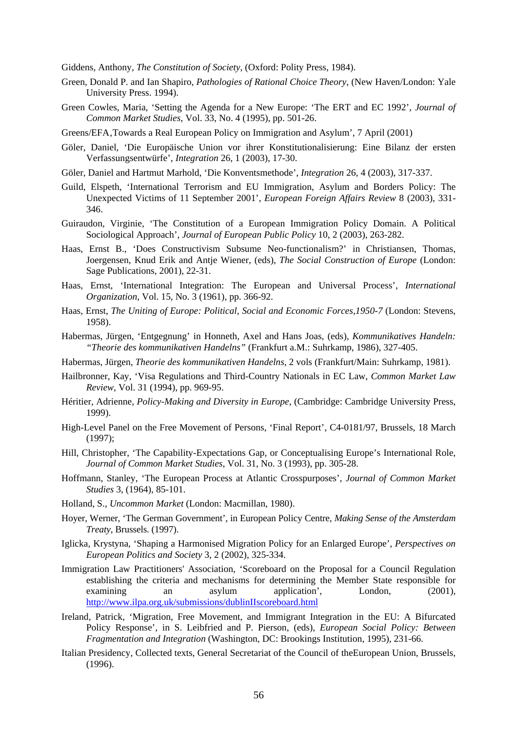Giddens, Anthony, *The Constitution of Society*, (Oxford: Polity Press, 1984).

- Green, Donald P. and Ian Shapiro, *Pathologies of Rational Choice Theory*, (New Haven/London: Yale University Press. 1994).
- Green Cowles, Maria, 'Setting the Agenda for a New Europe: 'The ERT and EC 1992', *Journal of Common Market Studies*, Vol. 33, No. 4 (1995), pp. 501-26.
- Greens/EFA, Towards a Real European Policy on Immigration and Asylum', 7 April (2001)
- Göler, Daniel, 'Die Europäische Union vor ihrer Konstitutionalisierung: Eine Bilanz der ersten Verfassungsentwürfe', *Integration* 26, 1 (2003), 17-30.
- Göler, Daniel and Hartmut Marhold, 'Die Konventsmethode', *Integration* 26, 4 (2003), 317-337.
- Guild, Elspeth, 'International Terrorism and EU Immigration, Asylum and Borders Policy: The Unexpected Victims of 11 September 2001', *European Foreign Affairs Review* 8 (2003), 331- 346.
- Guiraudon, Virginie, 'The Constitution of a European Immigration Policy Domain. A Political Sociological Approach', *Journal of European Public Policy* 10, 2 (2003), 263-282.
- Haas, Ernst B., 'Does Constructivism Subsume Neo-functionalism?' in Christiansen, Thomas, Joergensen, Knud Erik and Antje Wiener, (eds), *The Social Construction of Europe* (London: Sage Publications, 2001), 22-31.
- Haas, Ernst, 'International Integration: The European and Universal Process', *International Organization*, Vol. 15, No. 3 (1961), pp. 366-92.
- Haas, Ernst, *The Uniting of Europe: Political, Social and Economic Forces,1950-7* (London: Stevens, 1958).
- Habermas, Jürgen, 'Entgegnung' in Honneth, Axel and Hans Joas, (eds), *Kommunikatives Handeln: "Theorie des kommunikativen Handelns"* (Frankfurt a.M.: Suhrkamp, 1986), 327-405.
- Habermas, Jürgen, *Theorie des kommunikativen Handelns*, 2 vols (Frankfurt/Main: Suhrkamp, 1981).
- Hailbronner, Kay, 'Visa Regulations and Third-Country Nationals in EC Law, *Common Market Law Review*, Vol. 31 (1994), pp. 969-95.
- Héritier, Adrienne, *Policy-Making and Diversity in Europe*, (Cambridge: Cambridge University Press, 1999).
- High-Level Panel on the Free Movement of Persons, 'Final Report', C4-0181/97, Brussels, 18 March (1997);
- Hill, Christopher, 'The Capability-Expectations Gap, or Conceptualising Europe's International Role, *Journal of Common Market Studies*, Vol. 31, No. 3 (1993), pp. 305-28.
- Hoffmann, Stanley, 'The European Process at Atlantic Crosspurposes', *Journal of Common Market Studies* 3, (1964), 85-101.
- Holland, S., *Uncommon Market* (London: Macmillan, 1980).
- Hoyer, Werner, 'The German Government', in European Policy Centre, *Making Sense of the Amsterdam Treaty*, Brussels. (1997).
- Iglicka, Krystyna, 'Shaping a Harmonised Migration Policy for an Enlarged Europe', *Perspectives on European Politics and Society* 3, 2 (2002), 325-334.
- Immigration Law Practitioners' Association, 'Scoreboard on the Proposal for a Council Regulation establishing the criteria and mechanisms for determining the Member State responsible for examining an asylum application', London, (2001), http://www.ilpa.org.uk/submissions/dublinIIscoreboard.html
- Ireland, Patrick, 'Migration, Free Movement, and Immigrant Integration in the EU: A Bifurcated Policy Response', in S. Leibfried and P. Pierson, (eds), *European Social Policy: Between Fragmentation and Integration* (Washington, DC: Brookings Institution, 1995), 231-66.
- Italian Presidency, Collected texts, General Secretariat of the Council of theEuropean Union, Brussels, (1996).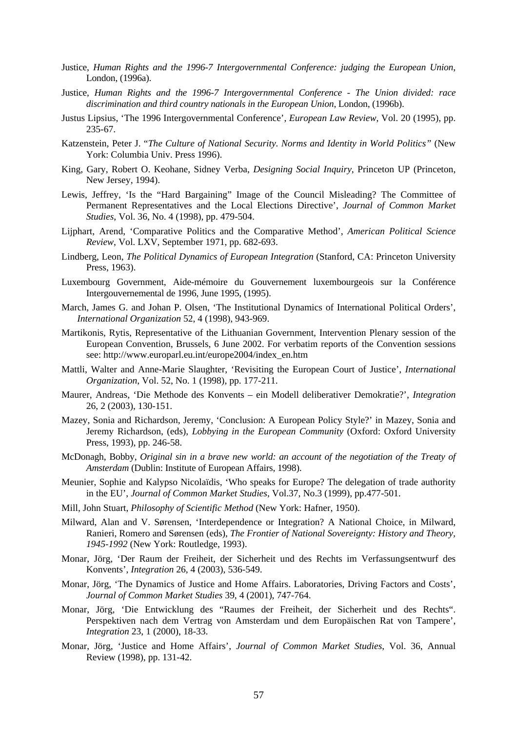- Justice, *Human Rights and the 1996-7 Intergovernmental Conference: judging the European Union*, London, (1996a).
- Justice, *Human Rights and the 1996-7 Intergovernmental Conference The Union divided: race discrimination and third country nationals in the European Union*, London, (1996b).
- Justus Lipsius, 'The 1996 Intergovernmental Conference', *European Law Review*, Vol. 20 (1995), pp. 235-67.
- Katzenstein, Peter J. "*The Culture of National Security. Norms and Identity in World Politics"* (New York: Columbia Univ. Press 1996).
- King, Gary, Robert O. Keohane, Sidney Verba, *Designing Social Inquiry*, Princeton UP (Princeton, New Jersey, 1994).
- Lewis, Jeffrey, 'Is the "Hard Bargaining" Image of the Council Misleading? The Committee of Permanent Representatives and the Local Elections Directive', *Journal of Common Market Studies*, Vol. 36, No. 4 (1998), pp. 479-504.
- Lijphart, Arend, 'Comparative Politics and the Comparative Method', *American Political Science Review*, Vol. LXV, September 1971, pp. 682-693.
- Lindberg, Leon, *The Political Dynamics of European Integration* (Stanford, CA: Princeton University Press, 1963).
- Luxembourg Government, Aide-mémoire du Gouvernement luxembourgeois sur la Conférence Intergouvernemental de 1996, June 1995, (1995).
- March, James G. and Johan P. Olsen, 'The Institutional Dynamics of International Political Orders', *International Organization* 52, 4 (1998), 943-969.
- Martikonis, Rytis, Representative of the Lithuanian Government, Intervention Plenary session of the European Convention, Brussels, 6 June 2002. For verbatim reports of the Convention sessions see: http://www.europarl.eu.int/europe2004/index\_en.htm
- Mattli, Walter and Anne-Marie Slaughter, 'Revisiting the European Court of Justice', *International Organization*, Vol. 52, No. 1 (1998), pp. 177-211.
- Maurer, Andreas, 'Die Methode des Konvents ein Modell deliberativer Demokratie?', *Integration* 26, 2 (2003), 130-151.
- Mazey, Sonia and Richardson, Jeremy, 'Conclusion: A European Policy Style?' in Mazey, Sonia and Jeremy Richardson, (eds), *Lobbying in the European Community* (Oxford: Oxford University Press, 1993), pp. 246-58.
- McDonagh, Bobby, *Original sin in a brave new world: an account of the negotiation of the Treaty of Amsterdam* (Dublin: Institute of European Affairs, 1998).
- Meunier, Sophie and Kalypso Nicolaïdis, 'Who speaks for Europe? The delegation of trade authority in the EU', *Journal of Common Market Studies*, Vol.37, No.3 (1999), pp.477-501.
- Mill, John Stuart, *Philosophy of Scientific Method* (New York: Hafner, 1950).
- Milward, Alan and V. Sørensen, 'Interdependence or Integration? A National Choice, in Milward, Ranieri, Romero and Sørensen (eds), *The Frontier of National Sovereignty: History and Theory, 1945-1992* (New York: Routledge, 1993).
- Monar, Jörg, 'Der Raum der Freiheit, der Sicherheit und des Rechts im Verfassungsentwurf des Konvents', *Integration* 26, 4 (2003), 536-549.
- Monar, Jörg, 'The Dynamics of Justice and Home Affairs. Laboratories, Driving Factors and Costs', *Journal of Common Market Studies* 39, 4 (2001), 747-764.
- Monar, Jörg, 'Die Entwicklung des "Raumes der Freiheit, der Sicherheit und des Rechts". Perspektiven nach dem Vertrag von Amsterdam und dem Europäischen Rat von Tampere', *Integration* 23, 1 (2000), 18-33.
- Monar, Jörg, 'Justice and Home Affairs', *Journal of Common Market Studies*, Vol. 36, Annual Review (1998), pp. 131-42.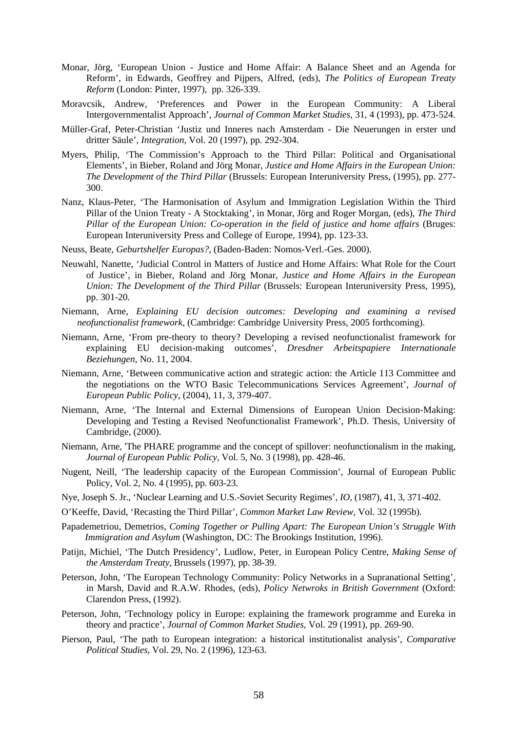- Monar, Jörg, 'European Union Justice and Home Affair: A Balance Sheet and an Agenda for Reform', in Edwards, Geoffrey and Pijpers, Alfred, (eds), *The Politics of European Treaty Reform* (London: Pinter, 1997), pp. 326-339.
- Moravcsik, Andrew, 'Preferences and Power in the European Community: A Liberal Intergovernmentalist Approach', *Journal of Common Market Studies*, 31, 4 (1993), pp. 473-524.
- Müller-Graf, Peter-Christian 'Justiz und Inneres nach Amsterdam Die Neuerungen in erster und dritter Säule', *Integration*, Vol. 20 (1997), pp. 292-304.
- Myers, Philip, 'The Commission's Approach to the Third Pillar: Political and Organisational Elements', in Bieber, Roland and Jörg Monar, *Justice and Home Affairs in the European Union: The Development of the Third Pillar* (Brussels: European Interuniversity Press, (1995), pp. 277- 300.
- Nanz, Klaus-Peter, 'The Harmonisation of Asylum and Immigration Legislation Within the Third Pillar of the Union Treaty - A Stocktaking', in Monar, Jörg and Roger Morgan, (eds), *The Third Pillar of the European Union: Co-operation in the field of justice and home affairs* (Bruges: European Interuniversity Press and College of Europe, 1994), pp. 123-33.
- Neuss, Beate, *Geburtshelfer Europas?*, (Baden-Baden: Nomos-Verl.-Ges. 2000).
- Neuwahl, Nanette, 'Judicial Control in Matters of Justice and Home Affairs: What Role for the Court of Justice', in Bieber, Roland and Jörg Monar, *Justice and Home Affairs in the European Union: The Development of the Third Pillar* (Brussels: European Interuniversity Press, 1995), pp. 301-20.
- Niemann, Arne, *Explaining EU decision outcomes: Developing and examining a revised neofunctionalist framework*, (Cambridge: Cambridge University Press, 2005 forthcoming).
- Niemann, Arne, 'From pre-theory to theory? Developing a revised neofunctionalist framework for explaining EU decision-making outcomes', *Dresdner Arbeitspapiere Internationale Beziehungen*, No. 11, 2004.
- Niemann, Arne, 'Between communicative action and strategic action: the Article 113 Committee and the negotiations on the WTO Basic Telecommunications Services Agreement', *Journal of European Public Policy*, (2004), 11, 3, 379-407.
- Niemann, Arne, 'The Internal and External Dimensions of European Union Decision-Making: Developing and Testing a Revised Neofunctionalist Framework', Ph.D. Thesis, University of Cambridge, (2000).
- Niemann, Arne, 'The PHARE programme and the concept of spillover: neofunctionalism in the making, *Journal of European Public Policy*, Vol. 5, No. 3 (1998), pp. 428-46.
- Nugent, Neill, 'The leadership capacity of the European Commission', Journal of European Public Policy, Vol. 2, No. 4 (1995), pp. 603-23.
- Nye, Joseph S. Jr., 'Nuclear Learning and U.S.-Soviet Security Regimes', *IO*, (1987), 41, 3, 371-402.
- O'Keeffe, David, 'Recasting the Third Pillar', *Common Market Law Review*, Vol. 32 (1995b).
- Papademetriou, Demetrios, *Coming Together or Pulling Apart: The European Union's Struggle With Immigration and Asylum* (Washington, DC: The Brookings Institution, 1996).
- Patijn, Michiel, 'The Dutch Presidency', Ludlow, Peter, in European Policy Centre, *Making Sense of the Amsterdam Treaty*, Brussels (1997), pp. 38-39.
- Peterson, John, 'The European Technology Community: Policy Networks in a Supranational Setting', in Marsh, David and R.A.W. Rhodes, (eds), *Policy Netwroks in British Government* (Oxford: Clarendon Press, (1992).
- Peterson, John, 'Technology policy in Europe: explaining the framework programme and Eureka in theory and practice', *Journal of Common Market Studies*, Vol. 29 (1991), pp. 269-90.
- Pierson, Paul, 'The path to European integration: a historical institutionalist analysis', *Comparative Political Studies*, Vol. 29, No. 2 (1996), 123-63.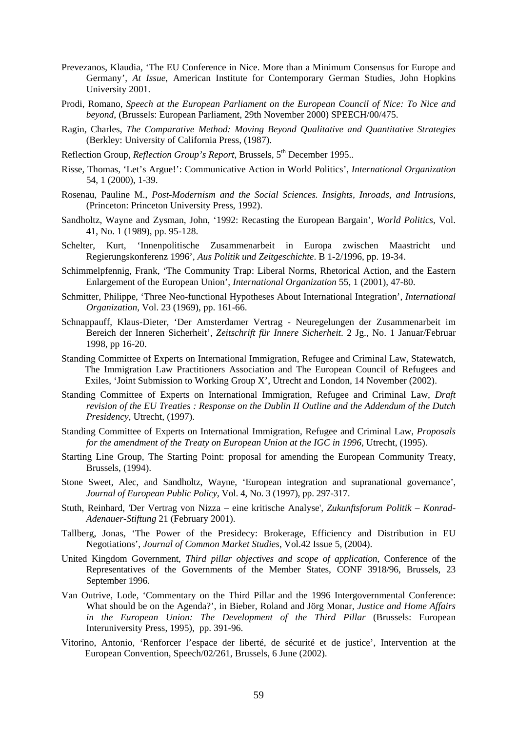- Prevezanos, Klaudia, 'The EU Conference in Nice. More than a Minimum Consensus for Europe and Germany', *At Issue*, American Institute for Contemporary German Studies, John Hopkins University 2001.
- Prodi, Romano, *Speech at the European Parliament on the European Council of Nice: To Nice and beyond*, (Brussels: European Parliament, 29th November 2000) SPEECH/00/475.
- Ragin, Charles, *The Comparative Method: Moving Beyond Qualitative and Quantitative Strategies* (Berkley: University of California Press, (1987).
- Reflection Group, *Reflection Group's Report*, Brussels, 5<sup>th</sup> December 1995..
- Risse, Thomas, 'Let's Argue!': Communicative Action in World Politics', *International Organization* 54, 1 (2000), 1-39.
- Rosenau, Pauline M., *Post-Modernism and the Social Sciences. Insights, Inroads, and Intrusions*, (Princeton: Princeton University Press, 1992).
- Sandholtz, Wayne and Zysman, John, '1992: Recasting the European Bargain', *World Politics*, Vol. 41, No. 1 (1989), pp. 95-128.
- Schelter, Kurt, 'Innenpolitische Zusammenarbeit in Europa zwischen Maastricht und Regierungskonferenz 1996', *Aus Politik und Zeitgeschichte*. B 1-2/1996, pp. 19-34.
- Schimmelpfennig, Frank, 'The Community Trap: Liberal Norms, Rhetorical Action, and the Eastern Enlargement of the European Union', *International Organization* 55, 1 (2001), 47-80.
- Schmitter, Philippe, 'Three Neo-functional Hypotheses About International Integration', *International Organization*, Vol. 23 (1969), pp. 161-66.
- Schnappauff, Klaus-Dieter, 'Der Amsterdamer Vertrag Neuregelungen der Zusammenarbeit im Bereich der Inneren Sicherheit', *Zeitschrift für Innere Sicherheit*. 2 Jg., No. 1 Januar/Februar 1998, pp 16-20.
- Standing Committee of Experts on International Immigration, Refugee and Criminal Law, Statewatch, The Immigration Law Practitioners Association and The European Council of Refugees and Exiles, 'Joint Submission to Working Group X', Utrecht and London, 14 November (2002).
- Standing Committee of Experts on International Immigration, Refugee and Criminal Law, *Draft revision of the EU Treaties : Response on the Dublin II Outline and the Addendum of the Dutch Presidency*, Utrecht, (1997).
- Standing Committee of Experts on International Immigration, Refugee and Criminal Law, *Proposals for the amendment of the Treaty on European Union at the IGC in 1996*, Utrecht, (1995).
- Starting Line Group, The Starting Point: proposal for amending the European Community Treaty, Brussels, (1994).
- Stone Sweet, Alec, and Sandholtz, Wayne, 'European integration and supranational governance', *Journal of European Public Policy*, Vol. 4, No. 3 (1997), pp. 297-317.
- Stuth, Reinhard, 'Der Vertrag von Nizza eine kritische Analyse', *Zukunftsforum Politik Konrad-Adenauer-Stiftung* 21 (February 2001).
- Tallberg, Jonas, 'The Power of the Presidecy: Brokerage, Efficiency and Distribution in EU Negotiations', *Journal of Common Market Studies*, Vol.42 Issue 5, (2004).
- United Kingdom Government, *Third pillar objectives and scope of application*, Conference of the Representatives of the Governments of the Member States, CONF 3918/96, Brussels, 23 September 1996.
- Van Outrive, Lode, 'Commentary on the Third Pillar and the 1996 Intergovernmental Conference: What should be on the Agenda?', in Bieber, Roland and Jörg Monar, *Justice and Home Affairs in the European Union: The Development of the Third Pillar* (Brussels: European Interuniversity Press, 1995), pp. 391-96.
- Vitorino, Antonio, 'Renforcer l'espace der liberté, de sécurité et de justice', Intervention at the European Convention, Speech/02/261, Brussels, 6 June (2002).